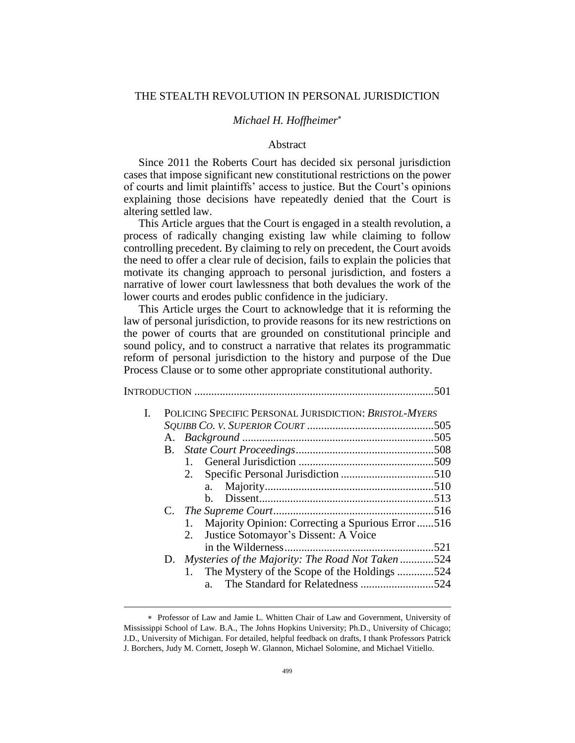# THE STEALTH REVOLUTION IN PERSONAL JURISDICTION

# *Michael H. Hoffheimer*

### Abstract

Since 2011 the Roberts Court has decided six personal jurisdiction cases that impose significant new constitutional restrictions on the power of courts and limit plaintiffs' access to justice. But the Court's opinions explaining those decisions have repeatedly denied that the Court is altering settled law.

This Article argues that the Court is engaged in a stealth revolution, a process of radically changing existing law while claiming to follow controlling precedent. By claiming to rely on precedent, the Court avoids the need to offer a clear rule of decision, fails to explain the policies that motivate its changing approach to personal jurisdiction, and fosters a narrative of lower court lawlessness that both devalues the work of the lower courts and erodes public confidence in the judiciary.

This Article urges the Court to acknowledge that it is reforming the law of personal jurisdiction, to provide reasons for its new restrictions on the power of courts that are grounded on constitutional principle and sound policy, and to construct a narrative that relates its programmatic reform of personal jurisdiction to the history and purpose of the Due Process Clause or to some other appropriate constitutional authority.

| Ι. | POLICING SPECIFIC PERSONAL JURISDICTION: BRISTOL-MYERS  |  |  |  |
|----|---------------------------------------------------------|--|--|--|
|    |                                                         |  |  |  |
|    |                                                         |  |  |  |
|    |                                                         |  |  |  |
|    |                                                         |  |  |  |
|    |                                                         |  |  |  |
|    | a.                                                      |  |  |  |
|    | b.                                                      |  |  |  |
|    |                                                         |  |  |  |
|    | Majority Opinion: Correcting a Spurious Error 516<br>1. |  |  |  |
|    | Justice Sotomayor's Dissent: A Voice<br>2.              |  |  |  |
|    |                                                         |  |  |  |
|    | D. Mysteries of the Majority: The Road Not Taken 524    |  |  |  |
|    | The Mystery of the Scope of the Holdings 524            |  |  |  |
|    | $a_{-}$                                                 |  |  |  |
|    |                                                         |  |  |  |

Professor of Law and Jamie L. Whitten Chair of Law and Government, University of Mississippi School of Law. B.A., The Johns Hopkins University; Ph.D., University of Chicago; J.D., University of Michigan. For detailed, helpful feedback on drafts, I thank Professors Patrick J. Borchers, Judy M. Cornett, Joseph W. Glannon, Michael Solomine, and Michael Vitiello.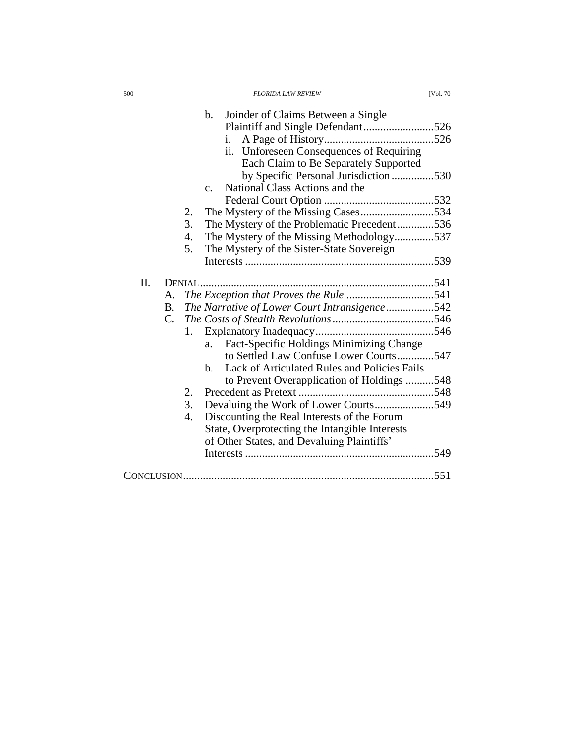| $\mathbf b$ .  | Joinder of Claims Between a Single             |
|----------------|------------------------------------------------|
|                | Plaintiff and Single Defendant526              |
| i.             |                                                |
|                | ii. Unforeseen Consequences of Requiring       |
|                | Each Claim to Be Separately Supported          |
|                | by Specific Personal Jurisdiction530           |
| C <sub>1</sub> | National Class Actions and the                 |
|                |                                                |
| 2.             |                                                |
| 3.             | The Mystery of the Problematic Precedent536    |
| 4.             | The Mystery of the Missing Methodology537      |
| 5.             | The Mystery of the Sister-State Sovereign      |
|                |                                                |
|                |                                                |
| II.<br>DENIAL  |                                                |
| Α.             |                                                |
| В.             | The Narrative of Lower Court Intransigence542  |
| C.             |                                                |
| 1.             |                                                |
| a.             | Fact-Specific Holdings Minimizing Change       |
|                | to Settled Law Confuse Lower Courts547         |
| b.             | Lack of Articulated Rules and Policies Fails   |
|                | to Prevent Overapplication of Holdings 548     |
| 2.             |                                                |
| 3.             | Devaluing the Work of Lower Courts549          |
| 4.             | Discounting the Real Interests of the Forum    |
|                | State, Overprotecting the Intangible Interests |
|                | of Other States, and Devaluing Plaintiffs'     |
|                |                                                |
|                |                                                |
|                |                                                |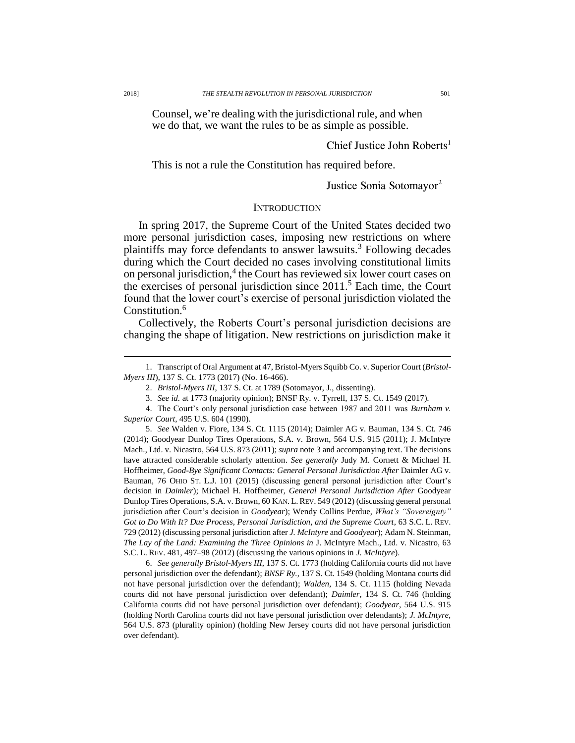Counsel, we're dealing with the jurisdictional rule, and when we do that, we want the rules to be as simple as possible.

# Chief Justice John Roberts<sup>1</sup>

This is not a rule the Constitution has required before.

# <span id="page-2-1"></span><span id="page-2-0"></span>Justice Sonia Sotomayor<sup>2</sup>

### **INTRODUCTION**

In spring 2017, the Supreme Court of the United States decided two more personal jurisdiction cases, imposing new restrictions on where plaintiffs may force defendants to answer lawsuits.<sup>3</sup> Following decades during which the Court decided no cases involving constitutional limits on personal jurisdiction,<sup>4</sup> the Court has reviewed six lower court cases on the exercises of personal jurisdiction since 2011. <sup>5</sup> Each time, the Court found that the lower court's exercise of personal jurisdiction violated the Constitution.<sup>6</sup>

Collectively, the Roberts Court's personal jurisdiction decisions are changing the shape of litigation. New restrictions on jurisdiction make it

5. *See* Walden v. Fiore, 134 S. Ct. 1115 (2014); Daimler AG v. Bauman, 134 S. Ct. 746 (2014); Goodyear Dunlop Tires Operations, S.A. v. Brown, 564 U.S. 915 (2011); J. McIntyre Mach., Ltd. v. Nicastro, 564 U.S. 873 (2011); *supra* note [3](#page-2-0) and accompanying text. The decisions have attracted considerable scholarly attention. *See generally* Judy M. Cornett & Michael H. Hoffheimer, *Good-Bye Significant Contacts: General Personal Jurisdiction After Daimler AG v.* Bauman, 76 OHIO ST. L.J. 101 (2015) (discussing general personal jurisdiction after Court's decision in *Daimler*); Michael H. Hoffheimer, *General Personal Jurisdiction After* Goodyear Dunlop Tires Operations, S.A. v. Brown, 60 KAN. L.REV. 549 (2012) (discussing general personal jurisdiction after Court's decision in *Goodyear*); Wendy Collins Perdue, *What's "Sovereignty" Got to Do With It? Due Process, Personal Jurisdiction, and the Supreme Court*, 63 S.C. L. REV. 729 (2012) (discussing personal jurisdiction after *J. McIntyre* and *Goodyear*); Adam N. Steinman, *The Lay of the Land: Examining the Three Opinions in* J. McIntyre Mach., Ltd. v. Nicastro, 63 S.C. L. REV. 481, 497–98 (2012) (discussing the various opinions in *J. McIntyre*).

6. *See generally Bristol-Myers III*, 137 S. Ct. 1773 (holding California courts did not have personal jurisdiction over the defendant); *BNSF Ry.*, 137 S. Ct. 1549 (holding Montana courts did not have personal jurisdiction over the defendant); *Walden*, 134 S. Ct. 1115 (holding Nevada courts did not have personal jurisdiction over defendant); *Daimler*, 134 S. Ct. 746 (holding California courts did not have personal jurisdiction over defendant); *Goodyear*, 564 U.S. 915 (holding North Carolina courts did not have personal jurisdiction over defendants); *J. McIntyre*, 564 U.S. 873 (plurality opinion) (holding New Jersey courts did not have personal jurisdiction over defendant).

<sup>1.</sup> Transcript of Oral Argument at 47, Bristol-Myers Squibb Co. v. Superior Court (*Bristol-Myers III*), 137 S. Ct. 1773 (2017) (No. 16-466).

<sup>2.</sup> *Bristol-Myers III*, 137 S. Ct. at 1789 (Sotomayor, J., dissenting).

<sup>3.</sup> *See id.* at 1773 (majority opinion); BNSF Ry. v. Tyrrell, 137 S. Ct. 1549 (2017).

<sup>4.</sup> The Court's only personal jurisdiction case between 1987 and 2011 was *Burnham v. Superior Court*, 495 U.S. 604 (1990).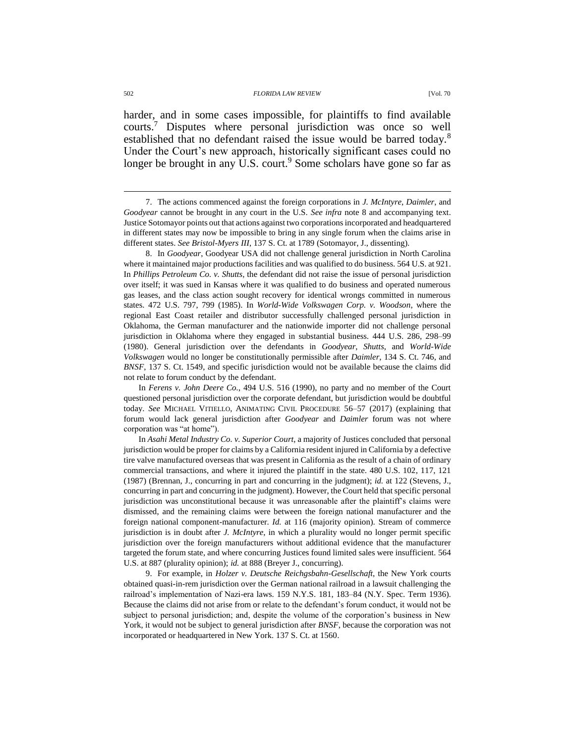<span id="page-3-0"></span>harder, and in some cases impossible, for plaintiffs to find available courts.<sup>7</sup> Disputes where personal jurisdiction was once so well established that no defendant raised the issue would be barred today.<sup>8</sup> Under the Court's new approach, historically significant cases could no longer be brought in any  $\overline{U}$ .S. court.<sup>9</sup> Some scholars have gone so far as

8. In *Goodyear*, Goodyear USA did not challenge general jurisdiction in North Carolina where it maintained major productions facilities and was qualified to do business. 564 U.S. at 921. In *Phillips Petroleum Co. v. Shutts*, the defendant did not raise the issue of personal jurisdiction over itself; it was sued in Kansas where it was qualified to do business and operated numerous gas leases, and the class action sought recovery for identical wrongs committed in numerous states. 472 U.S. 797, 799 (1985). In *World-Wide Volkswagen Corp. v. Woodson*, where the regional East Coast retailer and distributor successfully challenged personal jurisdiction in Oklahoma, the German manufacturer and the nationwide importer did not challenge personal jurisdiction in Oklahoma where they engaged in substantial business. 444 U.S. 286, 298–99 (1980). General jurisdiction over the defendants in *Goodyear*, *Shutts*, and *World-Wide Volkswagen* would no longer be constitutionally permissible after *Daimler*, 134 S. Ct. 746, and *BNSF*, 137 S. Ct. 1549, and specific jurisdiction would not be available because the claims did not relate to forum conduct by the defendant.

In *Ferens v. John Deere Co.*, 494 U.S. 516 (1990), no party and no member of the Court questioned personal jurisdiction over the corporate defendant, but jurisdiction would be doubtful today. *See* MICHAEL VITIELLO, ANIMATING CIVIL PROCEDURE 56–57 (2017) (explaining that forum would lack general jurisdiction after *Goodyear* and *Daimler* forum was not where corporation was "at home").

In *Asahi Metal Industry Co. v. Superior Court*, a majority of Justices concluded that personal jurisdiction would be proper for claims by a California resident injured in California by a defective tire valve manufactured overseas that was present in California as the result of a chain of ordinary commercial transactions, and where it injured the plaintiff in the state. 480 U.S. 102, 117, 121 (1987) (Brennan, J., concurring in part and concurring in the judgment); *id.* at 122 (Stevens, J., concurring in part and concurring in the judgment). However, the Court held that specific personal jurisdiction was unconstitutional because it was unreasonable after the plaintiff's claims were dismissed, and the remaining claims were between the foreign national manufacturer and the foreign national component-manufacturer. *Id.* at 116 (majority opinion). Stream of commerce jurisdiction is in doubt after *J. McIntyre*, in which a plurality would no longer permit specific jurisdiction over the foreign manufacturers without additional evidence that the manufacturer targeted the forum state, and where concurring Justices found limited sales were insufficient. 564 U.S. at 887 (plurality opinion); *id.* at 888 (Breyer J., concurring).

9. For example, in *Holzer v. Deutsche Reichgsbahn-Gesellschaft*, the New York courts obtained quasi-in-rem jurisdiction over the German national railroad in a lawsuit challenging the railroad's implementation of Nazi-era laws. 159 N.Y.S. 181, 183–84 (N.Y. Spec. Term 1936). Because the claims did not arise from or relate to the defendant's forum conduct, it would not be subject to personal jurisdiction; and, despite the volume of the corporation's business in New York, it would not be subject to general jurisdiction after *BNSF*, because the corporation was not incorporated or headquartered in New York. 137 S. Ct. at 1560.

<sup>7.</sup> The actions commenced against the foreign corporations in *J. McIntyre*, *Daimler*, and *Goodyear* cannot be brought in any court in the U.S. *See infra* note [8](#page-3-0) and accompanying text. Justice Sotomayor points out that actions against two corporations incorporated and headquartered in different states may now be impossible to bring in any single forum when the claims arise in different states. *See Bristol-Myers III*, 137 S. Ct. at 1789 (Sotomayor, J., dissenting).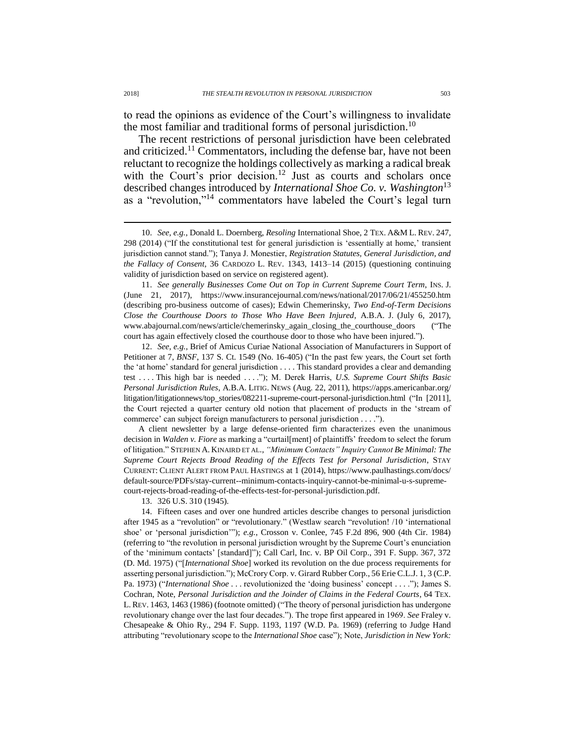to read the opinions as evidence of the Court's willingness to invalidate the most familiar and traditional forms of personal jurisdiction.<sup>10</sup>

The recent restrictions of personal jurisdiction have been celebrated and criticized.<sup>11</sup> Commentators, including the defense bar, have not been reluctant to recognize the holdings collectively as marking a radical break with the Court's prior decision.<sup>12</sup> Just as courts and scholars once described changes introduced by *International Shoe Co. v. Washington*<sup>13</sup> as a "revolution,"<sup>14</sup> commentators have labeled the Court's legal turn

11. *See generally Businesses Come Out on Top in Current Supreme Court Term*, INS. J. (June 21, 2017), https://www.insurancejournal.com/news/national/2017/06/21/455250.htm (describing pro-business outcome of cases); Edwin Chemerinsky, *Two End-of-Term Decisions Close the Courthouse Doors to Those Who Have Been Injured*, A.B.A. J. (July 6, 2017), www.abajournal.com/news/article/chemerinsky\_again\_closing\_the\_courthouse\_doors ("The court has again effectively closed the courthouse door to those who have been injured.").

12. *See, e.g.*, Brief of Amicus Curiae National Association of Manufacturers in Support of Petitioner at 7, *BNSF*, 137 S. Ct. 1549 (No. 16-405) ("In the past few years, the Court set forth the 'at home' standard for general jurisdiction . . . . This standard provides a clear and demanding test . . . . This high bar is needed . . . ."); M. Derek Harris, *U.S. Supreme Court Shifts Basic Personal Jurisdiction Rules*, A.B.A. LITIG. NEWS (Aug. 22, 2011), https://apps.americanbar.org/ litigation/litigationnews/top\_stories/082211-supreme-court-personal-jurisdiction.html ("In [2011], the Court rejected a quarter century old notion that placement of products in the 'stream of commerce' can subject foreign manufacturers to personal jurisdiction . . . .").

A client newsletter by a large defense-oriented firm characterizes even the unanimous decision in *Walden v. Fiore* as marking a "curtail[ment] of plaintiffs' freedom to select the forum of litigation." STEPHEN A. KINAIRD ET AL., *"Minimum Contacts" Inquiry Cannot Be Minimal: The Supreme Court Rejects Broad Reading of the Effects Test for Personal Jurisdiction*, STAY CURRENT: CLIENT ALERT FROM PAUL HASTINGS at 1 (2014), https://www.paulhastings.com/docs/ default-source/PDFs/stay-current--minimum-contacts-inquiry-cannot-be-minimal-u-s-supremecourt-rejects-broad-reading-of-the-effects-test-for-personal-jurisdiction.pdf.

13. 326 U.S. 310 (1945).

14. Fifteen cases and over one hundred articles describe changes to personal jurisdiction after 1945 as a "revolution" or "revolutionary." (Westlaw search "revolution! /10 'international shoe' or 'personal jurisdiction'"); *e.g.*, Crosson v. Conlee, 745 F.2d 896, 900 (4th Cir. 1984) (referring to "the revolution in personal jurisdiction wrought by the Supreme Court's enunciation of the 'minimum contacts' [standard]"); Call Carl, Inc. v. BP Oil Corp., 391 F. Supp. 367, 372 (D. Md. 1975) ("[*International Shoe*] worked its revolution on the due process requirements for asserting personal jurisdiction."); McCrory Corp. v. Girard Rubber Corp., 56 Erie C.L.J. 1, 3 (C.P. Pa. 1973) ("*International Shoe* . . . revolutionized the 'doing business' concept . . . ."); James S. Cochran, Note, *Personal Jurisdiction and the Joinder of Claims in the Federal Courts*, 64 TEX. L. REV. 1463, 1463 (1986) (footnote omitted) ("The theory of personal jurisdiction has undergone revolutionary change over the last four decades."). The trope first appeared in 1969. *See* Fraley v. Chesapeake & Ohio Ry., 294 F. Supp. 1193, 1197 (W.D. Pa. 1969) (referring to Judge Hand attributing "revolutionary scope to the *International Shoe* case"); Note, *Jurisdiction in New York:* 

<span id="page-4-0"></span><sup>10.</sup> *See, e.g.*, Donald L. Doernberg, *Resoling* International Shoe, 2 TEX. A&M L. REV. 247, 298 (2014) ("If the constitutional test for general jurisdiction is 'essentially at home,' transient jurisdiction cannot stand."); Tanya J. Monestier, *Registration Statutes, General Jurisdiction, and the Fallacy of Consent*, 36 CARDOZO L. REV. 1343, 1413–14 (2015) (questioning continuing validity of jurisdiction based on service on registered agent).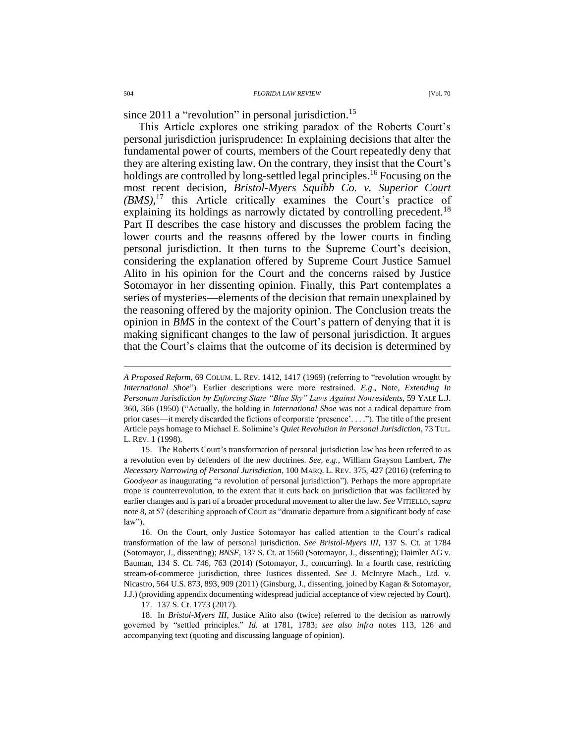since 2011 a "revolution" in personal jurisdiction.<sup>15</sup>

<span id="page-5-0"></span>This Article explores one striking paradox of the Roberts Court's personal jurisdiction jurisprudence: In explaining decisions that alter the fundamental power of courts, members of the Court repeatedly deny that they are altering existing law. On the contrary, they insist that the Court's holdings are controlled by long-settled legal principles.<sup>16</sup> Focusing on the most recent decision, *Bristol-Myers Squibb Co. v. Superior Court (BMS)*, <sup>17</sup> this Article critically examines the Court's practice of explaining its holdings as narrowly dictated by controlling precedent.<sup>18</sup> Part II describes the case history and discusses the problem facing the lower courts and the reasons offered by the lower courts in finding personal jurisdiction. It then turns to the Supreme Court's decision, considering the explanation offered by Supreme Court Justice Samuel Alito in his opinion for the Court and the concerns raised by Justice Sotomayor in her dissenting opinion. Finally, this Part contemplates a series of mysteries—elements of the decision that remain unexplained by the reasoning offered by the majority opinion. The Conclusion treats the opinion in *BMS* in the context of the Court's pattern of denying that it is making significant changes to the law of personal jurisdiction. It argues that the Court's claims that the outcome of its decision is determined by

16. On the Court, only Justice Sotomayor has called attention to the Court's radical transformation of the law of personal jurisdiction. *See Bristol-Myers III*, 137 S. Ct. at 1784 (Sotomayor, J., dissenting); *BNSF*, 137 S. Ct. at 1560 (Sotomayor, J., dissenting); Daimler AG v. Bauman, 134 S. Ct. 746, 763 (2014) (Sotomayor, J., concurring). In a fourth case, restricting stream-of-commerce jurisdiction, three Justices dissented. *See* J. McIntyre Mach., Ltd. v. Nicastro, 564 U.S. 873, 893, 909 (2011) (Ginsburg, J., dissenting, joined by Kagan & Sotomayor, J.J.) (providing appendix documenting widespread judicial acceptance of view rejected by Court).

17. 137 S. Ct. 1773 (2017).

18. In *Bristol-Myers III*, Justice Alito also (twice) referred to the decision as narrowly governed by "settled principles." *Id.* at 1781, 1783; *see also infra* notes [113,](#page-19-0) [126](#page-21-0) and accompanying text (quoting and discussing language of opinion).

*A Proposed Reform*, 69 COLUM. L. REV. 1412, 1417 (1969) (referring to "revolution wrought by *International Shoe*"). Earlier descriptions were more restrained. *E.g.*, Note, *Extending In Personam Jurisdiction by Enforcing State "Blue Sky" Laws Against Nonresidents*, 59 YALE L.J. 360, 366 (1950) ("Actually, the holding in *International Shoe* was not a radical departure from prior cases—it merely discarded the fictions of corporate 'presence'. . . ."). The title of the present Article pays homage to Michael E. Solimine's *Quiet Revolution in Personal Jurisdiction*, 73 TUL. L. REV. 1 (1998).

<sup>15.</sup> The Roberts Court's transformation of personal jurisdiction law has been referred to as a revolution even by defenders of the new doctrines. *See, e.g.*, William Grayson Lambert, *The Necessary Narrowing of Personal Jurisdiction*, 100 MARQ. L. REV. 375, 427 (2016) (referring to *Goodyear* as inaugurating "a revolution of personal jurisdiction"). Perhaps the more appropriate trope is counterrevolution, to the extent that it cuts back on jurisdiction that was facilitated by earlier changes and is part of a broader procedural movement to alter the law. *See* VITIELLO,*supra*  not[e 8,](#page-3-0) at 57 (describing approach of Court as "dramatic departure from a significant body of case law").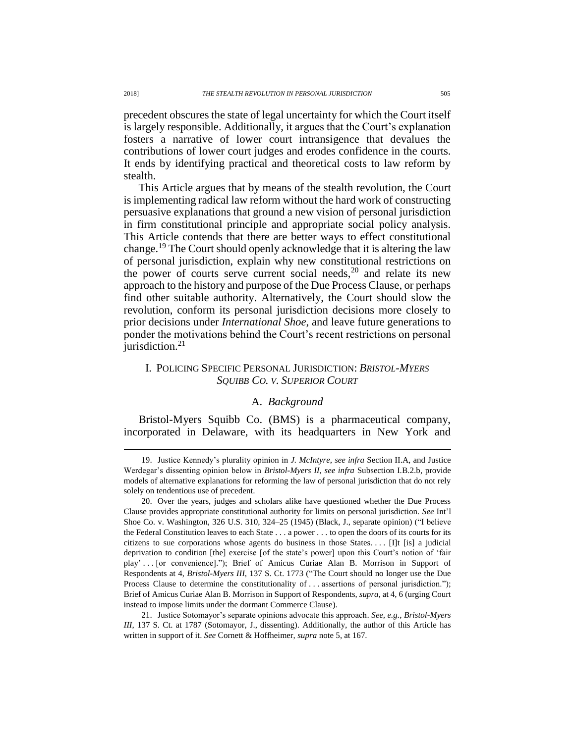precedent obscures the state of legal uncertainty for which the Court itself is largely responsible. Additionally, it argues that the Court's explanation fosters a narrative of lower court intransigence that devalues the contributions of lower court judges and erodes confidence in the courts. It ends by identifying practical and theoretical costs to law reform by stealth.

This Article argues that by means of the stealth revolution, the Court is implementing radical law reform without the hard work of constructing persuasive explanations that ground a new vision of personal jurisdiction in firm constitutional principle and appropriate social policy analysis. This Article contends that there are better ways to effect constitutional change.<sup>19</sup> The Court should openly acknowledge that it is altering the law of personal jurisdiction, explain why new constitutional restrictions on the power of courts serve current social needs, $20$  and relate its new approach to the history and purpose of the Due Process Clause, or perhaps find other suitable authority. Alternatively, the Court should slow the revolution, conform its personal jurisdiction decisions more closely to prior decisions under *International Shoe*, and leave future generations to ponder the motivations behind the Court's recent restrictions on personal jurisdiction. $21$ 

# I. POLICING SPECIFIC PERSONAL JURISDICTION: *BRISTOL-MYERS SQUIBB CO. V. SUPERIOR COURT*

# A. *Background*

Bristol-Myers Squibb Co. (BMS) is a pharmaceutical company, incorporated in Delaware, with its headquarters in New York and

21. Justice Sotomayor's separate opinions advocate this approach. *See, e.g.*, *Bristol-Myers III*, 137 S. Ct. at 1787 (Sotomayor, J., dissenting). Additionally, the author of this Article has written in support of it. *See* Cornett & Hoffheimer, *supra* not[e 5,](#page-2-1) at 167.

<sup>19.</sup> Justice Kennedy's plurality opinion in *J. McIntyre*, *see infra* Section II.A, and Justice Werdegar's dissenting opinion below in *Bristol-Myers II*, *see infra* Subsection I.B.2.b, provide models of alternative explanations for reforming the law of personal jurisdiction that do not rely solely on tendentious use of precedent.

<sup>20.</sup> Over the years, judges and scholars alike have questioned whether the Due Process Clause provides appropriate constitutional authority for limits on personal jurisdiction. *See* Int'l Shoe Co. v. Washington, 326 U.S. 310, 324–25 (1945) (Black, J., separate opinion) ("I believe the Federal Constitution leaves to each State . . . a power . . . to open the doors of its courts for its citizens to sue corporations whose agents do business in those States. . . . [I]t [is] a judicial deprivation to condition [the] exercise [of the state's power] upon this Court's notion of 'fair play' . . . [or convenience]."); Brief of Amicus Curiae Alan B. Morrison in Support of Respondents at 4, *Bristol-Myers III*, 137 S. Ct. 1773 ("The Court should no longer use the Due Process Clause to determine the constitutionality of . . . assertions of personal jurisdiction."); Brief of Amicus Curiae Alan B. Morrison in Support of Respondents, *supra*, at 4, 6 (urging Court instead to impose limits under the dormant Commerce Clause).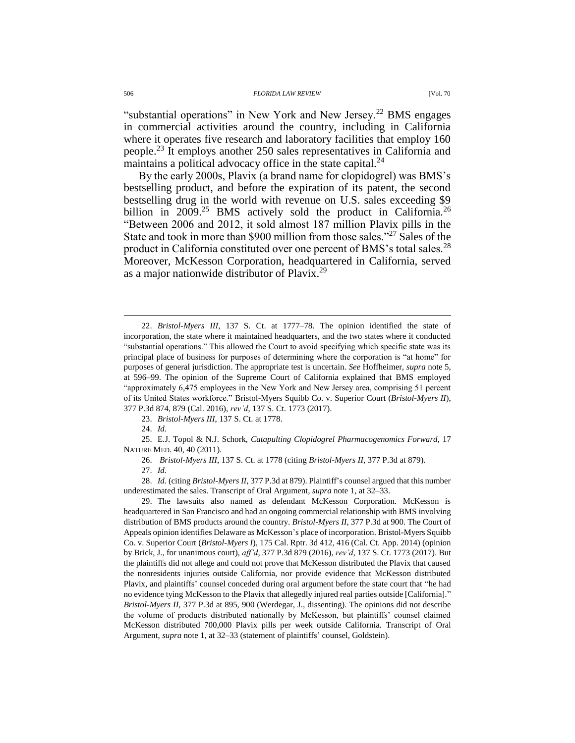"substantial operations" in New York and New Jersey.<sup>22</sup> BMS engages in commercial activities around the country, including in California where it operates five research and laboratory facilities that employ 160 people.<sup>23</sup> It employs another 250 sales representatives in California and maintains a political advocacy office in the state capital. $^{24}$ 

By the early 2000s, Plavix (a brand name for clopidogrel) was BMS's bestselling product, and before the expiration of its patent, the second bestselling drug in the world with revenue on U.S. sales exceeding \$9 billion in 2009.<sup>25</sup> BMS actively sold the product in California.<sup>26</sup> "Between 2006 and 2012, it sold almost 187 million Plavix pills in the State and took in more than \$900 million from those sales."<sup>27</sup> Sales of the product in California constituted over one percent of BMS's total sales.<sup>28</sup> Moreover, McKesson Corporation, headquartered in California, served as a major nationwide distributor of Plavix.<sup>29</sup>

23. *Bristol-Myers III*, 137 S. Ct. at 1778.

24. *Id.*

25. E.J. Topol & N.J. Schork, *Catapulting Clopidogrel Pharmacogenomics Forward*, 17 NATURE MED. 40, 40 (2011).

26. *Bristol-Myers III*, 137 S. Ct. at 1778 (citing *Bristol-Myers II*, 377 P.3d at 879).

27. *Id.* 

28. *Id.* (citing *Bristol-Myers II*, 377 P.3d at 879). Plaintiff's counsel argued that this number underestimated the sales. Transcript of Oral Argument, *supra* note 1, at 32–33.

29. The lawsuits also named as defendant McKesson Corporation. McKesson is headquartered in San Francisco and had an ongoing commercial relationship with BMS involving distribution of BMS products around the country. *Bristol-Myers II*, 377 P.3d at 900. The Court of Appeals opinion identifies Delaware as McKesson's place of incorporation. Bristol-Myers Squibb Co. v. Superior Court (*Bristol-Myers I*), 175 Cal. Rptr. 3d 412, 416 (Cal. Ct. App. 2014) (opinion by Brick, J., for unanimous court), *aff'd*, 377 P.3d 879 (2016), *rev'd*, 137 S. Ct. 1773 (2017). But the plaintiffs did not allege and could not prove that McKesson distributed the Plavix that caused the nonresidents injuries outside California, nor provide evidence that McKesson distributed Plavix, and plaintiffs' counsel conceded during oral argument before the state court that "he had no evidence tying McKesson to the Plavix that allegedly injured real parties outside [California]." *Bristol-Myers II*, 377 P.3d at 895, 900 (Werdegar, J., dissenting). The opinions did not describe the volume of products distributed nationally by McKesson, but plaintiffs' counsel claimed McKesson distributed 700,000 Plavix pills per week outside California. Transcript of Oral Argument, *supra* note 1, at 32–33 (statement of plaintiffs' counsel, Goldstein).

<sup>22.</sup> *Bristol-Myers III*, 137 S. Ct. at 1777–78. The opinion identified the state of incorporation, the state where it maintained headquarters, and the two states where it conducted "substantial operations." This allowed the Court to avoid specifying which specific state was its principal place of business for purposes of determining where the corporation is "at home" for purposes of general jurisdiction. The appropriate test is uncertain. *See* Hoffheimer, *supra* not[e 5,](#page-2-1) at 596–99. The opinion of the Supreme Court of California explained that BMS employed "approximately 6,475 employees in the New York and New Jersey area, comprising 51 percent of its United States workforce." Bristol-Myers Squibb Co. v. Superior Court (*Bristol-Myers II*), 377 P.3d 874, 879 (Cal. 2016), *rev'd*, 137 S. Ct. 1773 (2017).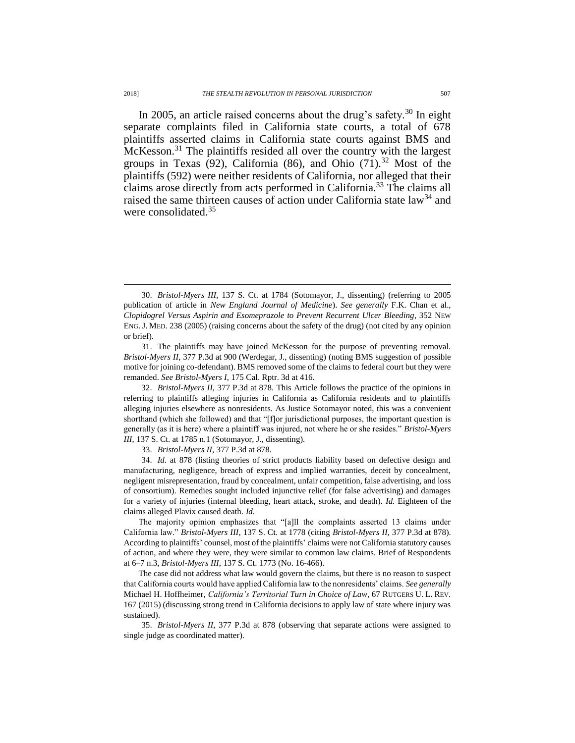<span id="page-8-0"></span>In 2005, an article raised concerns about the drug's safety.<sup>30</sup> In eight separate complaints filed in California state courts, a total of 678 plaintiffs asserted claims in California state courts against BMS and McKesson.<sup>31</sup> The plaintiffs resided all over the country with the largest groups in Texas  $(92)$ , California  $(86)$ , and Ohio  $(71)$ .<sup>32</sup> Most of the plaintiffs (592) were neither residents of California, nor alleged that their claims arose directly from acts performed in California.<sup>33</sup> The claims all raised the same thirteen causes of action under California state law<sup>34</sup> and were consolidated.<sup>35</sup>

32. *Bristol-Myers II*, 377 P.3d at 878. This Article follows the practice of the opinions in referring to plaintiffs alleging injuries in California as California residents and to plaintiffs alleging injuries elsewhere as nonresidents. As Justice Sotomayor noted, this was a convenient shorthand (which she followed) and that "[f]or jurisdictional purposes, the important question is generally (as it is here) where a plaintiff was injured, not where he or she resides." *Bristol-Myers III*, 137 S. Ct. at 1785 n.1 (Sotomayor, J., dissenting).

33. *Bristol-Myers II*, 377 P.3d at 878.

34. *Id.* at 878 (listing theories of strict products liability based on defective design and manufacturing, negligence, breach of express and implied warranties, deceit by concealment, negligent misrepresentation, fraud by concealment, unfair competition, false advertising, and loss of consortium). Remedies sought included injunctive relief (for false advertising) and damages for a variety of injuries (internal bleeding, heart attack, stroke, and death). *Id.* Eighteen of the claims alleged Plavix caused death. *Id.*

The majority opinion emphasizes that "[a]ll the complaints asserted 13 claims under California law." *Bristol-Myers III*, 137 S. Ct. at 1778 (citing *Bristol-Myers II*, 377 P.3d at 878). According to plaintiffs' counsel, most of the plaintiffs' claims were not California statutory causes of action, and where they were, they were similar to common law claims. Brief of Respondents at 6–7 n.3, *Bristol-Myers III*, 137 S. Ct. 1773 (No. 16-466).

The case did not address what law would govern the claims, but there is no reason to suspect that California courts would have applied California law to the nonresidents' claims. *See generally* Michael H. Hoffheimer, *California's Territorial Turn in Choice of Law*, 67 RUTGERS U. L. REV. 167 (2015) (discussing strong trend in California decisions to apply law of state where injury was sustained).

35. *Bristol-Myers II*, 377 P.3d at 878 (observing that separate actions were assigned to single judge as coordinated matter).

<sup>30.</sup> *Bristol-Myers III*, 137 S. Ct. at 1784 (Sotomayor, J., dissenting) (referring to 2005 publication of article in *New England Journal of Medicine*). *See generally* F.K. Chan et al., *Clopidogrel Versus Aspirin and Esomeprazole to Prevent Recurrent Ulcer Bleeding*, 352 NEW ENG. J. MED. 238 (2005) (raising concerns about the safety of the drug) (not cited by any opinion or brief).

<sup>31.</sup> The plaintiffs may have joined McKesson for the purpose of preventing removal. *Bristol-Myers II*, 377 P.3d at 900 (Werdegar, J., dissenting) (noting BMS suggestion of possible motive for joining co-defendant). BMS removed some of the claims to federal court but they were remanded. *See Bristol-Myers I*, 175 Cal. Rptr. 3d at 416.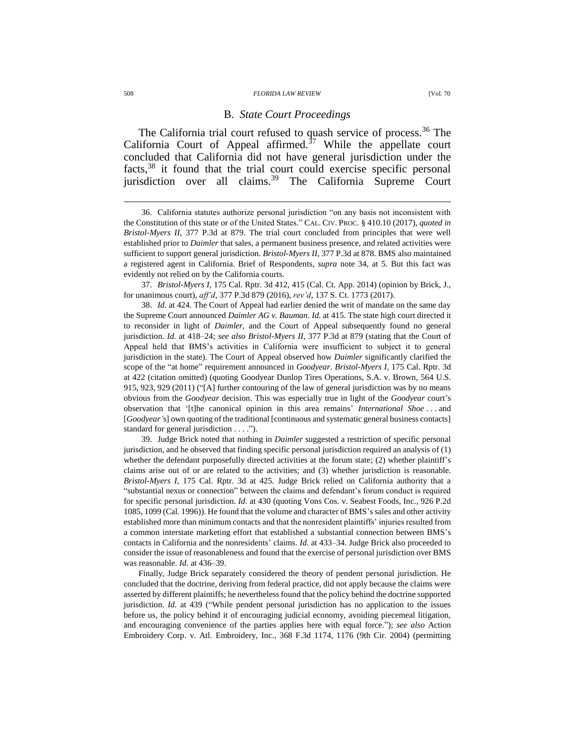#### 508 *FLORIDA LAW REVIEW* [Vol. 70

# <span id="page-9-0"></span>B. *State Court Proceedings*

The California trial court refused to quash service of process.<sup>36</sup> The California Court of Appeal affirmed.<sup> $37$ </sup> While the appellate court concluded that California did not have general jurisdiction under the facts,<sup>38</sup> it found that the trial court could exercise specific personal jurisdiction over all claims.<sup>39</sup> The California Supreme Court

37. *Bristol-Myers I*, 175 Cal. Rptr. 3d 412, 415 (Cal. Ct. App. 2014) (opinion by Brick, J., for unanimous court), *aff'd*, 377 P.3d 879 (2016), *rev'd*, 137 S. Ct. 1773 (2017).

38. *Id.* at 424. The Court of Appeal had earlier denied the writ of mandate on the same day the Supreme Court announced *Daimler AG v. Bauman*. *Id.* at 415. The state high court directed it to reconsider in light of *Daimler*, and the Court of Appeal subsequently found no general jurisdiction. *Id.* at 418–24; *see also Bristol-Myers II*, 377 P.3d at 879 (stating that the Court of Appeal held that BMS's activities in California were insufficient to subject it to general jurisdiction in the state). The Court of Appeal observed how *Daimler* significantly clarified the scope of the "at home" requirement announced in *Goodyear*. *Bristol-Myers I*, 175 Cal. Rptr. 3d at 422 (citation omitted) (quoting Goodyear Dunlop Tires Operations, S.A. v. Brown, 564 U.S. 915, 923, 929 (2011) ("[A] further contouring of the law of general jurisdiction was by no means obvious from the *Goodyear* decision. This was especially true in light of the *Goodyear* court's observation that '[t]he canonical opinion in this area remains' *International Shoe* . . . and [*Goodyear'*s] own quoting of the traditional [continuous and systematic general business contacts] standard for general jurisdiction . . . .").

39. Judge Brick noted that nothing in *Daimler* suggested a restriction of specific personal jurisdiction, and he observed that finding specific personal jurisdiction required an analysis of (1) whether the defendant purposefully directed activities at the forum state; (2) whether plaintiff's claims arise out of or are related to the activities; and (3) whether jurisdiction is reasonable. *Bristol-Myers I*, 175 Cal. Rptr. 3d at 425. Judge Brick relied on California authority that a "substantial nexus or connection" between the claims and defendant's forum conduct is required for specific personal jurisdiction. *Id.* at 430 (quoting Vons Cos. v. Seabest Foods, Inc., 926 P.2d 1085, 1099 (Cal. 1996)). He found that the volume and character of BMS's sales and other activity established more than minimum contacts and that the nonresident plaintiffs' injuries resulted from a common interstate marketing effort that established a substantial connection between BMS's contacts in California and the nonresidents' claims. *Id.* at 433–34. Judge Brick also proceeded to consider the issue of reasonableness and found that the exercise of personal jurisdiction over BMS was reasonable. *Id.* at 436–39.

Finally, Judge Brick separately considered the theory of pendent personal jurisdiction. He concluded that the doctrine, deriving from federal practice, did not apply because the claims were asserted by different plaintiffs; he nevertheless found that the policy behind the doctrine supported jurisdiction. *Id.* at 439 ("While pendent personal jurisdiction has no application to the issues before us, the policy behind it of encouraging judicial economy, avoiding piecemeal litigation, and encouraging convenience of the parties applies here with equal force."); *see also* Action Embroidery Corp. v. Atl. Embroidery, Inc., 368 F.3d 1174, 1176 (9th Cir. 2004) (permitting

<sup>36.</sup> California statutes authorize personal jurisdiction "on any basis not inconsistent with the Constitution of this state or of the United States." CAL. CIV. PROC. § 410.10 (2017), *quoted in Bristol-Myers II*, 377 P.3d at 879. The trial court concluded from principles that were well established prior to *Daimler* that sales, a permanent business presence, and related activities were sufficient to support general jurisdiction. *Bristol-Myers II*, 377 P.3d at 878. BMS also maintained a registered agent in California. Brief of Respondents, *supra* note [34,](#page-8-0) at 5. But this fact was evidently not relied on by the California courts.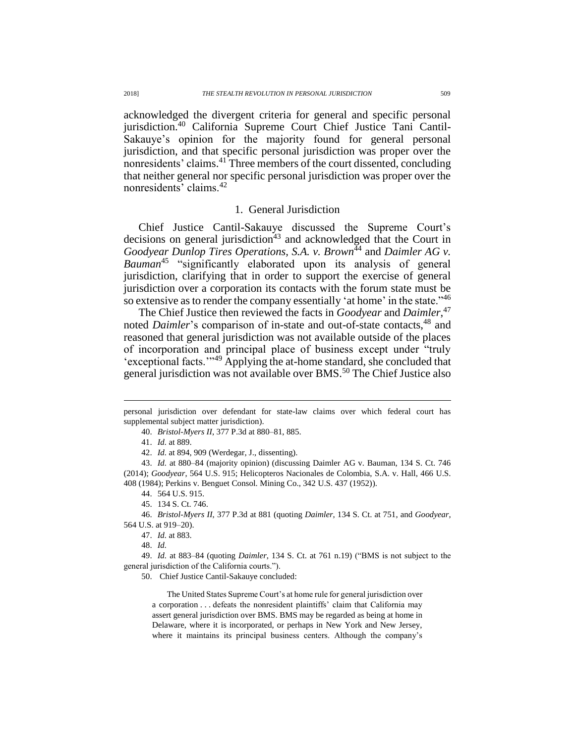acknowledged the divergent criteria for general and specific personal jurisdiction.<sup>40</sup> California Supreme Court Chief Justice Tani Cantil-Sakauye's opinion for the majority found for general personal jurisdiction, and that specific personal jurisdiction was proper over the nonresidents' claims.<sup>41</sup> Three members of the court dissented, concluding that neither general nor specific personal jurisdiction was proper over the nonresidents' claims.<sup>42</sup>

# 1. General Jurisdiction

Chief Justice Cantil-Sakauye discussed the Supreme Court's decisions on general jurisdiction<sup>43</sup> and acknowledged that the Court in *Goodyear Dunlop Tires Operations, S.A. v. Brown*<sup> $44$ </sup> and *Daimler AG v. Bauman*<sup>45</sup> "significantly elaborated upon its analysis of general jurisdiction, clarifying that in order to support the exercise of general jurisdiction over a corporation its contacts with the forum state must be so extensive as to render the company essentially 'at home' in the state."<sup>46</sup>

The Chief Justice then reviewed the facts in *Goodyear* and *Daimler*, 47 noted *Daimler*'s comparison of in-state and out-of-state contacts,<sup>48</sup> and reasoned that general jurisdiction was not available outside of the places of incorporation and principal place of business except under "truly 'exceptional facts.'"<sup>49</sup> Applying the at-home standard, she concluded that general jurisdiction was not available over BMS.<sup>50</sup> The Chief Justice also

40. *Bristol-Myers II*, 377 P.3d at 880–81, 885.

41. *Id.* at 889.

<span id="page-10-0"></span> $\overline{a}$ 

42. *Id.* at 894, 909 (Werdegar, J., dissenting).

43. *Id.* at 880–84 (majority opinion) (discussing Daimler AG v. Bauman, 134 S. Ct. 746 (2014); *Goodyear*, 564 U.S. 915; Helicopteros Nacionales de Colombia, S.A. v. Hall, 466 U.S. 408 (1984); Perkins v. Benguet Consol. Mining Co., 342 U.S. 437 (1952)).

44. 564 U.S. 915.

- 45. 134 S. Ct. 746.
- 46. *Bristol-Myers II*, 377 P.3d at 881 (quoting *Daimler*, 134 S. Ct. at 751, and *Goodyear*, 564 U.S. at 919–20).

47. *Id.* at 883.

48. *Id.*

49. *Id.* at 883–84 (quoting *Daimler*, 134 S. Ct. at 761 n.19) ("BMS is not subject to the general jurisdiction of the California courts.").

50. Chief Justice Cantil-Sakauye concluded:

The United States Supreme Court's at home rule for general jurisdiction over a corporation . . . defeats the nonresident plaintiffs' claim that California may assert general jurisdiction over BMS. BMS may be regarded as being at home in Delaware, where it is incorporated, or perhaps in New York and New Jersey, where it maintains its principal business centers. Although the company's

personal jurisdiction over defendant for state-law claims over which federal court has supplemental subject matter jurisdiction).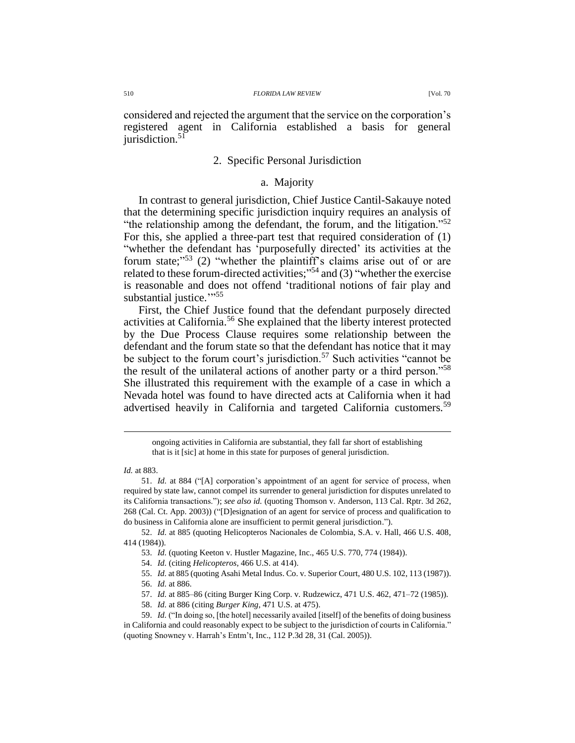considered and rejected the argument that the service on the corporation's registered agent in California established a basis for general iurisdiction. $51$ 

## 2. Specific Personal Jurisdiction

## <span id="page-11-1"></span>a. Majority

In contrast to general jurisdiction, Chief Justice Cantil-Sakauye noted that the determining specific jurisdiction inquiry requires an analysis of "the relationship among the defendant, the forum, and the litigation."<sup>52</sup> For this, she applied a three-part test that required consideration of (1) "whether the defendant has 'purposefully directed' its activities at the forum state;"<sup>53</sup> (2) "whether the plaintiff's claims arise out of or are related to these forum-directed activities;"<sup>54</sup> and (3) "whether the exercise is reasonable and does not offend 'traditional notions of fair play and substantial justice."<sup>55</sup>

<span id="page-11-0"></span>First, the Chief Justice found that the defendant purposely directed activities at California.<sup>56</sup> She explained that the liberty interest protected by the Due Process Clause requires some relationship between the defendant and the forum state so that the defendant has notice that it may be subject to the forum court's jurisdiction.<sup>57</sup> Such activities "cannot be the result of the unilateral actions of another party or a third person."<sup>58</sup> She illustrated this requirement with the example of a case in which a Nevada hotel was found to have directed acts at California when it had advertised heavily in California and targeted California customers.<sup>59</sup>

- 54. *Id.* (citing *Helicopteros*, 466 U.S. at 414).
- 55. *Id.* at 885 (quoting Asahi Metal Indus. Co. v. Superior Court, 480 U.S. 102, 113 (1987)).
- 56. *Id.* at 886.
- 57. *Id.* at 885–86 (citing Burger King Corp. v. Rudzewicz, 471 U.S. 462, 471–72 (1985)).
- 58. *Id.* at 886 (citing *Burger King*, 471 U.S. at 475).

ongoing activities in California are substantial, they fall far short of establishing that is it [sic] at home in this state for purposes of general jurisdiction.

*Id.* at 883.

<sup>51.</sup> *Id.* at 884 ("[A] corporation's appointment of an agent for service of process, when required by state law, cannot compel its surrender to general jurisdiction for disputes unrelated to its California transactions."); *see also id.* (quoting Thomson v. Anderson, 113 Cal. Rptr. 3d 262, 268 (Cal. Ct. App. 2003)) ("[D]esignation of an agent for service of process and qualification to do business in California alone are insufficient to permit general jurisdiction.").

<sup>52.</sup> *Id.* at 885 (quoting Helicopteros Nacionales de Colombia, S.A. v. Hall, 466 U.S. 408, 414 (1984)).

<sup>53.</sup> *Id.* (quoting Keeton v. Hustler Magazine, Inc., 465 U.S. 770, 774 (1984)).

<sup>59.</sup> *Id.* ("In doing so, [the hotel] necessarily availed [itself] of the benefits of doing business in California and could reasonably expect to be subject to the jurisdiction of courts in California." (quoting Snowney v. Harrah's Entm't, Inc., 112 P.3d 28, 31 (Cal. 2005)).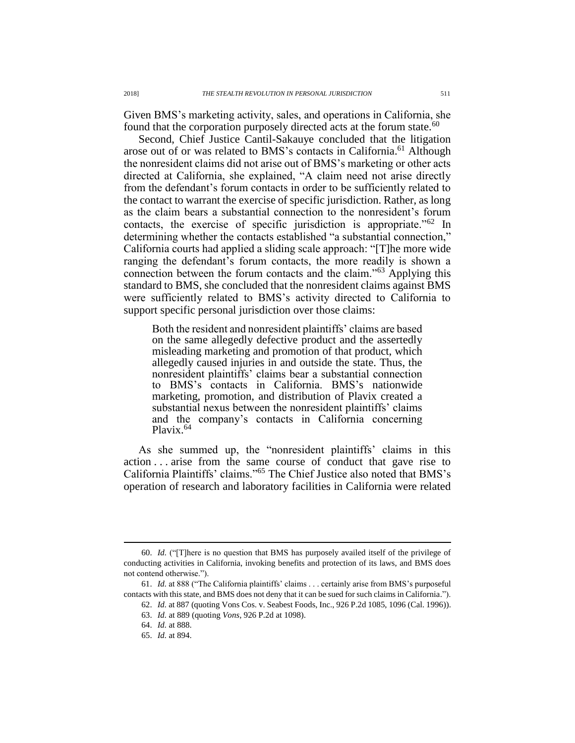Given BMS's marketing activity, sales, and operations in California, she found that the corporation purposely directed acts at the forum state.<sup>60</sup>

<span id="page-12-0"></span>Second, Chief Justice Cantil-Sakauye concluded that the litigation arose out of or was related to BMS's contacts in California.<sup>61</sup> Although the nonresident claims did not arise out of BMS's marketing or other acts directed at California, she explained, "A claim need not arise directly from the defendant's forum contacts in order to be sufficiently related to the contact to warrant the exercise of specific jurisdiction. Rather, as long as the claim bears a substantial connection to the nonresident's forum contacts, the exercise of specific jurisdiction is appropriate."<sup>62</sup> In determining whether the contacts established "a substantial connection," California courts had applied a sliding scale approach: "[T]he more wide ranging the defendant's forum contacts, the more readily is shown a connection between the forum contacts and the claim."<sup>63</sup> Applying this standard to BMS, she concluded that the nonresident claims against BMS were sufficiently related to BMS's activity directed to California to support specific personal jurisdiction over those claims:

Both the resident and nonresident plaintiffs' claims are based on the same allegedly defective product and the assertedly misleading marketing and promotion of that product, which allegedly caused injuries in and outside the state. Thus, the nonresident plaintiffs' claims bear a substantial connection to BMS's contacts in California. BMS's nationwide marketing, promotion, and distribution of Plavix created a substantial nexus between the nonresident plaintiffs' claims and the company's contacts in California concerning Plavix.<sup>64</sup>

As she summed up, the "nonresident plaintiffs' claims in this action . . . arise from the same course of conduct that gave rise to California Plaintiffs' claims."<sup>65</sup> The Chief Justice also noted that BMS's operation of research and laboratory facilities in California were related

<sup>60.</sup> *Id.* ("[T]here is no question that BMS has purposely availed itself of the privilege of conducting activities in California, invoking benefits and protection of its laws, and BMS does not contend otherwise.").

<sup>61.</sup> *Id.* at 888 ("The California plaintiffs' claims . . . certainly arise from BMS's purposeful contacts with this state, and BMS does not deny that it can be sued for such claims in California.").

<sup>62.</sup> *Id.* at 887 (quoting Vons Cos. v. Seabest Foods, Inc., 926 P.2d 1085, 1096 (Cal. 1996)).

<sup>63.</sup> *Id.* at 889 (quoting *Vons*, 926 P.2d at 1098).

<sup>64.</sup> *Id.* at 888.

<sup>65.</sup> *Id.* at 894.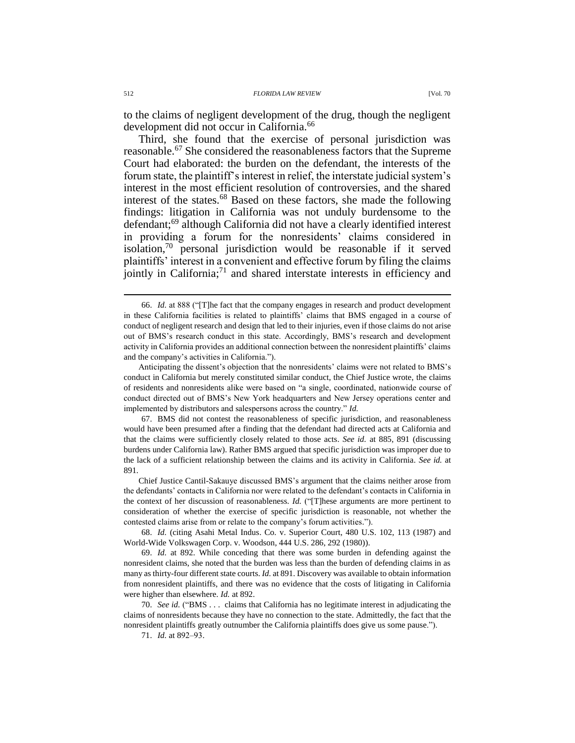<span id="page-13-0"></span>to the claims of negligent development of the drug, though the negligent development did not occur in California.<sup>66</sup>

Third, she found that the exercise of personal jurisdiction was reasonable.<sup>67</sup> She considered the reasonableness factors that the Supreme Court had elaborated: the burden on the defendant, the interests of the forum state, the plaintiff's interest in relief, the interstate judicial system's interest in the most efficient resolution of controversies, and the shared interest of the states.<sup>68</sup> Based on these factors, she made the following findings: litigation in California was not unduly burdensome to the defendant;<sup>69</sup> although California did not have a clearly identified interest in providing a forum for the nonresidents' claims considered in isolation,<sup>70</sup> personal jurisdiction would be reasonable if it served plaintiffs' interest in a convenient and effective forum by filing the claims jointly in California;<sup>71</sup> and shared interstate interests in efficiency and

Anticipating the dissent's objection that the nonresidents' claims were not related to BMS's conduct in California but merely constituted similar conduct, the Chief Justice wrote, the claims of residents and nonresidents alike were based on "a single, coordinated, nationwide course of conduct directed out of BMS's New York headquarters and New Jersey operations center and implemented by distributors and salespersons across the country." *Id.*

67. BMS did not contest the reasonableness of specific jurisdiction, and reasonableness would have been presumed after a finding that the defendant had directed acts at California and that the claims were sufficiently closely related to those acts. *See id.* at 885, 891 (discussing burdens under California law). Rather BMS argued that specific jurisdiction was improper due to the lack of a sufficient relationship between the claims and its activity in California. *See id.* at 891.

Chief Justice Cantil-Sakauye discussed BMS's argument that the claims neither arose from the defendants' contacts in California nor were related to the defendant's contacts in California in the context of her discussion of reasonableness. *Id.* ("[T]hese arguments are more pertinent to consideration of whether the exercise of specific jurisdiction is reasonable, not whether the contested claims arise from or relate to the company's forum activities.").

68. *Id.* (citing Asahi Metal Indus. Co. v. Superior Court, 480 U.S. 102, 113 (1987) and World-Wide Volkswagen Corp. v. Woodson, 444 U.S. 286, 292 (1980)).

69. *Id.* at 892. While conceding that there was some burden in defending against the nonresident claims, she noted that the burden was less than the burden of defending claims in as many as thirty-four different state courts. *Id.* at 891. Discovery was available to obtain information from nonresident plaintiffs, and there was no evidence that the costs of litigating in California were higher than elsewhere. *Id.* at 892.

70. *See id.* ("BMS . . . claims that California has no legitimate interest in adjudicating the claims of nonresidents because they have no connection to the state. Admittedly, the fact that the nonresident plaintiffs greatly outnumber the California plaintiffs does give us some pause.").

71. *Id.* at 892‒93.

<span id="page-13-1"></span><sup>66.</sup> *Id.* at 888 ("[T]he fact that the company engages in research and product development in these California facilities is related to plaintiffs' claims that BMS engaged in a course of conduct of negligent research and design that led to their injuries, even if those claims do not arise out of BMS's research conduct in this state. Accordingly, BMS's research and development activity in California provides an additional connection between the nonresident plaintiffs' claims and the company's activities in California.").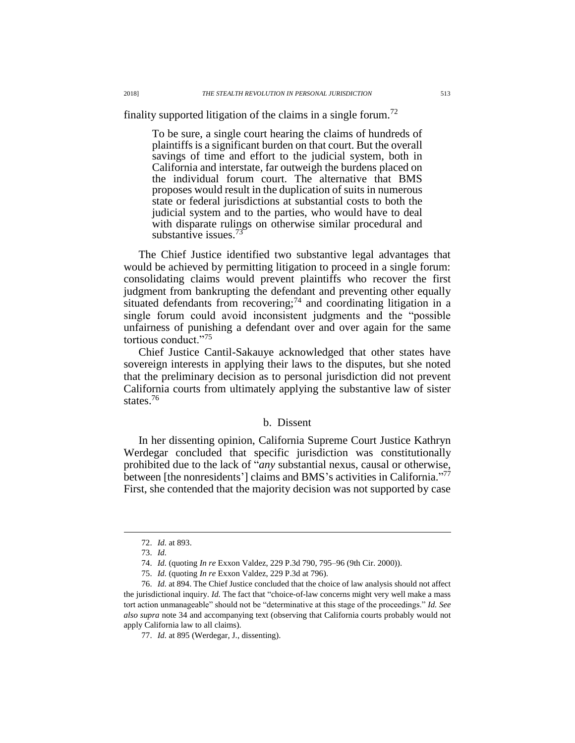finality supported litigation of the claims in a single forum.<sup>72</sup>

To be sure, a single court hearing the claims of hundreds of plaintiffs is a significant burden on that court. But the overall savings of time and effort to the judicial system, both in California and interstate, far outweigh the burdens placed on the individual forum court. The alternative that BMS proposes would result in the duplication of suits in numerous state or federal jurisdictions at substantial costs to both the judicial system and to the parties, who would have to deal with disparate rulings on otherwise similar procedural and substantive issues.<sup>73</sup>

The Chief Justice identified two substantive legal advantages that would be achieved by permitting litigation to proceed in a single forum: consolidating claims would prevent plaintiffs who recover the first judgment from bankrupting the defendant and preventing other equally situated defendants from recovering;<sup>74</sup> and coordinating litigation in a single forum could avoid inconsistent judgments and the "possible unfairness of punishing a defendant over and over again for the same tortious conduct."<sup>75</sup>

Chief Justice Cantil-Sakauye acknowledged that other states have sovereign interests in applying their laws to the disputes, but she noted that the preliminary decision as to personal jurisdiction did not prevent California courts from ultimately applying the substantive law of sister states.<sup>76</sup>

## b. Dissent

<span id="page-14-0"></span>In her dissenting opinion, California Supreme Court Justice Kathryn Werdegar concluded that specific jurisdiction was constitutionally prohibited due to the lack of "*any* substantial nexus, causal or otherwise, between [the nonresidents'] claims and BMS's activities in California."<sup>77</sup> First, she contended that the majority decision was not supported by case

<sup>72.</sup> *Id.* at 893.

<sup>73.</sup> *Id.*

<sup>74.</sup> *Id.* (quoting *In re* Exxon Valdez, 229 P.3d 790, 795–96 (9th Cir. 2000)).

<sup>75.</sup> *Id.* (quoting *In re* Exxon Valdez, 229 P.3d at 796).

<sup>76.</sup> *Id.* at 894. The Chief Justice concluded that the choice of law analysis should not affect the jurisdictional inquiry. *Id.* The fact that "choice-of-law concerns might very well make a mass tort action unmanageable" should not be "determinative at this stage of the proceedings." *Id. See also supra* note [34](#page-8-0) and accompanying text (observing that California courts probably would not apply California law to all claims).

<sup>77.</sup> *Id.* at 895 (Werdegar, J., dissenting).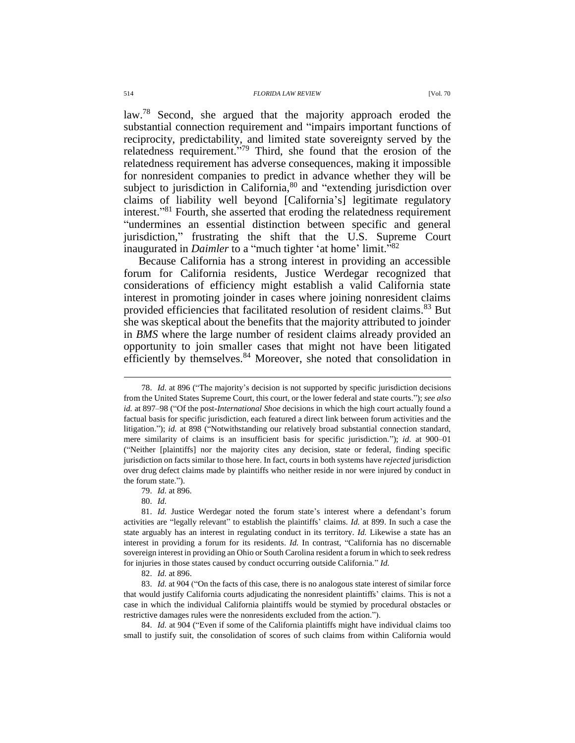#### 514 *FLORIDA LAW REVIEW* [Vol. 70

law.<sup>78</sup> Second, she argued that the majority approach eroded the substantial connection requirement and "impairs important functions of reciprocity, predictability, and limited state sovereignty served by the relatedness requirement." <sup>79</sup> Third, she found that the erosion of the relatedness requirement has adverse consequences, making it impossible for nonresident companies to predict in advance whether they will be subject to jurisdiction in California, <sup>80</sup> and "extending jurisdiction over claims of liability well beyond [California's] legitimate regulatory interest." <sup>81</sup> Fourth, she asserted that eroding the relatedness requirement "undermines an essential distinction between specific and general jurisdiction," frustrating the shift that the U.S. Supreme Court inaugurated in *Daimler* to a "much tighter 'at home' limit.<sup>582</sup>

Because California has a strong interest in providing an accessible forum for California residents, Justice Werdegar recognized that considerations of efficiency might establish a valid California state interest in promoting joinder in cases where joining nonresident claims provided efficiencies that facilitated resolution of resident claims.<sup>83</sup> But she was skeptical about the benefits that the majority attributed to joinder in *BMS* where the large number of resident claims already provided an opportunity to join smaller cases that might not have been litigated efficiently by themselves.<sup>84</sup> Moreover, she noted that consolidation in

79. *Id.* at 896.

80. *Id.*

 $\overline{a}$ 

82. *Id.* at 896.

83. *Id.* at 904 ("On the facts of this case, there is no analogous state interest of similar force that would justify California courts adjudicating the nonresident plaintiffs' claims. This is not a case in which the individual California plaintiffs would be stymied by procedural obstacles or restrictive damages rules were the nonresidents excluded from the action.").

84. *Id.* at 904 ("Even if some of the California plaintiffs might have individual claims too small to justify suit, the consolidation of scores of such claims from within California would

<sup>78.</sup> *Id.* at 896 ("The majority's decision is not supported by specific jurisdiction decisions from the United States Supreme Court, this court, or the lower federal and state courts."); *see also id.* at 897–98 ("Of the post-*International Shoe* decisions in which the high court actually found a factual basis for specific jurisdiction, each featured a direct link between forum activities and the litigation."); *id.* at 898 ("Notwithstanding our relatively broad substantial connection standard, mere similarity of claims is an insufficient basis for specific jurisdiction."); *id.* at 900–01 ("Neither [plaintiffs] nor the majority cites any decision, state or federal, finding specific jurisdiction on facts similar to those here. In fact, courts in both systems have *rejected* jurisdiction over drug defect claims made by plaintiffs who neither reside in nor were injured by conduct in the forum state.").

<sup>81.</sup> *Id.* Justice Werdegar noted the forum state's interest where a defendant's forum activities are "legally relevant" to establish the plaintiffs' claims. *Id.* at 899. In such a case the state arguably has an interest in regulating conduct in its territory. *Id.* Likewise a state has an interest in providing a forum for its residents. *Id.* In contrast, "California has no discernable sovereign interest in providing an Ohio or South Carolina resident a forum in which to seek redress for injuries in those states caused by conduct occurring outside California." *Id.*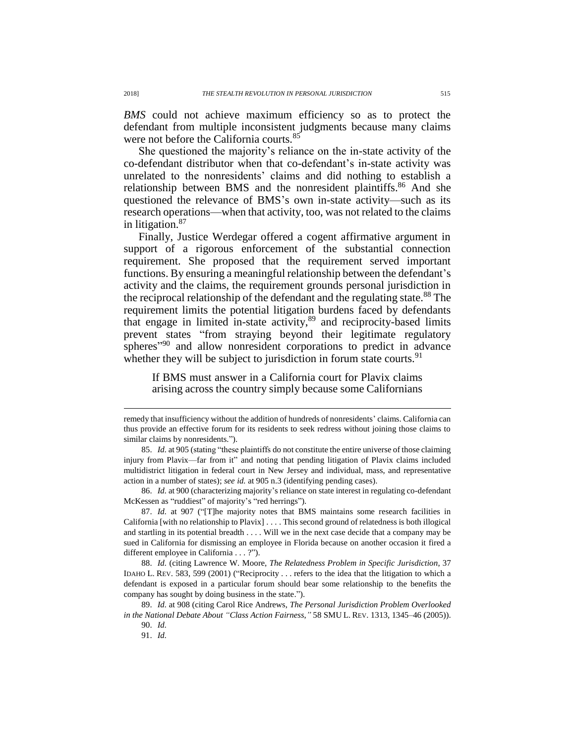*BMS* could not achieve maximum efficiency so as to protect the defendant from multiple inconsistent judgments because many claims were not before the California courts.<sup>85</sup>

She questioned the majority's reliance on the in-state activity of the co-defendant distributor when that co-defendant's in-state activity was unrelated to the nonresidents' claims and did nothing to establish a relationship between BMS and the nonresident plaintiffs.<sup>86</sup> And she questioned the relevance of BMS's own in-state activity—such as its research operations—when that activity, too, was not related to the claims in litigation.<sup>87</sup>

Finally, Justice Werdegar offered a cogent affirmative argument in support of a rigorous enforcement of the substantial connection requirement. She proposed that the requirement served important functions. By ensuring a meaningful relationship between the defendant's activity and the claims, the requirement grounds personal jurisdiction in the reciprocal relationship of the defendant and the regulating state.<sup>88</sup> The requirement limits the potential litigation burdens faced by defendants that engage in limited in-state activity, <sup>89</sup> and reciprocity-based limits prevent states "from straying beyond their legitimate regulatory spheres<sup>"90</sup> and allow nonresident corporations to predict in advance whether they will be subject to jurisdiction in forum state courts.  $91$ 

<span id="page-16-0"></span>If BMS must answer in a California court for Plavix claims arising across the country simply because some Californians

88. *Id.* (citing Lawrence W. Moore, *The Relatedness Problem in Specific Jurisdiction*, 37 IDAHO L. REV. 583, 599 (2001) ("Reciprocity . . . refers to the idea that the litigation to which a defendant is exposed in a particular forum should bear some relationship to the benefits the company has sought by doing business in the state.").

89. *Id.* at 908 (citing Carol Rice Andrews, *The Personal Jurisdiction Problem Overlooked in the National Debate About "Class Action Fairness*,*"* 58 SMU L. REV. 1313, 1345–46 (2005)).

remedy that insufficiency without the addition of hundreds of nonresidents' claims. California can thus provide an effective forum for its residents to seek redress without joining those claims to similar claims by nonresidents.").

<sup>85.</sup> *Id.* at 905 (stating "these plaintiffs do not constitute the entire universe of those claiming injury from Plavix—far from it" and noting that pending litigation of Plavix claims included multidistrict litigation in federal court in New Jersey and individual, mass, and representative action in a number of states); *see id.* at 905 n.3 (identifying pending cases).

<sup>86.</sup> *Id.* at 900 (characterizing majority's reliance on state interest in regulating co-defendant McKessen as "ruddiest" of majority's "red herrings").

<sup>87.</sup> *Id.* at 907 ("[T]he majority notes that BMS maintains some research facilities in California [with no relationship to Plavix] . . . . This second ground of relatedness is both illogical and startling in its potential breadth . . . . Will we in the next case decide that a company may be sued in California for dismissing an employee in Florida because on another occasion it fired a different employee in California . . . ?").

<sup>90.</sup> *Id.*

<sup>91.</sup> *Id.*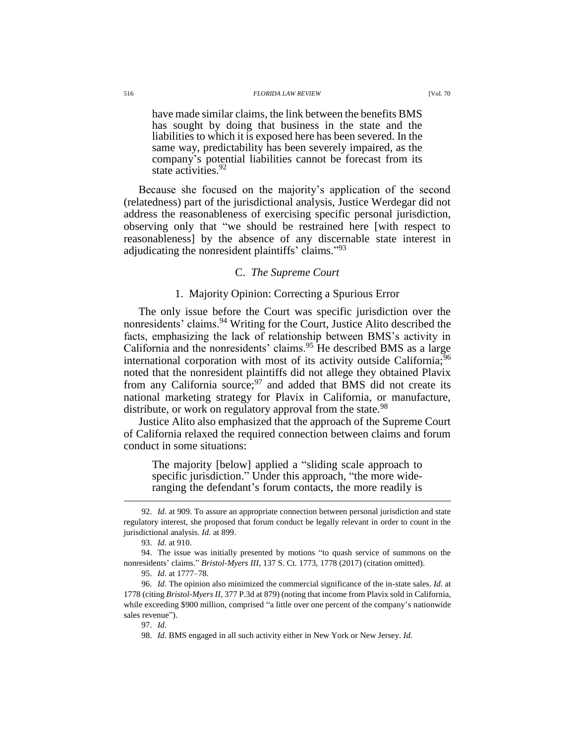#### 516 *FLORIDA LAW REVIEW* [Vol. 70

<span id="page-17-0"></span>have made similar claims, the link between the benefits BMS has sought by doing that business in the state and the liabilities to which it is exposed here has been severed. In the same way, predictability has been severely impaired, as the company's potential liabilities cannot be forecast from its state activities.<sup>92</sup>

Because she focused on the majority's application of the second (relatedness) part of the jurisdictional analysis, Justice Werdegar did not address the reasonableness of exercising specific personal jurisdiction, observing only that "we should be restrained here [with respect to reasonableness] by the absence of any discernable state interest in adjudicating the nonresident plaintiffs' claims." 93

## C. *The Supreme Court*

#### 1. Majority Opinion: Correcting a Spurious Error

The only issue before the Court was specific jurisdiction over the nonresidents' claims.<sup>94</sup> Writing for the Court, Justice Alito described the facts, emphasizing the lack of relationship between BMS's activity in California and the nonresidents' claims.<sup>95</sup> He described BMS as a large international corporation with most of its activity outside California;<sup>96</sup> noted that the nonresident plaintiffs did not allege they obtained Plavix from any California source;  $97$  and added that BMS did not create its national marketing strategy for Plavix in California, or manufacture, distribute, or work on regulatory approval from the state.<sup>98</sup>

Justice Alito also emphasized that the approach of the Supreme Court of California relaxed the required connection between claims and forum conduct in some situations:

The majority [below] applied a "sliding scale approach to specific jurisdiction." Under this approach, "the more wideranging the defendant's forum contacts, the more readily is

<sup>92.</sup> *Id.* at 909. To assure an appropriate connection between personal jurisdiction and state regulatory interest, she proposed that forum conduct be legally relevant in order to count in the jurisdictional analysis. *Id.* at 899.

<sup>93.</sup> *Id.* at 910.

<sup>94.</sup> The issue was initially presented by motions "to quash service of summons on the nonresidents' claims." *Bristol-Myers III*, 137 S. Ct. 1773, 1778 (2017) (citation omitted).

<sup>95.</sup> *Id.* at 1777–78.

<sup>96.</sup> *Id.* The opinion also minimized the commercial significance of the in-state sales. *Id.* at 1778 (citing *Bristol-Myers II*, 377 P.3d at 879) (noting that income from Plavix sold in California, while exceeding \$900 million, comprised "a little over one percent of the company's nationwide sales revenue").

<sup>97.</sup> *Id.*

<sup>98.</sup> *Id.* BMS engaged in all such activity either in New York or New Jersey. *Id.*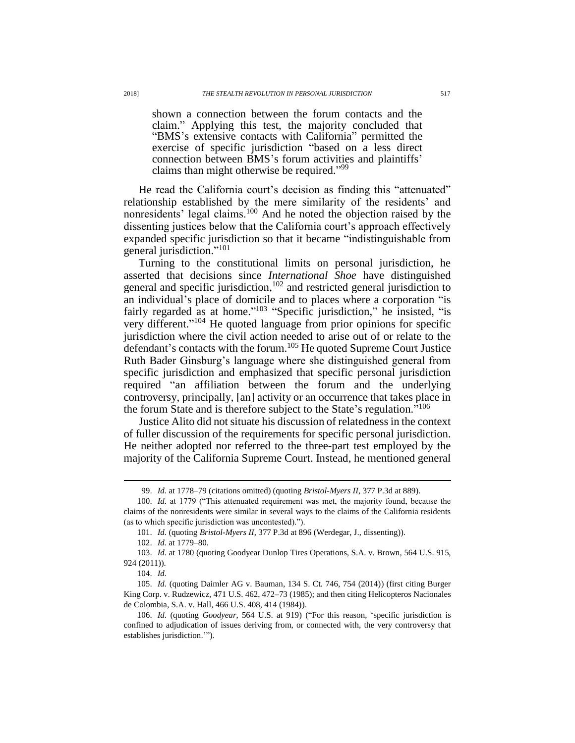shown a connection between the forum contacts and the claim." Applying this test, the majority concluded that "BMS's extensive contacts with California" permitted the exercise of specific jurisdiction "based on a less direct connection between BMS's forum activities and plaintiffs' claims than might otherwise be required."<sup>99</sup>

He read the California court's decision as finding this "attenuated" relationship established by the mere similarity of the residents' and nonresidents' legal claims.<sup>100</sup> And he noted the objection raised by the dissenting justices below that the California court's approach effectively expanded specific jurisdiction so that it became "indistinguishable from general jurisdiction." 101

Turning to the constitutional limits on personal jurisdiction, he asserted that decisions since *International Shoe* have distinguished general and specific jurisdiction,<sup>102</sup> and restricted general jurisdiction to an individual's place of domicile and to places where a corporation "is fairly regarded as at home."<sup>103</sup> "Specific jurisdiction," he insisted, "is very different." <sup>104</sup> He quoted language from prior opinions for specific jurisdiction where the civil action needed to arise out of or relate to the defendant's contacts with the forum.<sup>105</sup> He quoted Supreme Court Justice Ruth Bader Ginsburg's language where she distinguished general from specific jurisdiction and emphasized that specific personal jurisdiction required "an affiliation between the forum and the underlying controversy, principally, [an] activity or an occurrence that takes place in the forum State and is therefore subject to the State's regulation.<sup>5106</sup>

Justice Alito did not situate his discussion of relatedness in the context of fuller discussion of the requirements for specific personal jurisdiction. He neither adopted nor referred to the three-part test employed by the majority of the California Supreme Court. Instead, he mentioned general

104. *Id.*

 $\overline{a}$ 

105. *Id.* (quoting Daimler AG v. Bauman, 134 S. Ct. 746, 754 (2014)) (first citing Burger King Corp. v. Rudzewicz, 471 U.S. 462, 472–73 (1985); and then citing Helicopteros Nacionales de Colombia, S.A. v. Hall, 466 U.S. 408, 414 (1984)).

106. *Id.* (quoting *Goodyear*, 564 U.S. at 919) ("For this reason, 'specific jurisdiction is confined to adjudication of issues deriving from, or connected with, the very controversy that establishes jurisdiction.'").

<sup>99.</sup> *Id.* at 1778–79 (citations omitted) (quoting *Bristol-Myers II*, 377 P.3d at 889).

<sup>100.</sup> *Id.* at 1779 ("This attenuated requirement was met, the majority found, because the claims of the nonresidents were similar in several ways to the claims of the California residents (as to which specific jurisdiction was uncontested).").

<sup>101.</sup> *Id.* (quoting *Bristol-Myers II*, 377 P.3d at 896 (Werdegar, J., dissenting)).

<sup>102.</sup> *Id.* at 1779–80.

<sup>103.</sup> *Id.* at 1780 (quoting Goodyear Dunlop Tires Operations, S.A. v. Brown, 564 U.S. 915, 924 (2011)).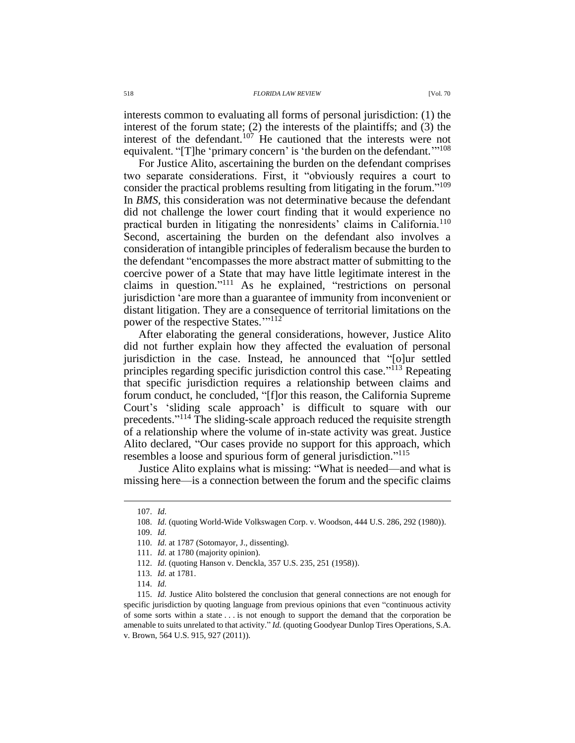interests common to evaluating all forms of personal jurisdiction: (1) the interest of the forum state; (2) the interests of the plaintiffs; and (3) the interest of the defendant.<sup>107</sup> He cautioned that the interests were not equivalent. "[T]he 'primary concern' is 'the burden on the defendant."<sup>108</sup>

<span id="page-19-2"></span>For Justice Alito, ascertaining the burden on the defendant comprises two separate considerations. First, it "obviously requires a court to consider the practical problems resulting from litigating in the forum." 109 In *BMS*, this consideration was not determinative because the defendant did not challenge the lower court finding that it would experience no practical burden in litigating the nonresidents' claims in California.<sup>110</sup> Second, ascertaining the burden on the defendant also involves a consideration of intangible principles of federalism because the burden to the defendant "encompasses the more abstract matter of submitting to the coercive power of a State that may have little legitimate interest in the claims in question." <sup>111</sup> As he explained, "restrictions on personal jurisdiction 'are more than a guarantee of immunity from inconvenient or distant litigation. They are a consequence of territorial limitations on the power of the respective States."<sup>112</sup>

<span id="page-19-1"></span><span id="page-19-0"></span>After elaborating the general considerations, however, Justice Alito did not further explain how they affected the evaluation of personal jurisdiction in the case. Instead, he announced that "[o]ur settled principles regarding specific jurisdiction control this case."<sup>113</sup> Repeating that specific jurisdiction requires a relationship between claims and forum conduct, he concluded, "[f]or this reason, the California Supreme Court's 'sliding scale approach' is difficult to square with our precedents."<sup>114</sup> The sliding-scale approach reduced the requisite strength of a relationship where the volume of in-state activity was great. Justice Alito declared, "Our cases provide no support for this approach, which resembles a loose and spurious form of general jurisdiction." 115

Justice Alito explains what is missing: "What is needed—and what is missing here—is a connection between the forum and the specific claims

 $\overline{a}$ 

109. *Id.*

<sup>107.</sup> *Id.*

<sup>108.</sup> *Id.* (quoting World-Wide Volkswagen Corp. v. Woodson, 444 U.S. 286, 292 (1980)).

<sup>110.</sup> *Id.* at 1787 (Sotomayor, J., dissenting).

<sup>111.</sup> *Id.* at 1780 (majority opinion).

<sup>112.</sup> *Id.* (quoting Hanson v. Denckla, 357 U.S. 235, 251 (1958)).

<sup>113.</sup> *Id.* at 1781.

<sup>114.</sup> *Id.*

<sup>115.</sup> *Id.* Justice Alito bolstered the conclusion that general connections are not enough for specific jurisdiction by quoting language from previous opinions that even "continuous activity of some sorts within a state . . . is not enough to support the demand that the corporation be amenable to suits unrelated to that activity." *Id.* (quoting Goodyear Dunlop Tires Operations, S.A. v. Brown, 564 U.S. 915, 927 (2011)).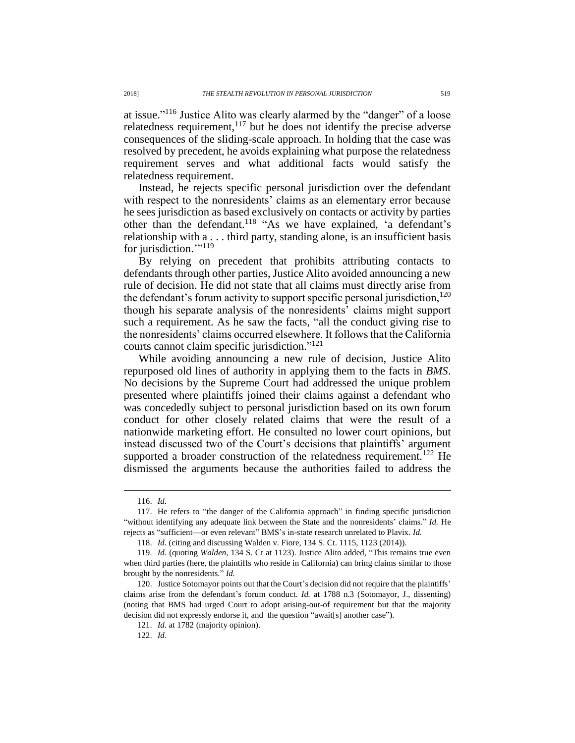at issue." <sup>116</sup> Justice Alito was clearly alarmed by the "danger" of a loose relatedness requirement,<sup>117</sup> but he does not identify the precise adverse consequences of the sliding-scale approach. In holding that the case was resolved by precedent, he avoids explaining what purpose the relatedness requirement serves and what additional facts would satisfy the relatedness requirement.

Instead, he rejects specific personal jurisdiction over the defendant with respect to the nonresidents' claims as an elementary error because he sees jurisdiction as based exclusively on contacts or activity by parties other than the defendant.<sup>118</sup> "As we have explained, 'a defendant's relationship with a . . . third party, standing alone, is an insufficient basis for jurisdiction."<sup>119</sup>

By relying on precedent that prohibits attributing contacts to defendants through other parties, Justice Alito avoided announcing a new rule of decision. He did not state that all claims must directly arise from the defendant's forum activity to support specific personal jurisdiction, $120$ though his separate analysis of the nonresidents' claims might support such a requirement. As he saw the facts, "all the conduct giving rise to the nonresidents' claims occurred elsewhere. It follows that the California courts cannot claim specific jurisdiction." 121

While avoiding announcing a new rule of decision, Justice Alito repurposed old lines of authority in applying them to the facts in *BMS*. No decisions by the Supreme Court had addressed the unique problem presented where plaintiffs joined their claims against a defendant who was concededly subject to personal jurisdiction based on its own forum conduct for other closely related claims that were the result of a nationwide marketing effort. He consulted no lower court opinions, but instead discussed two of the Court's decisions that plaintiffs' argument supported a broader construction of the relatedness requirement.<sup>122</sup> He dismissed the arguments because the authorities failed to address the

<sup>116.</sup> *Id.*

<sup>117.</sup> He refers to "the danger of the California approach" in finding specific jurisdiction "without identifying any adequate link between the State and the nonresidents' claims." *Id.* He rejects as "sufficient—or even relevant" BMS's in-state research unrelated to Plavix. *Id.*

<sup>118.</sup> *Id.* (citing and discussing Walden v. Fiore, 134 S. Ct. 1115, 1123 (2014)).

<sup>119.</sup> *Id.* (quoting *Walden*, 134 S. Ct at 1123). Justice Alito added, "This remains true even when third parties (here, the plaintiffs who reside in California) can bring claims similar to those brought by the nonresidents." *Id.*

<sup>120.</sup> Justice Sotomayor points out that the Court's decision did not require that the plaintiffs' claims arise from the defendant's forum conduct. *Id.* at 1788 n.3 (Sotomayor, J., dissenting) (noting that BMS had urged Court to adopt arising-out-of requirement but that the majority decision did not expressly endorse it, and the question "await[s] another case").

<sup>121.</sup> *Id.* at 1782 (majority opinion).

<sup>122.</sup> *Id.*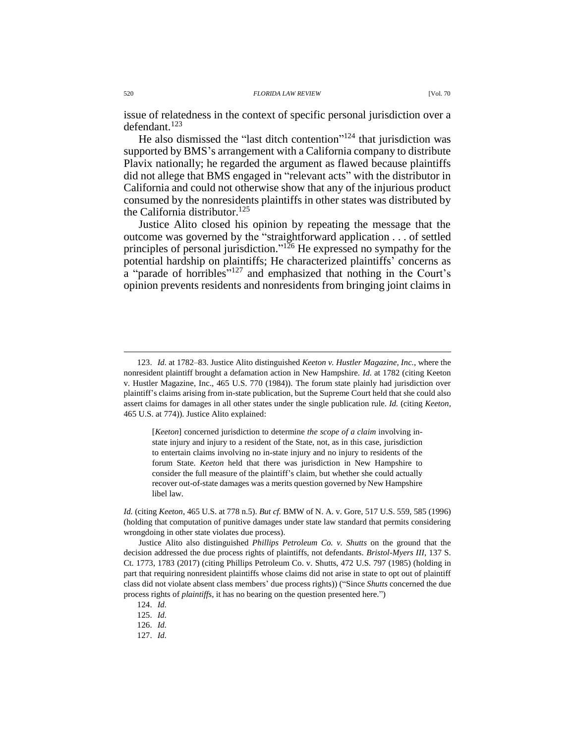<span id="page-21-2"></span>issue of relatedness in the context of specific personal jurisdiction over a defendant.<sup>123</sup>

He also dismissed the "last ditch contention"<sup>124</sup> that jurisdiction was supported by BMS's arrangement with a California company to distribute Plavix nationally; he regarded the argument as flawed because plaintiffs did not allege that BMS engaged in "relevant acts" with the distributor in California and could not otherwise show that any of the injurious product consumed by the nonresidents plaintiffs in other states was distributed by the California distributor.<sup>125</sup>

<span id="page-21-1"></span><span id="page-21-0"></span>Justice Alito closed his opinion by repeating the message that the outcome was governed by the "straightforward application . . . of settled principles of personal jurisdiction."<sup>126</sup> He expressed no sympathy for the potential hardship on plaintiffs; He characterized plaintiffs' concerns as a "parade of horribles"<sup>127</sup> and emphasized that nothing in the Court's opinion prevents residents and nonresidents from bringing joint claims in

[*Keeton*] concerned jurisdiction to determine *the scope of a claim* involving instate injury and injury to a resident of the State, not, as in this case, jurisdiction to entertain claims involving no in-state injury and no injury to residents of the forum State. *Keeton* held that there was jurisdiction in New Hampshire to consider the full measure of the plaintiff's claim, but whether she could actually recover out-of-state damages was a merits question governed by New Hampshire libel law.

*Id.* (citing *Keeton*, 465 U.S. at 778 n.5). *But cf.* BMW of N. A. v. Gore, 517 U.S. 559, 585 (1996) (holding that computation of punitive damages under state law standard that permits considering wrongdoing in other state violates due process).

Justice Alito also distinguished *Phillips Petroleum Co. v. Shutts* on the ground that the decision addressed the due process rights of plaintiffs, not defendants. *Bristol-Myers III*, 137 S. Ct. 1773, 1783 (2017) (citing Phillips Petroleum Co. v. Shutts, 472 U.S. 797 (1985) (holding in part that requiring nonresident plaintiffs whose claims did not arise in state to opt out of plaintiff class did not violate absent class members' due process rights)) ("Since *Shutts* concerned the due process rights of *plaintiffs*, it has no bearing on the question presented here.")

124. *Id.*

125. *Id.*

126. *Id.*

127. *Id.*

<sup>123.</sup> *Id.* at 1782–83. Justice Alito distinguished *Keeton v. Hustler Magazine, Inc.*, where the nonresident plaintiff brought a defamation action in New Hampshire. *Id.* at 1782 (citing Keeton v. Hustler Magazine, Inc., 465 U.S. 770 (1984)). The forum state plainly had jurisdiction over plaintiff's claims arising from in-state publication, but the Supreme Court held that she could also assert claims for damages in all other states under the single publication rule. *Id.* (citing *Keeton*, 465 U.S. at 774)). Justice Alito explained: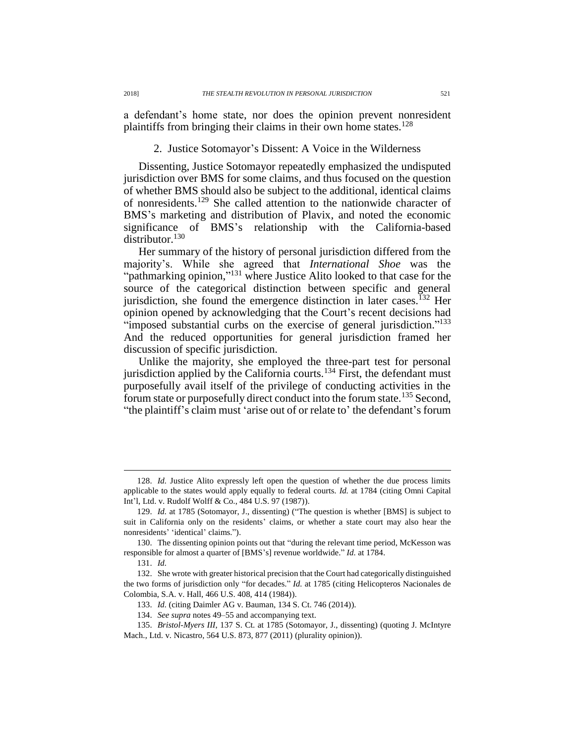a defendant's home state, nor does the opinion prevent nonresident plaintiffs from bringing their claims in their own home states.<sup>128</sup>

# 2. Justice Sotomayor's Dissent: A Voice in the Wilderness

Dissenting, Justice Sotomayor repeatedly emphasized the undisputed jurisdiction over BMS for some claims, and thus focused on the question of whether BMS should also be subject to the additional, identical claims of nonresidents.<sup>129</sup> She called attention to the nationwide character of BMS's marketing and distribution of Plavix, and noted the economic significance of BMS's relationship with the California-based distributor.<sup>130</sup>

Her summary of the history of personal jurisdiction differed from the majority's. While she agreed that *International Shoe* was the "pathmarking opinion,"<sup>131</sup> where Justice Alito looked to that case for the source of the categorical distinction between specific and general jurisdiction, she found the emergence distinction in later cases.<sup>132</sup> Her opinion opened by acknowledging that the Court's recent decisions had "imposed substantial curbs on the exercise of general jurisdiction."<sup>133</sup> And the reduced opportunities for general jurisdiction framed her discussion of specific jurisdiction.

Unlike the majority, she employed the three-part test for personal jurisdiction applied by the California courts.<sup>134</sup> First, the defendant must purposefully avail itself of the privilege of conducting activities in the forum state or purposefully direct conduct into the forum state.<sup>135</sup> Second, "the plaintiff's claim must 'arise out of or relate to' the defendant's forum

130. The dissenting opinion points out that "during the relevant time period, McKesson was responsible for almost a quarter of [BMS's] revenue worldwide." *Id.* at 1784.

<sup>128.</sup> *Id.* Justice Alito expressly left open the question of whether the due process limits applicable to the states would apply equally to federal courts. *Id.* at 1784 (citing Omni Capital Int'l, Ltd. v. Rudolf Wolff & Co., 484 U.S. 97 (1987)).

<sup>129.</sup> *Id.* at 1785 (Sotomayor, J., dissenting) ("The question is whether [BMS] is subject to suit in California only on the residents' claims, or whether a state court may also hear the nonresidents' 'identical' claims.").

<sup>131.</sup> *Id.*

<sup>132.</sup> She wrote with greater historical precision that the Court had categorically distinguished the two forms of jurisdiction only "for decades." *Id.* at 1785 (citing Helicopteros Nacionales de Colombia, S.A. v. Hall, 466 U.S. 408, 414 (1984)).

<sup>133.</sup> *Id.* (citing Daimler AG v. Bauman, 134 S. Ct. 746 (2014)).

<sup>134.</sup> *See supra* notes [49–](#page-10-0)[55](#page-11-0) and accompanying text.

<sup>135.</sup> *Bristol-Myers III*, 137 S. Ct. at 1785 (Sotomayor, J., dissenting) (quoting J. McIntyre Mach., Ltd. v. Nicastro, 564 U.S. 873, 877 (2011) (plurality opinion)).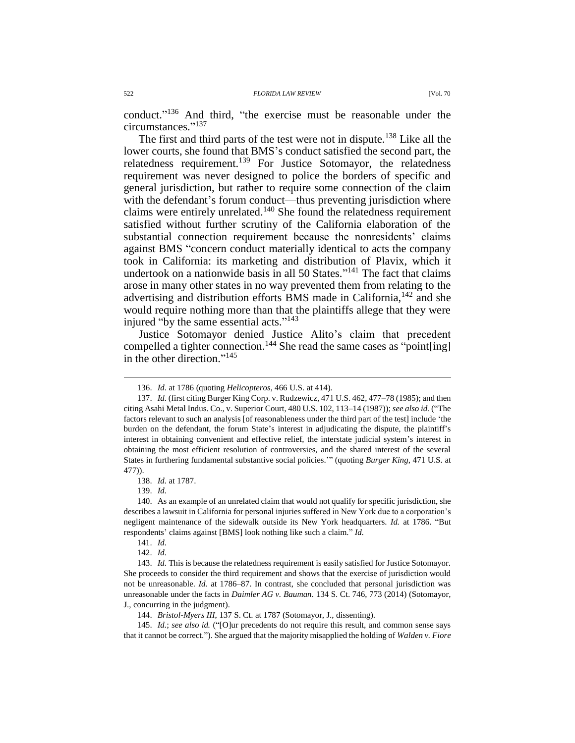conduct." <sup>136</sup> And third, "the exercise must be reasonable under the circumstances." 137

The first and third parts of the test were not in dispute.<sup>138</sup> Like all the lower courts, she found that BMS's conduct satisfied the second part, the relatedness requirement.<sup>139</sup> For Justice Sotomayor, the relatedness requirement was never designed to police the borders of specific and general jurisdiction, but rather to require some connection of the claim with the defendant's forum conduct—thus preventing jurisdiction where claims were entirely unrelated.<sup>140</sup> She found the relatedness requirement satisfied without further scrutiny of the California elaboration of the substantial connection requirement because the nonresidents' claims against BMS "concern conduct materially identical to acts the company took in California: its marketing and distribution of Plavix, which it undertook on a nationwide basis in all 50 States."<sup>141</sup> The fact that claims arose in many other states in no way prevented them from relating to the advertising and distribution efforts BMS made in California,<sup>142</sup> and she would require nothing more than that the plaintiffs allege that they were injured "by the same essential acts."<sup>143</sup>

Justice Sotomayor denied Justice Alito's claim that precedent compelled a tighter connection.<sup>144</sup> She read the same cases as "point[ing] in the other direction." 145

138. *Id.* at 1787.

139. *Id.*

 $\overline{a}$ 

140. As an example of an unrelated claim that would not qualify for specific jurisdiction, she describes a lawsuit in California for personal injuries suffered in New York due to a corporation's negligent maintenance of the sidewalk outside its New York headquarters. *Id.* at 1786. "But respondents' claims against [BMS] look nothing like such a claim." *Id.*

141. *Id.*

142. *Id.*

144. *Bristol-Myers III*, 137 S. Ct. at 1787 (Sotomayor, J., dissenting).

145. *Id.*; *see also id.* ("[O]ur precedents do not require this result, and common sense says that it cannot be correct."). She argued that the majority misapplied the holding of *Walden v. Fiore*

<sup>136.</sup> *Id.* at 1786 (quoting *Helicopteros*, 466 U.S. at 414).

<sup>137.</sup> *Id.* (first citing Burger King Corp. v. Rudzewicz, 471 U.S. 462, 477–78 (1985); and then citing Asahi Metal Indus. Co., v. Superior Court, 480 U.S. 102, 113–14 (1987)); *see also id.* ("The factors relevant to such an analysis [of reasonableness under the third part of the test] include 'the burden on the defendant, the forum State's interest in adjudicating the dispute, the plaintiff's interest in obtaining convenient and effective relief, the interstate judicial system's interest in obtaining the most efficient resolution of controversies, and the shared interest of the several States in furthering fundamental substantive social policies.'" (quoting *Burger King*, 471 U.S. at 477)).

<sup>143.</sup> *Id.* This is because the relatedness requirement is easily satisfied for Justice Sotomayor. She proceeds to consider the third requirement and shows that the exercise of jurisdiction would not be unreasonable. *Id.* at 1786–87. In contrast, she concluded that personal jurisdiction was unreasonable under the facts in *Daimler AG v. Bauman*. 134 S. Ct. 746, 773 (2014) (Sotomayor, J., concurring in the judgment).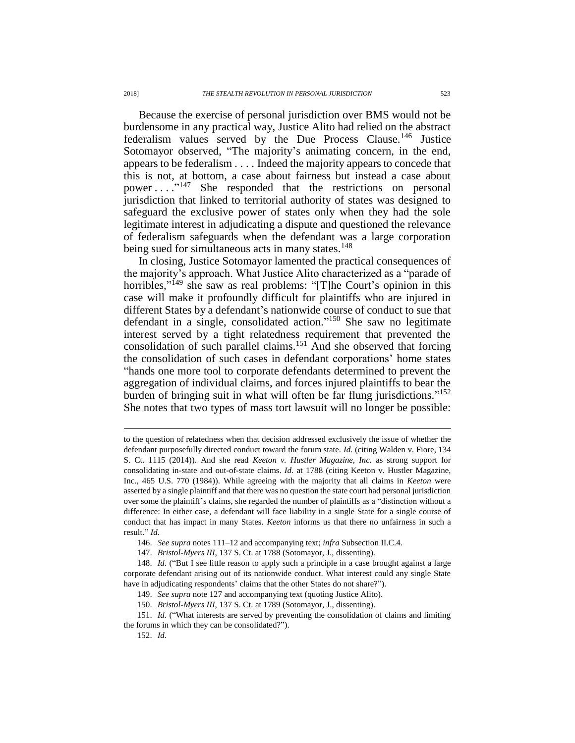Because the exercise of personal jurisdiction over BMS would not be burdensome in any practical way, Justice Alito had relied on the abstract federalism values served by the Due Process Clause.<sup>146</sup> Justice Sotomayor observed, "The majority's animating concern, in the end, appears to be federalism . . . . Indeed the majority appears to concede that this is not, at bottom, a case about fairness but instead a case about power . . . ." <sup>147</sup> She responded that the restrictions on personal jurisdiction that linked to territorial authority of states was designed to safeguard the exclusive power of states only when they had the sole legitimate interest in adjudicating a dispute and questioned the relevance of federalism safeguards when the defendant was a large corporation being sued for simultaneous acts in many states.<sup>148</sup>

In closing, Justice Sotomayor lamented the practical consequences of the majority's approach. What Justice Alito characterized as a "parade of horribles,"<sup>149</sup> she saw as real problems: "[T]he Court's opinion in this case will make it profoundly difficult for plaintiffs who are injured in different States by a defendant's nationwide course of conduct to sue that defendant in a single, consolidated action." <sup>150</sup> She saw no legitimate interest served by a tight relatedness requirement that prevented the consolidation of such parallel claims.<sup>151</sup> And she observed that forcing the consolidation of such cases in defendant corporations' home states "hands one more tool to corporate defendants determined to prevent the aggregation of individual claims, and forces injured plaintiffs to bear the burden of bringing suit in what will often be far flung jurisdictions." 152 She notes that two types of mass tort lawsuit will no longer be possible:

to the question of relatedness when that decision addressed exclusively the issue of whether the defendant purposefully directed conduct toward the forum state. *Id.* (citing Walden v. Fiore, 134 S. Ct. 1115 (2014)). And she read *Keeton v. Hustler Magazine, Inc.* as strong support for consolidating in-state and out-of-state claims. *Id.* at 1788 (citing Keeton v. Hustler Magazine, Inc., 465 U.S. 770 (1984)). While agreeing with the majority that all claims in *Keeton* were asserted by a single plaintiff and that there was no question the state court had personal jurisdiction over some the plaintiff's claims, she regarded the number of plaintiffs as a "distinction without a difference: In either case, a defendant will face liability in a single State for a single course of conduct that has impact in many States. *Keeton* informs us that there no unfairness in such a result." *Id.*

<sup>146.</sup> *See supra* notes [111–](#page-19-1)12 and accompanying text; *infra* Subsection II.C.4.

<sup>147.</sup> *Bristol-Myers III*, 137 S. Ct. at 1788 (Sotomayor, J., dissenting).

<sup>148.</sup> *Id.* ("But I see little reason to apply such a principle in a case brought against a large corporate defendant arising out of its nationwide conduct. What interest could any single State have in adjudicating respondents' claims that the other States do not share?").

<sup>149.</sup> *See supra* note [127](#page-21-1) and accompanying text (quoting Justice Alito).

<sup>150.</sup> *Bristol-Myers III*, 137 S. Ct. at 1789 (Sotomayor, J., dissenting).

<sup>151.</sup> *Id.* ("What interests are served by preventing the consolidation of claims and limiting the forums in which they can be consolidated?"). 152. *Id.*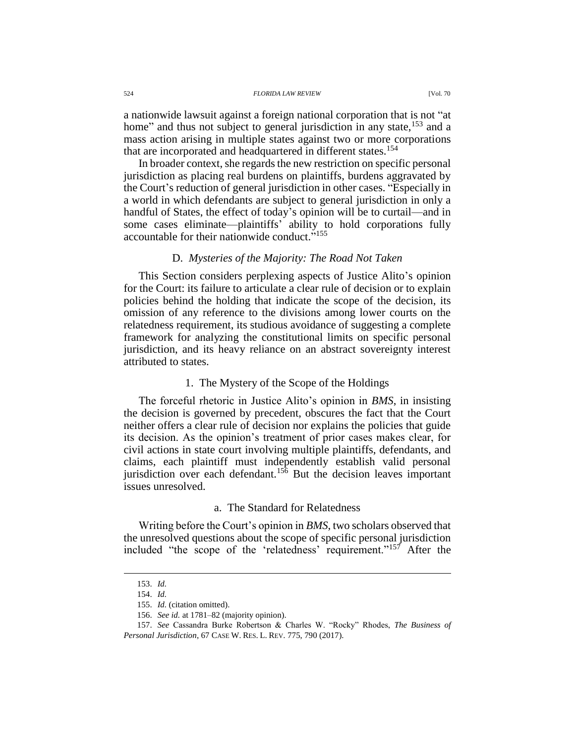a nationwide lawsuit against a foreign national corporation that is not "at home" and thus not subject to general jurisdiction in any state,<sup>153</sup> and a mass action arising in multiple states against two or more corporations that are incorporated and headquartered in different states.<sup>154</sup>

In broader context, she regards the new restriction on specific personal jurisdiction as placing real burdens on plaintiffs, burdens aggravated by the Court's reduction of general jurisdiction in other cases. "Especially in a world in which defendants are subject to general jurisdiction in only a handful of States, the effect of today's opinion will be to curtail—and in some cases eliminate—plaintiffs' ability to hold corporations fully accountable for their nationwide conduct."<sup>155</sup>

# <span id="page-25-1"></span><span id="page-25-0"></span>D. *Mysteries of the Majority: The Road Not Taken*

This Section considers perplexing aspects of Justice Alito's opinion for the Court: its failure to articulate a clear rule of decision or to explain policies behind the holding that indicate the scope of the decision, its omission of any reference to the divisions among lower courts on the relatedness requirement, its studious avoidance of suggesting a complete framework for analyzing the constitutional limits on specific personal jurisdiction, and its heavy reliance on an abstract sovereignty interest attributed to states.

### 1. The Mystery of the Scope of the Holdings

The forceful rhetoric in Justice Alito's opinion in *BMS*, in insisting the decision is governed by precedent, obscures the fact that the Court neither offers a clear rule of decision nor explains the policies that guide its decision. As the opinion's treatment of prior cases makes clear, for civil actions in state court involving multiple plaintiffs, defendants, and claims, each plaintiff must independently establish valid personal jurisdiction over each defendant.<sup>156</sup> But the decision leaves important issues unresolved.

#### <span id="page-25-2"></span>a. The Standard for Relatedness

Writing before the Court's opinion in *BMS*, two scholars observed that the unresolved questions about the scope of specific personal jurisdiction included "the scope of the 'relatedness' requirement."<sup>157</sup> After the

<sup>153.</sup> *Id.*

<sup>154.</sup> *Id.*

<sup>155.</sup> *Id.* (citation omitted).

<sup>156.</sup> *See id.* at 1781–82 (majority opinion).

<sup>157.</sup> *See* Cassandra Burke Robertson & Charles W. "Rocky" Rhodes, *The Business of Personal Jurisdiction*, 67 CASE W. RES. L. REV. 775, 790 (2017).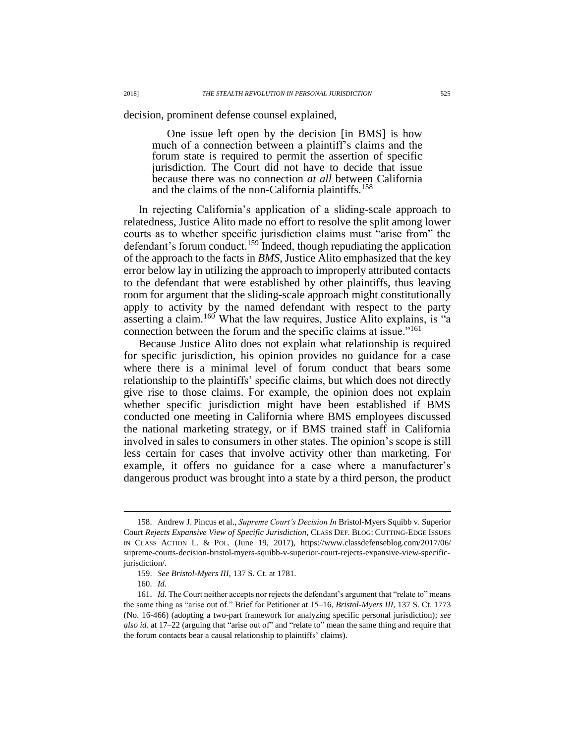decision, prominent defense counsel explained,

<span id="page-26-0"></span>One issue left open by the decision [in BMS] is how much of a connection between a plaintiff's claims and the forum state is required to permit the assertion of specific jurisdiction. The Court did not have to decide that issue because there was no connection *at all* between California and the claims of the non-California plaintiffs.<sup>158</sup>

In rejecting California's application of a sliding-scale approach to relatedness, Justice Alito made no effort to resolve the split among lower courts as to whether specific jurisdiction claims must "arise from" the defendant's forum conduct.<sup>159</sup> Indeed, though repudiating the application of the approach to the facts in *BMS*, Justice Alito emphasized that the key error below lay in utilizing the approach to improperly attributed contacts to the defendant that were established by other plaintiffs, thus leaving room for argument that the sliding-scale approach might constitutionally apply to activity by the named defendant with respect to the party asserting a claim.<sup>160</sup> What the law requires, Justice Alito explains, is "a connection between the forum and the specific claims at issue."<sup>161</sup>

Because Justice Alito does not explain what relationship is required for specific jurisdiction, his opinion provides no guidance for a case where there is a minimal level of forum conduct that bears some relationship to the plaintiffs' specific claims, but which does not directly give rise to those claims. For example, the opinion does not explain whether specific jurisdiction might have been established if BMS conducted one meeting in California where BMS employees discussed the national marketing strategy, or if BMS trained staff in California involved in sales to consumers in other states. The opinion's scope is still less certain for cases that involve activity other than marketing. For example, it offers no guidance for a case where a manufacturer's dangerous product was brought into a state by a third person, the product

<sup>158.</sup> Andrew J. Pincus et al., *Supreme Court's Decision In* Bristol-Myers Squibb v. Superior Court *Rejects Expansive View of Specific Jurisdiction*, CLASS DEF. BLOG: CUTTING-EDGE ISSUES IN CLASS ACTION L. & POL. (June 19, 2017), https://www.classdefenseblog.com/2017/06/ supreme-courts-decision-bristol-myers-squibb-v-superior-court-rejects-expansive-view-specificjurisdiction/.

<sup>159.</sup> *See Bristol-Myers III*, 137 S. Ct. at 1781.

<sup>160.</sup> *Id.*

<sup>161.</sup> *Id.* The Court neither accepts nor rejects the defendant's argument that "relate to" means the same thing as "arise out of." Brief for Petitioner at 15–16, *Bristol-Myers III*, 137 S. Ct. 1773 (No. 16-466) (adopting a two-part framework for analyzing specific personal jurisdiction); *see also id.* at 17–22 (arguing that "arise out of" and "relate to" mean the same thing and require that the forum contacts bear a causal relationship to plaintiffs' claims).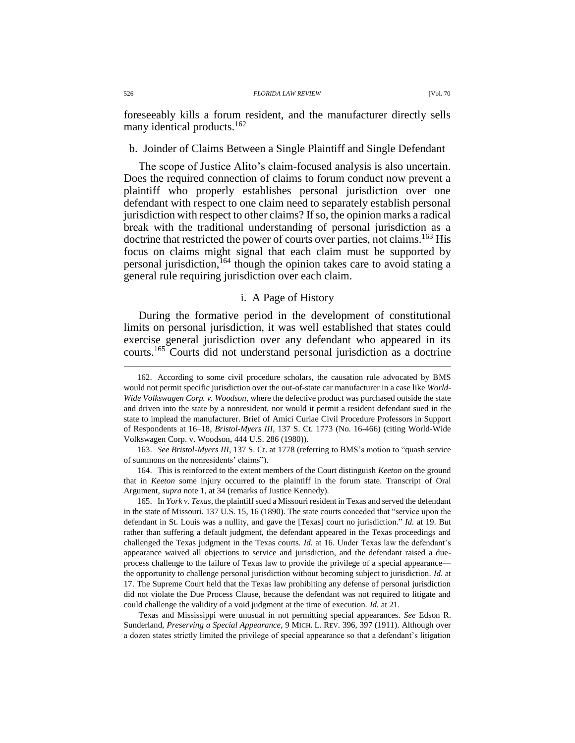foreseeably kills a forum resident, and the manufacturer directly sells many identical products.<sup>162</sup>

# b. Joinder of Claims Between a Single Plaintiff and Single Defendant

The scope of Justice Alito's claim-focused analysis is also uncertain. Does the required connection of claims to forum conduct now prevent a plaintiff who properly establishes personal jurisdiction over one defendant with respect to one claim need to separately establish personal jurisdiction with respect to other claims? If so, the opinion marks a radical break with the traditional understanding of personal jurisdiction as a doctrine that restricted the power of courts over parties, not claims.<sup>163</sup> His focus on claims might signal that each claim must be supported by personal jurisdiction,<sup>164</sup> though the opinion takes care to avoid stating a general rule requiring jurisdiction over each claim.

### <span id="page-27-0"></span>i. A Page of History

During the formative period in the development of constitutional limits on personal jurisdiction, it was well established that states could exercise general jurisdiction over any defendant who appeared in its courts.<sup>165</sup> Courts did not understand personal jurisdiction as a doctrine

165. In *York v. Texas*, the plaintiff sued a Missouri resident in Texas and served the defendant in the state of Missouri. 137 U.S. 15, 16 (1890). The state courts conceded that "service upon the defendant in St. Louis was a nullity, and gave the [Texas] court no jurisdiction." *Id.* at 19. But rather than suffering a default judgment, the defendant appeared in the Texas proceedings and challenged the Texas judgment in the Texas courts. *Id.* at 16. Under Texas law the defendant's appearance waived all objections to service and jurisdiction, and the defendant raised a dueprocess challenge to the failure of Texas law to provide the privilege of a special appearance the opportunity to challenge personal jurisdiction without becoming subject to jurisdiction. *Id.* at 17. The Supreme Court held that the Texas law prohibiting any defense of personal jurisdiction did not violate the Due Process Clause, because the defendant was not required to litigate and could challenge the validity of a void judgment at the time of execution. *Id.* at 21.

Texas and Mississippi were unusual in not permitting special appearances. *See* Edson R. Sunderland, *Preserving a Special Appearance*, 9 MICH. L. REV. 396, 397 (1911). Although over a dozen states strictly limited the privilege of special appearance so that a defendant's litigation

<sup>162.</sup> According to some civil procedure scholars, the causation rule advocated by BMS would not permit specific jurisdiction over the out-of-state car manufacturer in a case like *World-Wide Volkswagen Corp. v. Woodson*, where the defective product was purchased outside the state and driven into the state by a nonresident, nor would it permit a resident defendant sued in the state to implead the manufacturer. Brief of Amici Curiae Civil Procedure Professors in Support of Respondents at 16–18, *Bristol-Myers III*, 137 S. Ct. 1773 (No. 16-466) (citing World-Wide Volkswagen Corp. v. Woodson, 444 U.S. 286 (1980)).

<sup>163.</sup> *See Bristol-Myers III*, 137 S. Ct. at 1778 (referring to BMS's motion to "quash service of summons on the nonresidents' claims").

<sup>164.</sup> This is reinforced to the extent members of the Court distinguish *Keeton* on the ground that in *Keeton* some injury occurred to the plaintiff in the forum state. Transcript of Oral Argument, *supra* note 1, at 34 (remarks of Justice Kennedy).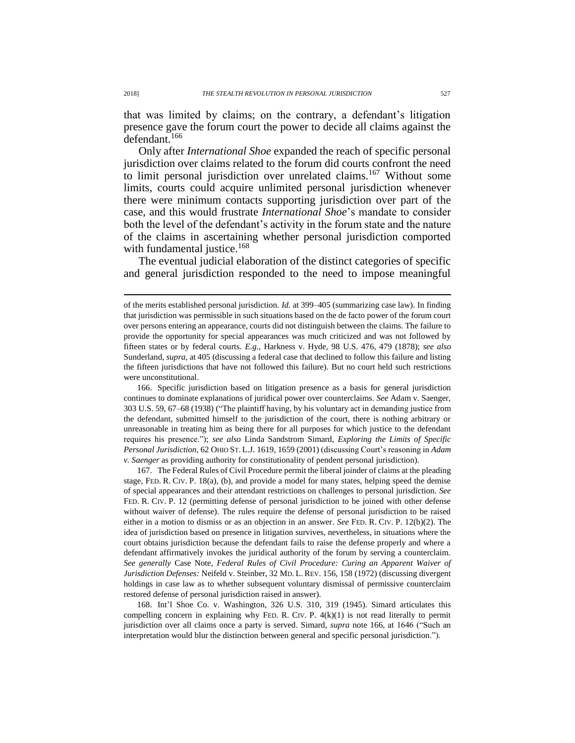that was limited by claims; on the contrary, a defendant's litigation presence gave the forum court the power to decide all claims against the defendant.<sup>166</sup>

<span id="page-28-0"></span>Only after *International Shoe* expanded the reach of specific personal jurisdiction over claims related to the forum did courts confront the need to limit personal jurisdiction over unrelated claims.<sup>167</sup> Without some limits, courts could acquire unlimited personal jurisdiction whenever there were minimum contacts supporting jurisdiction over part of the case, and this would frustrate *International Shoe*'s mandate to consider both the level of the defendant's activity in the forum state and the nature of the claims in ascertaining whether personal jurisdiction comported with fundamental justice.<sup>168</sup>

The eventual judicial elaboration of the distinct categories of specific and general jurisdiction responded to the need to impose meaningful

166. Specific jurisdiction based on litigation presence as a basis for general jurisdiction continues to dominate explanations of juridical power over counterclaims. *See* Adam v. Saenger, 303 U.S. 59, 67–68 (1938) ("The plaintiff having, by his voluntary act in demanding justice from the defendant, submitted himself to the jurisdiction of the court, there is nothing arbitrary or unreasonable in treating him as being there for all purposes for which justice to the defendant requires his presence."); *see also* Linda Sandstrom Simard, *Exploring the Limits of Specific Personal Jurisdiction*, 62 OHIO ST. L.J. 1619, 1659 (2001) (discussing Court's reasoning in *Adam v. Saenger* as providing authority for constitutionality of pendent personal jurisdiction).

167. The Federal Rules of Civil Procedure permit the liberal joinder of claims at the pleading stage, FED. R. CIV. P. 18(a), (b), and provide a model for many states, helping speed the demise of special appearances and their attendant restrictions on challenges to personal jurisdiction. *See* FED. R. CIV. P. 12 (permitting defense of personal jurisdiction to be joined with other defense without waiver of defense). The rules require the defense of personal jurisdiction to be raised either in a motion to dismiss or as an objection in an answer. *See* FED. R. CIV. P. 12(b)(2). The idea of jurisdiction based on presence in litigation survives, nevertheless, in situations where the court obtains jurisdiction because the defendant fails to raise the defense properly and where a defendant affirmatively invokes the juridical authority of the forum by serving a counterclaim. *See generally* Case Note, *Federal Rules of Civil Procedure: Curing an Apparent Waiver of Jurisdiction Defenses:* Neifeld v. Steinber, 32 MD. L. REV. 156, 158 (1972) (discussing divergent holdings in case law as to whether subsequent voluntary dismissal of permissive counterclaim restored defense of personal jurisdiction raised in answer).

168. Int'l Shoe Co. v. Washington, 326 U.S. 310, 319 (1945). Simard articulates this compelling concern in explaining why FED. R. CIV. P.  $4(k)(1)$  is not read literally to permit jurisdiction over all claims once a party is served. Simard, *supra* note [166,](#page-28-0) at 1646 ("Such an interpretation would blur the distinction between general and specific personal jurisdiction.").

of the merits established personal jurisdiction. *Id.* at 399–405 (summarizing case law). In finding that jurisdiction was permissible in such situations based on the de facto power of the forum court over persons entering an appearance, courts did not distinguish between the claims. The failure to provide the opportunity for special appearances was much criticized and was not followed by fifteen states or by federal courts. *E.g.*, Harkness v. Hyde, 98 U.S. 476, 479 (1878); *see also* Sunderland, *supra*, at 405 (discussing a federal case that declined to follow this failure and listing the fifteen jurisdictions that have not followed this failure). But no court held such restrictions were unconstitutional.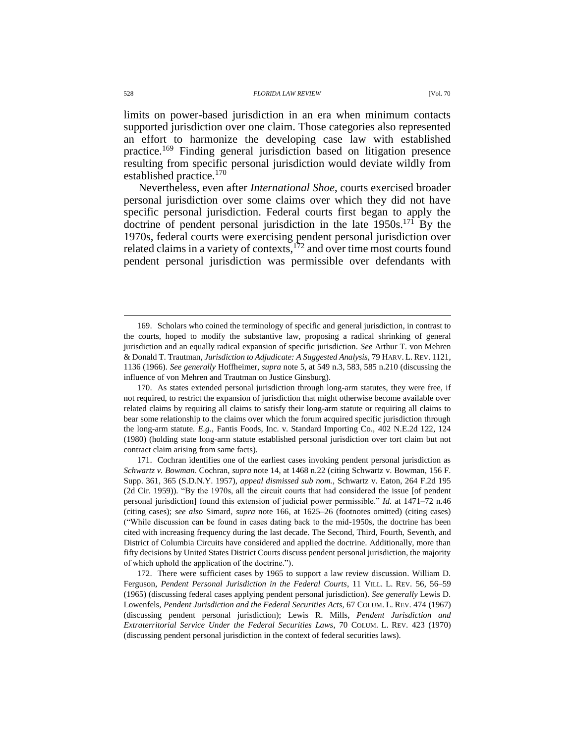<span id="page-29-0"></span>limits on power-based jurisdiction in an era when minimum contacts supported jurisdiction over one claim. Those categories also represented an effort to harmonize the developing case law with established practice.<sup>169</sup> Finding general jurisdiction based on litigation presence resulting from specific personal jurisdiction would deviate wildly from established practice.<sup>170</sup>

Nevertheless, even after *International Shoe*, courts exercised broader personal jurisdiction over some claims over which they did not have specific personal jurisdiction. Federal courts first began to apply the doctrine of pendent personal jurisdiction in the late  $1950s$ .<sup>171</sup> By the 1970s, federal courts were exercising pendent personal jurisdiction over related claims in a variety of contexts,<sup>172</sup> and over time most courts found pendent personal jurisdiction was permissible over defendants with

<sup>169.</sup> Scholars who coined the terminology of specific and general jurisdiction, in contrast to the courts, hoped to modify the substantive law, proposing a radical shrinking of general jurisdiction and an equally radical expansion of specific jurisdiction. *See* Arthur T. von Mehren & Donald T. Trautman, *Jurisdiction to Adjudicate: A Suggested Analysis*, 79 HARV. L. REV. 1121, 1136 (1966). *See generally* Hoffheimer, *supra* note [5,](#page-2-1) at 549 n.3, 583, 585 n.210 (discussing the influence of von Mehren and Trautman on Justice Ginsburg).

<sup>170.</sup> As states extended personal jurisdiction through long-arm statutes, they were free, if not required, to restrict the expansion of jurisdiction that might otherwise become available over related claims by requiring all claims to satisfy their long-arm statute or requiring all claims to bear some relationship to the claims over which the forum acquired specific jurisdiction through the long-arm statute. *E.g.*, Fantis Foods, Inc. v. Standard Importing Co., 402 N.E.2d 122, 124 (1980) (holding state long-arm statute established personal jurisdiction over tort claim but not contract claim arising from same facts).

<sup>171.</sup> Cochran identifies one of the earliest cases invoking pendent personal jurisdiction as *Schwartz v. Bowman*. Cochran, *supra* note [14,](#page-4-0) at 1468 n.22 (citing Schwartz v. Bowman, 156 F. Supp. 361, 365 (S.D.N.Y. 1957), *appeal dismissed sub nom.*, Schwartz v. Eaton, 264 F.2d 195 (2d Cir. 1959)). "By the 1970s, all the circuit courts that had considered the issue [of pendent personal jurisdiction] found this extension of judicial power permissible." *Id.* at 1471–72 n.46 (citing cases); *see also* Simard, *supra* note [166,](#page-28-0) at 1625–26 (footnotes omitted) (citing cases) ("While discussion can be found in cases dating back to the mid-1950s, the doctrine has been cited with increasing frequency during the last decade. The Second, Third, Fourth, Seventh, and District of Columbia Circuits have considered and applied the doctrine. Additionally, more than fifty decisions by United States District Courts discuss pendent personal jurisdiction, the majority of which uphold the application of the doctrine.").

<sup>172.</sup> There were sufficient cases by 1965 to support a law review discussion. William D. Ferguson, *Pendent Personal Jurisdiction in the Federal Courts*, 11 VILL. L. REV. 56, 56–59 (1965) (discussing federal cases applying pendent personal jurisdiction). *See generally* Lewis D. Lowenfels, *Pendent Jurisdiction and the Federal Securities Acts*, 67 COLUM. L. REV. 474 (1967) (discussing pendent personal jurisdiction); Lewis R. Mills, *Pendent Jurisdiction and Extraterritorial Service Under the Federal Securities Laws*, 70 COLUM. L. REV. 423 (1970) (discussing pendent personal jurisdiction in the context of federal securities laws).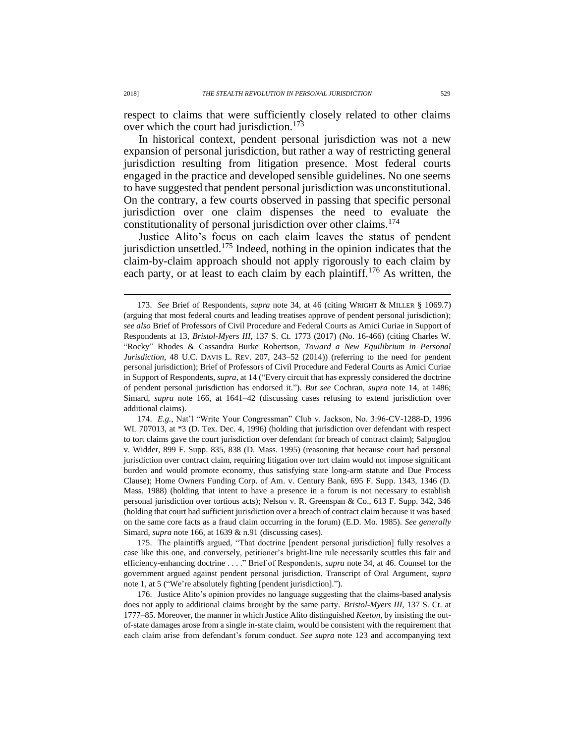<span id="page-30-0"></span>respect to claims that were sufficiently closely related to other claims over which the court had jurisdiction.<sup>173</sup>

In historical context, pendent personal jurisdiction was not a new expansion of personal jurisdiction, but rather a way of restricting general jurisdiction resulting from litigation presence. Most federal courts engaged in the practice and developed sensible guidelines. No one seems to have suggested that pendent personal jurisdiction was unconstitutional. On the contrary, a few courts observed in passing that specific personal jurisdiction over one claim dispenses the need to evaluate the constitutionality of personal jurisdiction over other claims.<sup>174</sup>

Justice Alito's focus on each claim leaves the status of pendent jurisdiction unsettled.<sup>175</sup> Indeed, nothing in the opinion indicates that the claim-by-claim approach should not apply rigorously to each claim by each party, or at least to each claim by each plaintiff.<sup>176</sup> As written, the

174. *E.g.*, Nat'l "Write Your Congressman" Club v. Jackson, No. 3:96-CV-1288-D, 1996 WL 707013, at \*3 (D. Tex. Dec. 4, 1996) (holding that jurisdiction over defendant with respect to tort claims gave the court jurisdiction over defendant for breach of contract claim); Salpoglou v. Widder, 899 F. Supp. 835, 838 (D. Mass. 1995) (reasoning that because court had personal jurisdiction over contract claim, requiring litigation over tort claim would not impose significant burden and would promote economy, thus satisfying state long-arm statute and Due Process Clause); Home Owners Funding Corp. of Am. v. Century Bank, 695 F. Supp. 1343, 1346 (D. Mass. 1988) (holding that intent to have a presence in a forum is not necessary to establish personal jurisdiction over tortious acts); Nelson v. R. Greenspan & Co., 613 F. Supp. 342, 346 (holding that court had sufficient jurisdiction over a breach of contract claim because it was based on the same core facts as a fraud claim occurring in the forum) (E.D. Mo. 1985). *See generally* Simard, *supra* note [166,](#page-28-0) at 1639 & n.91 (discussing cases).

175. The plaintiffs argued, "That doctrine [pendent personal jurisdiction] fully resolves a case like this one, and conversely, petitioner's bright-line rule necessarily scuttles this fair and efficiency-enhancing doctrine . . . ." Brief of Respondents, *supra* not[e 34,](#page-8-0) at 46. Counsel for the government argued against pendent personal jurisdiction. Transcript of Oral Argument, *supra*  note 1, at 5 ("We're absolutely fighting [pendent jurisdiction].").

176. Justice Alito's opinion provides no language suggesting that the claims-based analysis does not apply to additional claims brought by the same party. *Bristol-Myers III*, 137 S. Ct. at 1777–85. Moreover, the manner in which Justice Alito distinguished *Keeton*, by insisting the outof-state damages arose from a single in-state claim, would be consistent with the requirement that each claim arise from defendant's forum conduct. *See supra* note [123](#page-21-2) and accompanying text

<span id="page-30-1"></span><sup>173.</sup> *See* Brief of Respondents, *supra* note [34,](#page-8-0) at 46 (citing WRIGHT & MILLER § 1069.7) (arguing that most federal courts and leading treatises approve of pendent personal jurisdiction); *see also* Brief of Professors of Civil Procedure and Federal Courts as Amici Curiae in Support of Respondents at 13, *Bristol-Myers III*, 137 S. Ct. 1773 (2017) (No. 16-466) (citing Charles W. "Rocky" Rhodes & Cassandra Burke Robertson, *Toward a New Equilibrium in Personal Jurisdiction*, 48 U.C. DAVIS L. REV. 207, 243–52 (2014)) (referring to the need for pendent personal jurisdiction); Brief of Professors of Civil Procedure and Federal Courts as Amici Curiae in Support of Respondents, *supra*, at 14 ("Every circuit that has expressly considered the doctrine of pendent personal jurisdiction has endorsed it."). *But see* Cochran, *supra* note [14,](#page-4-0) at 1486; Simard, *supra* note [166,](#page-28-0) at 1641–42 (discussing cases refusing to extend jurisdiction over additional claims).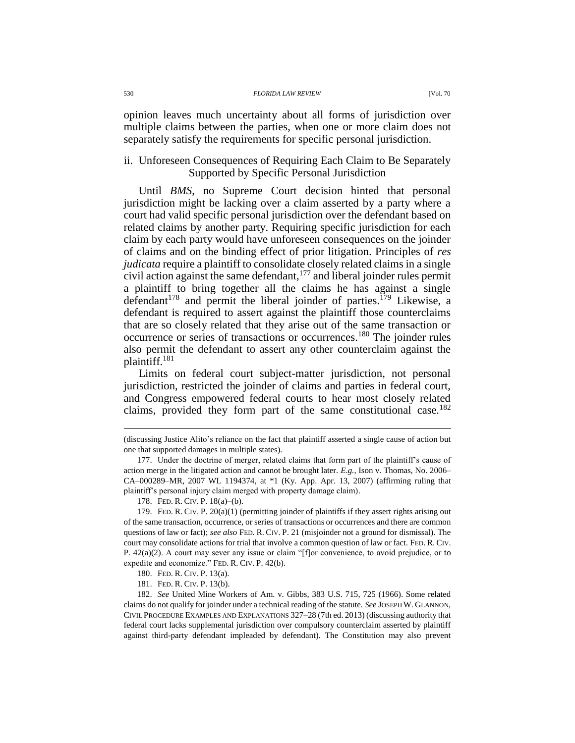opinion leaves much uncertainty about all forms of jurisdiction over multiple claims between the parties, when one or more claim does not separately satisfy the requirements for specific personal jurisdiction.

# ii. Unforeseen Consequences of Requiring Each Claim to Be Separately Supported by Specific Personal Jurisdiction

Until *BMS*, no Supreme Court decision hinted that personal jurisdiction might be lacking over a claim asserted by a party where a court had valid specific personal jurisdiction over the defendant based on related claims by another party. Requiring specific jurisdiction for each claim by each party would have unforeseen consequences on the joinder of claims and on the binding effect of prior litigation. Principles of *res judicata* require a plaintiff to consolidate closely related claims in a single civil action against the same defendant, $177$  and liberal joinder rules permit a plaintiff to bring together all the claims he has against a single defendant<sup>178</sup> and permit the liberal joinder of parties.<sup>179</sup> Likewise, a defendant is required to assert against the plaintiff those counterclaims that are so closely related that they arise out of the same transaction or occurrence or series of transactions or occurrences.<sup>180</sup> The joinder rules also permit the defendant to assert any other counterclaim against the plaintiff.<sup>181</sup>

Limits on federal court subject-matter jurisdiction, not personal jurisdiction, restricted the joinder of claims and parties in federal court, and Congress empowered federal courts to hear most closely related claims, provided they form part of the same constitutional case.<sup>182</sup>

<sup>(</sup>discussing Justice Alito's reliance on the fact that plaintiff asserted a single cause of action but one that supported damages in multiple states).

<sup>177.</sup> Under the doctrine of merger, related claims that form part of the plaintiff's cause of action merge in the litigated action and cannot be brought later. *E.g.*, Ison v. Thomas, No. 2006– CA–000289–MR, 2007 WL 1194374, at \*1 (Ky. App. Apr. 13, 2007) (affirming ruling that plaintiff's personal injury claim merged with property damage claim).

<sup>178.</sup> FED. R. CIV. P. 18(a)–(b).

<sup>179.</sup> FED. R. CIV. P. 20(a)(1) (permitting joinder of plaintiffs if they assert rights arising out of the same transaction, occurrence, or series of transactions or occurrences and there are common questions of law or fact); *see also* FED. R. CIV. P. 21 (misjoinder not a ground for dismissal). The court may consolidate actions for trial that involve a common question of law or fact. FED. R. CIV. P. 42(a)(2). A court may sever any issue or claim "[f]or convenience, to avoid prejudice, or to expedite and economize." FED. R. CIV. P. 42(b).

<sup>180.</sup> FED. R. CIV. P. 13(a).

<sup>181.</sup> FED. R. CIV. P. 13(b).

<sup>182.</sup> *See* United Mine Workers of Am. v. Gibbs, 383 U.S. 715, 725 (1966). Some related claims do not qualify for joinder under a technical reading of the statute. *See* JOSEPH W. GLANNON, CIVIL PROCEDURE EXAMPLES AND EXPLANATIONS 327–28 (7th ed. 2013) (discussing authority that federal court lacks supplemental jurisdiction over compulsory counterclaim asserted by plaintiff against third-party defendant impleaded by defendant). The Constitution may also prevent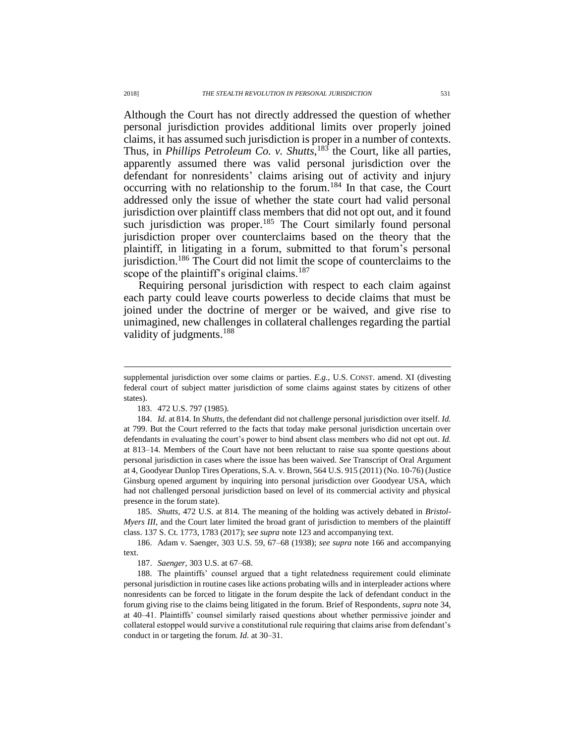Although the Court has not directly addressed the question of whether personal jurisdiction provides additional limits over properly joined claims, it has assumed such jurisdiction is proper in a number of contexts. Thus, in *Phillips Petroleum Co. v. Shutts*, <sup>183</sup> the Court, like all parties, apparently assumed there was valid personal jurisdiction over the defendant for nonresidents' claims arising out of activity and injury occurring with no relationship to the forum.<sup>184</sup> In that case, the Court addressed only the issue of whether the state court had valid personal jurisdiction over plaintiff class members that did not opt out, and it found such jurisdiction was proper.<sup>185</sup> The Court similarly found personal jurisdiction proper over counterclaims based on the theory that the plaintiff, in litigating in a forum, submitted to that forum's personal jurisdiction.<sup>186</sup> The Court did not limit the scope of counterclaims to the scope of the plaintiff's original claims.<sup>187</sup>

Requiring personal jurisdiction with respect to each claim against each party could leave courts powerless to decide claims that must be joined under the doctrine of merger or be waived, and give rise to unimagined, new challenges in collateral challenges regarding the partial validity of judgments.<sup>188</sup>

185. *Shutts*, 472 U.S. at 814. The meaning of the holding was actively debated in *Bristol-Myers III*, and the Court later limited the broad grant of jurisdiction to members of the plaintiff class. 137 S. Ct. 1773, 1783 (2017); s*ee supra* not[e 123](#page-21-2) and accompanying text.

186. Adam v. Saenger, 303 U.S. 59, 67–68 (1938); *see supra* not[e 166](#page-28-0) and accompanying text.

187. *Saenger*, 303 U.S. at 67–68.

188. The plaintiffs' counsel argued that a tight relatedness requirement could eliminate personal jurisdiction in routine cases like actions probating wills and in interpleader actions where nonresidents can be forced to litigate in the forum despite the lack of defendant conduct in the forum giving rise to the claims being litigated in the forum. Brief of Respondents, *supra* note [34,](#page-8-0) at 40–41. Plaintiffs' counsel similarly raised questions about whether permissive joinder and collateral estoppel would survive a constitutional rule requiring that claims arise from defendant's conduct in or targeting the forum. *Id.* at 30–31.

supplemental jurisdiction over some claims or parties. *E.g.*, U.S. CONST. amend. XI (divesting federal court of subject matter jurisdiction of some claims against states by citizens of other states).

<sup>183.</sup> 472 U.S. 797 (1985).

<sup>184.</sup> *Id.* at 814. In *Shutts*, the defendant did not challenge personal jurisdiction over itself. *Id.*  at 799. But the Court referred to the facts that today make personal jurisdiction uncertain over defendants in evaluating the court's power to bind absent class members who did not opt out. *Id.*  at 813–14. Members of the Court have not been reluctant to raise sua sponte questions about personal jurisdiction in cases where the issue has been waived. *See* Transcript of Oral Argument at 4, Goodyear Dunlop Tires Operations, S.A. v. Brown, 564 U.S. 915 (2011) (No. 10-76) (Justice Ginsburg opened argument by inquiring into personal jurisdiction over Goodyear USA, which had not challenged personal jurisdiction based on level of its commercial activity and physical presence in the forum state).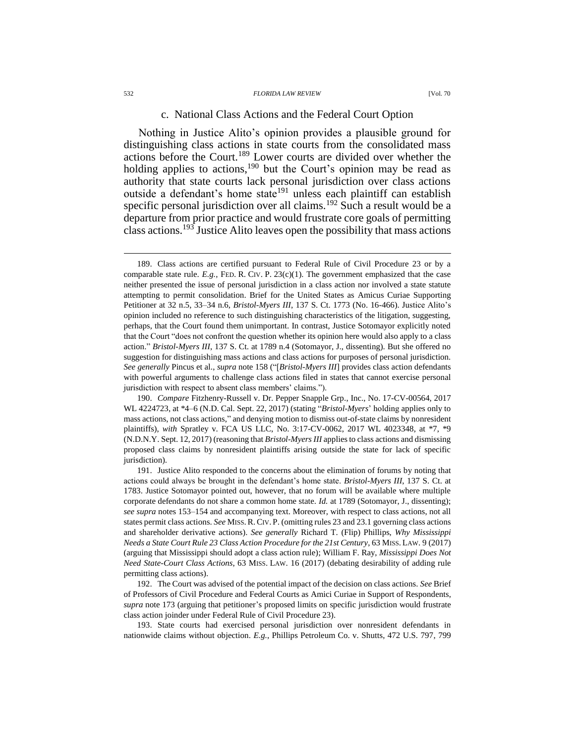#### 532 *FLORIDA LAW REVIEW* [Vol. 70

#### <span id="page-33-0"></span>c. National Class Actions and the Federal Court Option

Nothing in Justice Alito's opinion provides a plausible ground for distinguishing class actions in state courts from the consolidated mass actions before the Court.<sup>189</sup> Lower courts are divided over whether the holding applies to actions,<sup>190</sup> but the Court's opinion may be read as authority that state courts lack personal jurisdiction over class actions outside a defendant's home state<sup>191</sup> unless each plaintiff can establish specific personal jurisdiction over all claims.<sup>192</sup> Such a result would be a departure from prior practice and would frustrate core goals of permitting class actions.<sup>193</sup> Justice Alito leaves open the possibility that mass actions

190. *Compare* Fitzhenry-Russell v. Dr. Pepper Snapple Grp., Inc., No. 17-CV-00564, 2017 WL 4224723, at \*4–6 (N.D. Cal. Sept. 22, 2017) (stating "*Bristol-Myers*' holding applies only to mass actions, not class actions," and denying motion to dismiss out-of-state claims by nonresident plaintiffs), *with* Spratley v. FCA US LLC, No. 3:17-CV-0062, 2017 WL 4023348, at \*7, \*9 (N.D.N.Y. Sept. 12, 2017) (reasoning that *Bristol-Myers III* applies to class actions and dismissing proposed class claims by nonresident plaintiffs arising outside the state for lack of specific jurisdiction).

191. Justice Alito responded to the concerns about the elimination of forums by noting that actions could always be brought in the defendant's home state. *Bristol-Myers III*, 137 S. Ct. at 1783. Justice Sotomayor pointed out, however, that no forum will be available where multiple corporate defendants do not share a common home state. *Id.* at 1789 (Sotomayor, J., dissenting); *see supra* notes [153–](#page-25-0)[154](#page-25-1) and accompanying text. Moreover, with respect to class actions, not all states permit class actions. *See* MISS.R.CIV. P. (omitting rules 23 and 23.1 governing class actions and shareholder derivative actions). *See generally* Richard T. (Flip) Phillips, *Why Mississippi Needs a State Court Rule 23 Class Action Procedure for the 21st Century*, 63 MISS. LAW. 9 (2017) (arguing that Mississippi should adopt a class action rule); William F. Ray, *Mississippi Does Not Need State-Court Class Actions*, 63 MISS. LAW. 16 (2017) (debating desirability of adding rule permitting class actions).

192. The Court was advised of the potential impact of the decision on class actions. *See* Brief of Professors of Civil Procedure and Federal Courts as Amici Curiae in Support of Respondents, *supra* note [173](#page-30-0) (arguing that petitioner's proposed limits on specific jurisdiction would frustrate class action joinder under Federal Rule of Civil Procedure 23).

193. State courts had exercised personal jurisdiction over nonresident defendants in nationwide claims without objection. *E.g.*, Phillips Petroleum Co. v. Shutts, 472 U.S. 797, 799

<span id="page-33-1"></span><sup>189.</sup> Class actions are certified pursuant to Federal Rule of Civil Procedure 23 or by a comparable state rule.  $E.g.,$  FED. R. CIV. P. 23(c)(1). The government emphasized that the case neither presented the issue of personal jurisdiction in a class action nor involved a state statute attempting to permit consolidation. Brief for the United States as Amicus Curiae Supporting Petitioner at 32 n.5, 33–34 n.6, *Bristol-Myers III*, 137 S. Ct. 1773 (No. 16-466). Justice Alito's opinion included no reference to such distinguishing characteristics of the litigation, suggesting, perhaps, that the Court found them unimportant. In contrast, Justice Sotomayor explicitly noted that the Court "does not confront the question whether its opinion here would also apply to a class action." *Bristol-Myers III*, 137 S. Ct. at 1789 n.4 (Sotomayor, J., dissenting). But she offered no suggestion for distinguishing mass actions and class actions for purposes of personal jurisdiction. *See generally* Pincus et al., *supra* not[e 158](#page-26-0) ("[*Bristol-Myers III*] provides class action defendants with powerful arguments to challenge class actions filed in states that cannot exercise personal jurisdiction with respect to absent class members' claims.").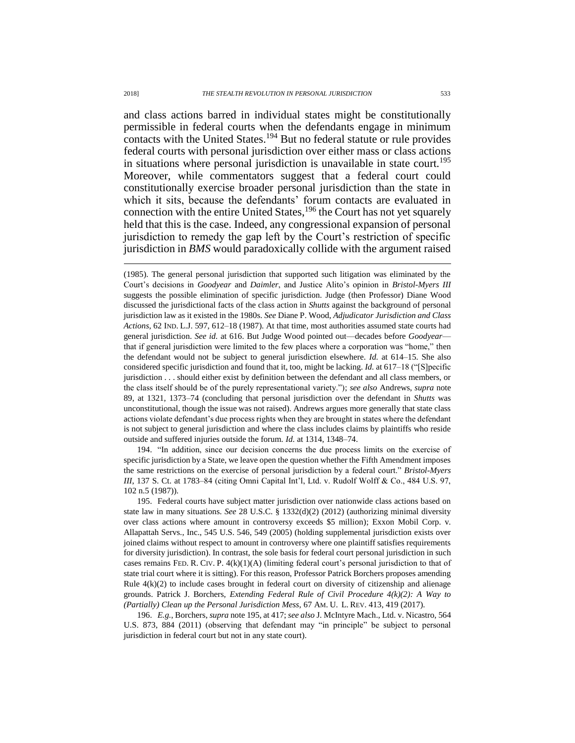<span id="page-34-0"></span>and class actions barred in individual states might be constitutionally permissible in federal courts when the defendants engage in minimum contacts with the United States.<sup>194</sup> But no federal statute or rule provides federal courts with personal jurisdiction over either mass or class actions in situations where personal jurisdiction is unavailable in state court.<sup>195</sup> Moreover, while commentators suggest that a federal court could constitutionally exercise broader personal jurisdiction than the state in which it sits, because the defendants' forum contacts are evaluated in connection with the entire United States,  $196$  the Court has not yet squarely held that this is the case. Indeed, any congressional expansion of personal jurisdiction to remedy the gap left by the Court's restriction of specific jurisdiction in *BMS* would paradoxically collide with the argument raised

(1985). The general personal jurisdiction that supported such litigation was eliminated by the Court's decisions in *Goodyear* and *Daimler*, and Justice Alito's opinion in *Bristol-Myers III* suggests the possible elimination of specific jurisdiction. Judge (then Professor) Diane Wood discussed the jurisdictional facts of the class action in *Shutts* against the background of personal jurisdiction law as it existed in the 1980s. *See* Diane P. Wood, *Adjudicator Jurisdiction and Class Actions*, 62 IND. L.J. 597, 612–18 (1987). At that time, most authorities assumed state courts had general jurisdiction. *See id.* at 616. But Judge Wood pointed out—decades before *Goodyear* that if general jurisdiction were limited to the few places where a corporation was "home," then the defendant would not be subject to general jurisdiction elsewhere. *Id.* at 614–15. She also considered specific jurisdiction and found that it, too, might be lacking. *Id.* at 617–18 ("[S]pecific jurisdiction . . . should either exist by definition between the defendant and all class members, or the class itself should be of the purely representational variety."); *see also* Andrews, *supra* note [89,](#page-16-0) at 1321, 1373–74 (concluding that personal jurisdiction over the defendant in *Shutts* was unconstitutional, though the issue was not raised). Andrews argues more generally that state class actions violate defendant's due process rights when they are brought in states where the defendant is not subject to general jurisdiction and where the class includes claims by plaintiffs who reside outside and suffered injuries outside the forum. *Id.* at 1314, 1348–74.

194. "In addition, since our decision concerns the due process limits on the exercise of specific jurisdiction by a State, we leave open the question whether the Fifth Amendment imposes the same restrictions on the exercise of personal jurisdiction by a federal court." *Bristol-Myers III*, 137 S. Ct. at 1783–84 (citing Omni Capital Int'l, Ltd. v. Rudolf Wolff & Co., 484 U.S. 97, 102 n.5 (1987)).

195. Federal courts have subject matter jurisdiction over nationwide class actions based on state law in many situations. *See* 28 U.S.C. § 1332(d)(2) (2012) (authorizing minimal diversity over class actions where amount in controversy exceeds \$5 million); Exxon Mobil Corp. v. Allapattah Servs., Inc., 545 U.S. 546, 549 (2005) (holding supplemental jurisdiction exists over joined claims without respect to amount in controversy where one plaintiff satisfies requirements for diversity jurisdiction). In contrast, the sole basis for federal court personal jurisdiction in such cases remains FED. R. CIV. P. 4(k)(1)(A) (limiting federal court's personal jurisdiction to that of state trial court where it is sitting). For this reason, Professor Patrick Borchers proposes amending Rule  $4(k)(2)$  to include cases brought in federal court on diversity of citizenship and alienage grounds. Patrick J. Borchers, *Extending Federal Rule of Civil Procedure 4(k)(2): A Way to (Partially) Clean up the Personal Jurisdiction Mess*, 67 AM. U. L. REV. 413, 419 (2017).

196. *E.g.*, Borchers, *supra* not[e 195,](#page-34-0) at 417; *see also* J. McIntyre Mach., Ltd. v. Nicastro, 564 U.S. 873, 884 (2011) (observing that defendant may "in principle" be subject to personal jurisdiction in federal court but not in any state court).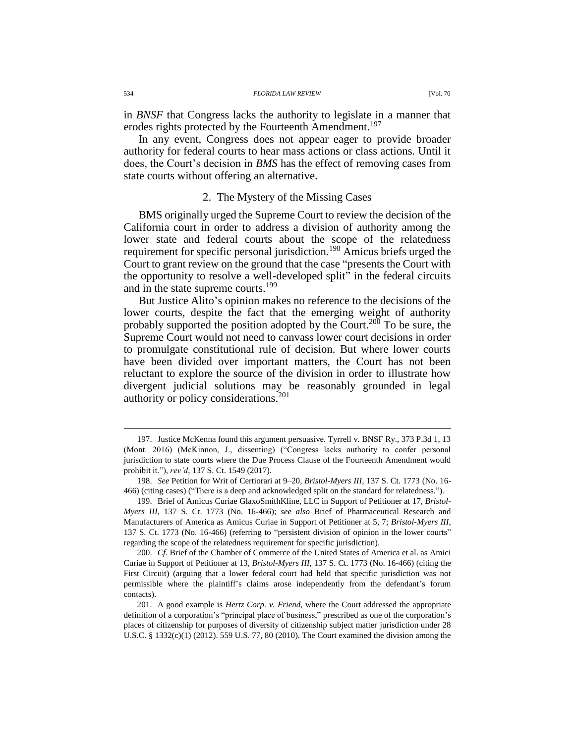in *BNSF* that Congress lacks the authority to legislate in a manner that erodes rights protected by the Fourteenth Amendment.<sup>197</sup>

In any event, Congress does not appear eager to provide broader authority for federal courts to hear mass actions or class actions. Until it does, the Court's decision in *BMS* has the effect of removing cases from state courts without offering an alternative.

### 2. The Mystery of the Missing Cases

BMS originally urged the Supreme Court to review the decision of the California court in order to address a division of authority among the lower state and federal courts about the scope of the relatedness requirement for specific personal jurisdiction.<sup>198</sup> Amicus briefs urged the Court to grant review on the ground that the case "presents the Court with the opportunity to resolve a well-developed split" in the federal circuits and in the state supreme courts.<sup>199</sup>

But Justice Alito's opinion makes no reference to the decisions of the lower courts, despite the fact that the emerging weight of authority probably supported the position adopted by the Court.<sup>200</sup> To be sure, the Supreme Court would not need to canvass lower court decisions in order to promulgate constitutional rule of decision. But where lower courts have been divided over important matters, the Court has not been reluctant to explore the source of the division in order to illustrate how divergent judicial solutions may be reasonably grounded in legal authority or policy considerations.<sup>201</sup>

<sup>197.</sup> Justice McKenna found this argument persuasive. Tyrrell v. BNSF Ry., 373 P.3d 1, 13 (Mont. 2016) (McKinnon, J., dissenting) ("Congress lacks authority to confer personal jurisdiction to state courts where the Due Process Clause of the Fourteenth Amendment would prohibit it."), *rev'd*, 137 S. Ct. 1549 (2017).

<sup>198.</sup> *See* Petition for Writ of Certiorari at 9–20, *Bristol-Myers III*, 137 S. Ct. 1773 (No. 16- 466) (citing cases) ("There is a deep and acknowledged split on the standard for relatedness.").

<sup>199.</sup> Brief of Amicus Curiae GlaxoSmithKline, LLC in Support of Petitioner at 17, *Bristol-Myers III*, 137 S. Ct. 1773 (No. 16-466); *see also* Brief of Pharmaceutical Research and Manufacturers of America as Amicus Curiae in Support of Petitioner at 5, 7; *Bristol-Myers III*, 137 S. Ct. 1773 (No. 16-466) (referring to "persistent division of opinion in the lower courts" regarding the scope of the relatedness requirement for specific jurisdiction).

<sup>200.</sup> *Cf.* Brief of the Chamber of Commerce of the United States of America et al. as Amici Curiae in Support of Petitioner at 13, *Bristol-Myers III*, 137 S. Ct. 1773 (No. 16-466) (citing the First Circuit) (arguing that a lower federal court had held that specific jurisdiction was not permissible where the plaintiff's claims arose independently from the defendant's forum contacts).

<sup>201.</sup> A good example is *Hertz Corp. v. Friend*, where the Court addressed the appropriate definition of a corporation's "principal place of business," prescribed as one of the corporation's places of citizenship for purposes of diversity of citizenship subject matter jurisdiction under 28 U.S.C. § 1332(c)(1) (2012). 559 U.S. 77, 80 (2010). The Court examined the division among the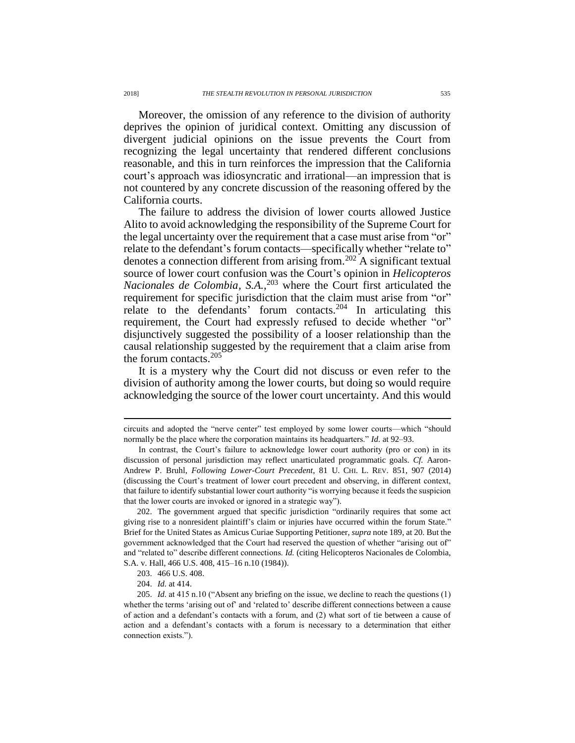Moreover, the omission of any reference to the division of authority deprives the opinion of juridical context. Omitting any discussion of divergent judicial opinions on the issue prevents the Court from recognizing the legal uncertainty that rendered different conclusions reasonable, and this in turn reinforces the impression that the California court's approach was idiosyncratic and irrational—an impression that is not countered by any concrete discussion of the reasoning offered by the California courts.

The failure to address the division of lower courts allowed Justice Alito to avoid acknowledging the responsibility of the Supreme Court for the legal uncertainty over the requirement that a case must arise from "or" relate to the defendant's forum contacts—specifically whether "relate to" denotes a connection different from arising from.<sup>202</sup> A significant textual source of lower court confusion was the Court's opinion in *Helicopteros Nacionales de Colombia, S.A.*, <sup>203</sup> where the Court first articulated the requirement for specific jurisdiction that the claim must arise from "or" relate to the defendants' forum contacts.<sup>204</sup> In articulating this requirement, the Court had expressly refused to decide whether "or" disjunctively suggested the possibility of a looser relationship than the causal relationship suggested by the requirement that a claim arise from the forum contacts.<sup>205</sup>

It is a mystery why the Court did not discuss or even refer to the division of authority among the lower courts, but doing so would require acknowledging the source of the lower court uncertainty. And this would

circuits and adopted the "nerve center" test employed by some lower courts—which "should normally be the place where the corporation maintains its headquarters." *Id.* at 92–93.

In contrast, the Court's failure to acknowledge lower court authority (pro or con) in its discussion of personal jurisdiction may reflect unarticulated programmatic goals. *Cf.* Aaron-Andrew P. Bruhl, *Following Lower-Court Precedent*, 81 U. CHI. L. REV. 851, 907 (2014) (discussing the Court's treatment of lower court precedent and observing, in different context, that failure to identify substantial lower court authority "is worrying because it feeds the suspicion that the lower courts are invoked or ignored in a strategic way").

<sup>202.</sup> The government argued that specific jurisdiction "ordinarily requires that some act giving rise to a nonresident plaintiff's claim or injuries have occurred within the forum State." Brief for the United States as Amicus Curiae Supporting Petitioner, *supra* not[e 189,](#page-33-0) at 20. But the government acknowledged that the Court had reserved the question of whether "arising out of" and "related to" describe different connections. *Id.* (citing Helicopteros Nacionales de Colombia, S.A. v. Hall, 466 U.S. 408, 415–16 n.10 (1984)).

<sup>203.</sup> 466 U.S. 408.

<sup>204.</sup> *Id.* at 414.

<sup>205.</sup> *Id.* at 415 n.10 ("Absent any briefing on the issue, we decline to reach the questions (1) whether the terms 'arising out of' and 'related to' describe different connections between a cause of action and a defendant's contacts with a forum, and (2) what sort of tie between a cause of action and a defendant's contacts with a forum is necessary to a determination that either connection exists.").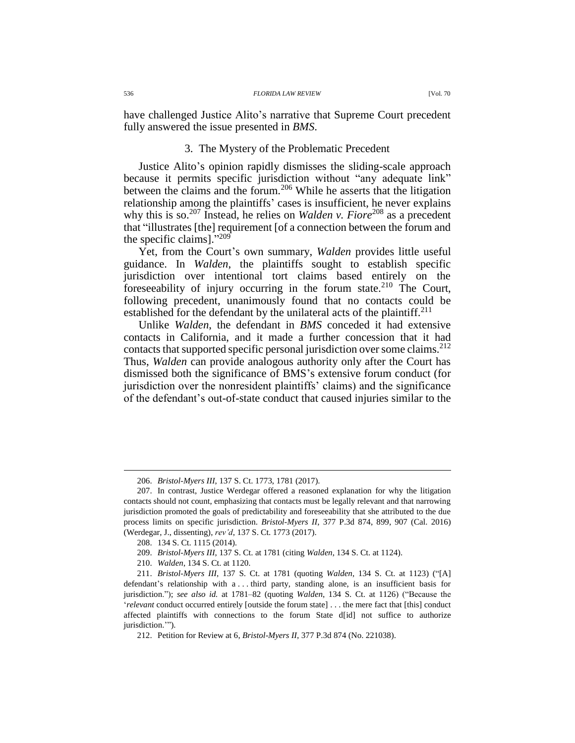have challenged Justice Alito's narrative that Supreme Court precedent fully answered the issue presented in *BMS*.

### <span id="page-37-0"></span>3. The Mystery of the Problematic Precedent

Justice Alito's opinion rapidly dismisses the sliding-scale approach because it permits specific jurisdiction without "any adequate link" between the claims and the forum.<sup>206</sup> While he asserts that the litigation relationship among the plaintiffs' cases is insufficient, he never explains why this is so.<sup>207</sup> Instead, he relies on *Walden v. Fiore*<sup>208</sup> as a precedent that "illustrates [the] requirement [of a connection between the forum and the specific claims]."209

Yet, from the Court's own summary, *Walden* provides little useful guidance. In *Walden*, the plaintiffs sought to establish specific jurisdiction over intentional tort claims based entirely on the foreseeability of injury occurring in the forum state.<sup>210</sup> The Court, following precedent, unanimously found that no contacts could be established for the defendant by the unilateral acts of the plaintiff.<sup>211</sup>

Unlike *Walden*, the defendant in *BMS* conceded it had extensive contacts in California, and it made a further concession that it had contacts that supported specific personal jurisdiction over some claims.<sup>212</sup> Thus, *Walden* can provide analogous authority only after the Court has dismissed both the significance of BMS's extensive forum conduct (for jurisdiction over the nonresident plaintiffs' claims) and the significance of the defendant's out-of-state conduct that caused injuries similar to the

<sup>206.</sup> *Bristol-Myers III*, 137 S. Ct. 1773, 1781 (2017).

<sup>207.</sup> In contrast, Justice Werdegar offered a reasoned explanation for why the litigation contacts should not count, emphasizing that contacts must be legally relevant and that narrowing jurisdiction promoted the goals of predictability and foreseeability that she attributed to the due process limits on specific jurisdiction. *Bristol-Myers II*, 377 P.3d 874, 899, 907 (Cal. 2016) (Werdegar, J., dissenting), *rev'd*, 137 S. Ct. 1773 (2017).

<sup>208.</sup> 134 S. Ct. 1115 (2014).

<sup>209.</sup> *Bristol-Myers III*, 137 S. Ct. at 1781 (citing *Walden*, 134 S. Ct. at 1124).

<sup>210.</sup> *Walden*, 134 S. Ct. at 1120.

<sup>211.</sup> *Bristol-Myers III*, 137 S. Ct. at 1781 (quoting *Walden*, 134 S. Ct. at 1123) ("[A] defendant's relationship with a . . . third party, standing alone, is an insufficient basis for jurisdiction."); *see also id.* at 1781–82 (quoting *Walden*, 134 S. Ct. at 1126) ("Because the '*relevant* conduct occurred entirely [outside the forum state] . . . the mere fact that [this] conduct affected plaintiffs with connections to the forum State d[id] not suffice to authorize jurisdiction.'").

<sup>212.</sup> Petition for Review at 6, *Bristol-Myers II*, 377 P.3d 874 (No. 221038).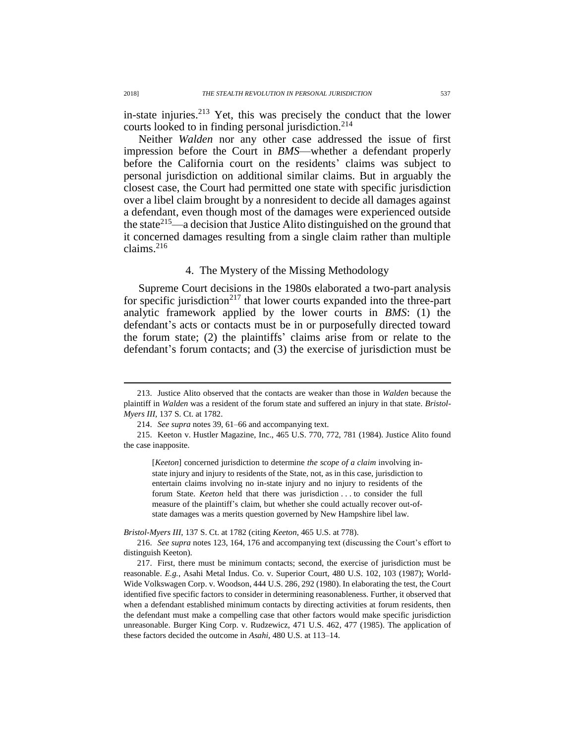in-state injuries.<sup>213</sup> Yet, this was precisely the conduct that the lower courts looked to in finding personal jurisdiction.<sup>214</sup>

Neither *Walden* nor any other case addressed the issue of first impression before the Court in *BMS*—whether a defendant properly before the California court on the residents' claims was subject to personal jurisdiction on additional similar claims. But in arguably the closest case, the Court had permitted one state with specific jurisdiction over a libel claim brought by a nonresident to decide all damages against a defendant, even though most of the damages were experienced outside the state<sup>215</sup>—a decision that Justice Alito distinguished on the ground that it concerned damages resulting from a single claim rather than multiple claims. $216$ 

# 4. The Mystery of the Missing Methodology

Supreme Court decisions in the 1980s elaborated a two-part analysis for specific jurisdiction<sup>217</sup> that lower courts expanded into the three-part analytic framework applied by the lower courts in *BMS*: (1) the defendant's acts or contacts must be in or purposefully directed toward the forum state; (2) the plaintiffs' claims arise from or relate to the defendant's forum contacts; and (3) the exercise of jurisdiction must be

*Bristol-Myers III*, 137 S. Ct. at 1782 (citing *Keeton*, 465 U.S. at 778).

<sup>213.</sup> Justice Alito observed that the contacts are weaker than those in *Walden* because the plaintiff in *Walden* was a resident of the forum state and suffered an injury in that state. *Bristol-Myers III*, 137 S. Ct. at 1782.

<sup>214.</sup> *See supra* note[s 39,](#page-9-0) [61](#page-12-0)[–66](#page-13-0) and accompanying text.

<sup>215.</sup> Keeton v. Hustler Magazine, Inc., 465 U.S. 770, 772, 781 (1984). Justice Alito found the case inapposite.

<sup>[</sup>*Keeton*] concerned jurisdiction to determine *the scope of a claim* involving instate injury and injury to residents of the State, not, as in this case, jurisdiction to entertain claims involving no in-state injury and no injury to residents of the forum State. *Keeton* held that there was jurisdiction . . . to consider the full measure of the plaintiff's claim, but whether she could actually recover out-ofstate damages was a merits question governed by New Hampshire libel law.

<sup>216.</sup> *See supra* notes [123,](#page-21-2) [164,](#page-27-0) [176](#page-30-1) and accompanying text (discussing the Court's effort to distinguish Keeton).

<sup>217.</sup> First, there must be minimum contacts; second, the exercise of jurisdiction must be reasonable. *E.g.*, Asahi Metal Indus. Co. v. Superior Court, 480 U.S. 102, 103 (1987); World-Wide Volkswagen Corp. v. Woodson, 444 U.S. 286, 292 (1980). In elaborating the test, the Court identified five specific factors to consider in determining reasonableness. Further, it observed that when a defendant established minimum contacts by directing activities at forum residents, then the defendant must make a compelling case that other factors would make specific jurisdiction unreasonable. Burger King Corp. v. Rudzewicz, 471 U.S. 462, 477 (1985). The application of these factors decided the outcome in *Asahi*, 480 U.S. at 113–14.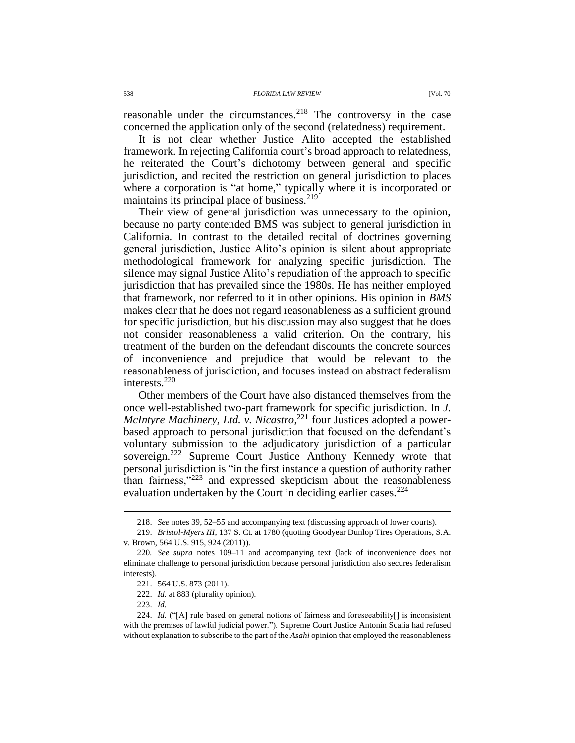reasonable under the circumstances. $2^{18}$  The controversy in the case concerned the application only of the second (relatedness) requirement.

It is not clear whether Justice Alito accepted the established framework. In rejecting California court's broad approach to relatedness, he reiterated the Court's dichotomy between general and specific jurisdiction, and recited the restriction on general jurisdiction to places where a corporation is "at home," typically where it is incorporated or maintains its principal place of business. $219$ 

<span id="page-39-1"></span>Their view of general jurisdiction was unnecessary to the opinion, because no party contended BMS was subject to general jurisdiction in California. In contrast to the detailed recital of doctrines governing general jurisdiction, Justice Alito's opinion is silent about appropriate methodological framework for analyzing specific jurisdiction. The silence may signal Justice Alito's repudiation of the approach to specific jurisdiction that has prevailed since the 1980s. He has neither employed that framework, nor referred to it in other opinions. His opinion in *BMS* makes clear that he does not regard reasonableness as a sufficient ground for specific jurisdiction, but his discussion may also suggest that he does not consider reasonableness a valid criterion. On the contrary, his treatment of the burden on the defendant discounts the concrete sources of inconvenience and prejudice that would be relevant to the reasonableness of jurisdiction, and focuses instead on abstract federalism interests.<sup>220</sup>

<span id="page-39-0"></span>Other members of the Court have also distanced themselves from the once well-established two-part framework for specific jurisdiction. In *J. McIntyre Machinery, Ltd. v. Nicastro*, <sup>221</sup> four Justices adopted a powerbased approach to personal jurisdiction that focused on the defendant's voluntary submission to the adjudicatory jurisdiction of a particular sovereign.<sup>222</sup> Supreme Court Justice Anthony Kennedy wrote that personal jurisdiction is "in the first instance a question of authority rather than fairness,"<sup>223</sup> and expressed skepticism about the reasonableness evaluation undertaken by the Court in deciding earlier cases.<sup>224</sup>

222. *Id.* at 883 (plurality opinion).

223. *Id.*

<sup>218.</sup> *See* note[s 39,](#page-9-0) [52](#page-11-1)[–55](#page-11-0) and accompanying text (discussing approach of lower courts).

<sup>219.</sup> *Bristol-Myers III*, 137 S. Ct. at 1780 (quoting Goodyear Dunlop Tires Operations, S.A. v. Brown, 564 U.S. 915, 924 (2011)).

<sup>220</sup>*. See supra* notes [109–](#page-19-2)11 and accompanying text (lack of inconvenience does not eliminate challenge to personal jurisdiction because personal jurisdiction also secures federalism interests).

<sup>221.</sup> 564 U.S. 873 (2011).

<sup>224.</sup> *Id.* ("[A] rule based on general notions of fairness and foreseeability[] is inconsistent with the premises of lawful judicial power."). Supreme Court Justice Antonin Scalia had refused without explanation to subscribe to the part of the *Asahi* opinion that employed the reasonableness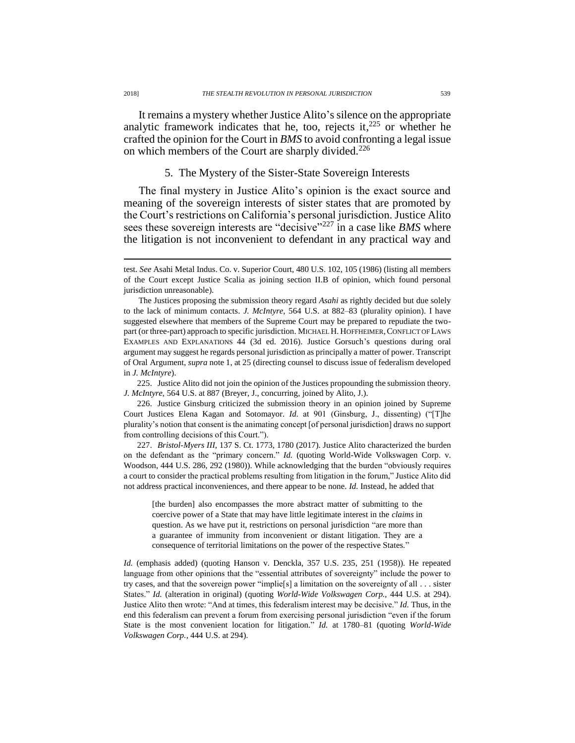It remains a mystery whether Justice Alito's silence on the appropriate analytic framework indicates that he, too, rejects it, $225$  or whether he crafted the opinion for the Court in *BMS* to avoid confronting a legal issue on which members of the Court are sharply divided.<sup>226</sup>

## 5. The Mystery of the Sister-State Sovereign Interests

The final mystery in Justice Alito's opinion is the exact source and meaning of the sovereign interests of sister states that are promoted by the Court's restrictions on California's personal jurisdiction. Justice Alito sees these sovereign interests are "decisive"<sup>227</sup> in a case like *BMS* where the litigation is not inconvenient to defendant in any practical way and

225. Justice Alito did not join the opinion of the Justices propounding the submission theory. *J. McIntyre*, 564 U.S. at 887 (Breyer, J., concurring, joined by Alito, J.).

226. Justice Ginsburg criticized the submission theory in an opinion joined by Supreme Court Justices Elena Kagan and Sotomayor. *Id.* at 901 (Ginsburg, J., dissenting) ("[T]he plurality's notion that consent is the animating concept [of personal jurisdiction] draws no support from controlling decisions of this Court.").

227. *Bristol-Myers III*, 137 S. Ct. 1773, 1780 (2017). Justice Alito characterized the burden on the defendant as the "primary concern." *Id.* (quoting World-Wide Volkswagen Corp. v. Woodson, 444 U.S. 286, 292 (1980)). While acknowledging that the burden "obviously requires a court to consider the practical problems resulting from litigation in the forum," Justice Alito did not address practical inconveniences, and there appear to be none. *Id.* Instead, he added that

[the burden] also encompasses the more abstract matter of submitting to the coercive power of a State that may have little legitimate interest in the *claims* in question. As we have put it, restrictions on personal jurisdiction "are more than a guarantee of immunity from inconvenient or distant litigation. They are a consequence of territorial limitations on the power of the respective States."

*Id.* (emphasis added) (quoting Hanson v. Denckla, 357 U.S. 235, 251 (1958)). He repeated language from other opinions that the "essential attributes of sovereignty" include the power to try cases, and that the sovereign power "implie[s] a limitation on the sovereignty of all . . . sister States." *Id.* (alteration in original) (quoting *World-Wide Volkswagen Corp.*, 444 U.S. at 294). Justice Alito then wrote: "And at times, this federalism interest may be decisive." *Id.* Thus, in the end this federalism can prevent a forum from exercising personal jurisdiction "even if the forum State is the most convenient location for litigation." *Id.* at 1780–81 (quoting *World-Wide Volkswagen Corp.*, 444 U.S. at 294).

test. *See* Asahi Metal Indus. Co. v. Superior Court, 480 U.S. 102, 105 (1986) (listing all members of the Court except Justice Scalia as joining section II.B of opinion, which found personal jurisdiction unreasonable).

The Justices proposing the submission theory regard *Asahi* as rightly decided but due solely to the lack of minimum contacts. *J. McIntyre*, 564 U.S. at 882–83 (plurality opinion). I have suggested elsewhere that members of the Supreme Court may be prepared to repudiate the twopart (or three-part) approach to specific jurisdiction. MICHAEL H. HOFFHEIMER, CONFLICT OF LAWS EXAMPLES AND EXPLANATIONS 44 (3d ed. 2016). Justice Gorsuch's questions during oral argument may suggest he regards personal jurisdiction as principally a matter of power. Transcript of Oral Argument, *supra* note 1, at 25 (directing counsel to discuss issue of federalism developed in *J. McIntyre*).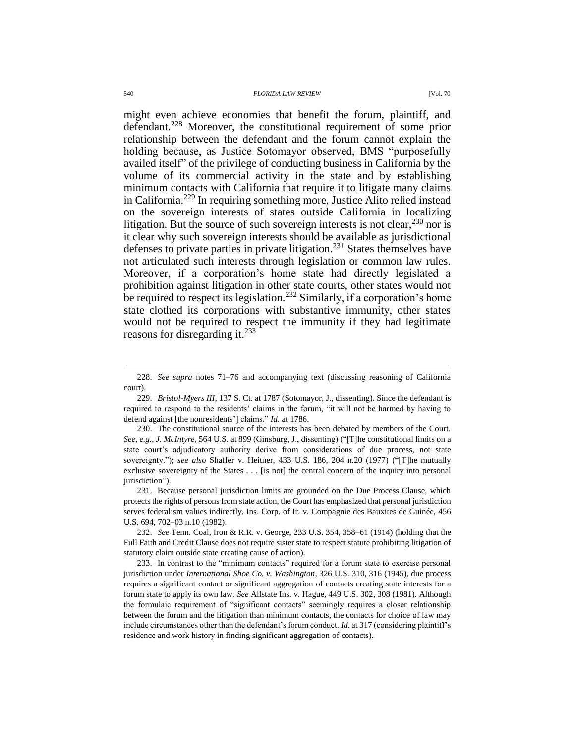might even achieve economies that benefit the forum, plaintiff, and defendant.<sup>228</sup> Moreover, the constitutional requirement of some prior relationship between the defendant and the forum cannot explain the holding because, as Justice Sotomayor observed, BMS "purposefully availed itself" of the privilege of conducting business in California by the volume of its commercial activity in the state and by establishing minimum contacts with California that require it to litigate many claims in California.<sup>229</sup> In requiring something more, Justice Alito relied instead on the sovereign interests of states outside California in localizing litigation. But the source of such sovereign interests is not clear,<sup>230</sup> nor is it clear why such sovereign interests should be available as jurisdictional defenses to private parties in private litigation.<sup>231</sup> States themselves have not articulated such interests through legislation or common law rules. Moreover, if a corporation's home state had directly legislated a prohibition against litigation in other state courts, other states would not be required to respect its legislation.<sup>232</sup> Similarly, if a corporation's home state clothed its corporations with substantive immunity, other states would not be required to respect the immunity if they had legitimate reasons for disregarding it. $^{233}$ 

233. In contrast to the "minimum contacts" required for a forum state to exercise personal jurisdiction under *International Shoe Co. v. Washington*, 326 U.S. 310, 316 (1945), due process requires a significant contact or significant aggregation of contacts creating state interests for a forum state to apply its own law. *See* Allstate Ins. v. Hague, 449 U.S. 302, 308 (1981). Although the formulaic requirement of "significant contacts" seemingly requires a closer relationship between the forum and the litigation than minimum contacts, the contacts for choice of law may include circumstances other than the defendant's forum conduct. *Id.* at 317 (considering plaintiff's residence and work history in finding significant aggregation of contacts).

<sup>228.</sup> *See supra* notes [71](#page-13-1)[–76](#page-14-0) and accompanying text (discussing reasoning of California court).

<sup>229.</sup> *Bristol-Myers III*, 137 S. Ct. at 1787 (Sotomayor, J., dissenting). Since the defendant is required to respond to the residents' claims in the forum, "it will not be harmed by having to defend against [the nonresidents'] claims." *Id.* at 1786.

<sup>230.</sup> The constitutional source of the interests has been debated by members of the Court. *See, e.g.*, *J. McIntyre*, 564 U.S. at 899 (Ginsburg, J., dissenting) ("[T]he constitutional limits on a state court's adjudicatory authority derive from considerations of due process, not state sovereignty."); *see also* Shaffer v. Heitner, 433 U.S. 186, 204 n.20 (1977) ("[T]he mutually exclusive sovereignty of the States . . . [is not] the central concern of the inquiry into personal jurisdiction").

<sup>231.</sup> Because personal jurisdiction limits are grounded on the Due Process Clause, which protects the rights of persons from state action, the Court has emphasized that personal jurisdiction serves federalism values indirectly. Ins. Corp. of Ir. v. Compagnie des Bauxites de Guinée, 456 U.S. 694, 702–03 n.10 (1982).

<sup>232.</sup> *See* Tenn. Coal, Iron & R.R. v. George, 233 U.S. 354, 358–61 (1914) (holding that the Full Faith and Credit Clause does not require sister state to respect statute prohibiting litigation of statutory claim outside state creating cause of action).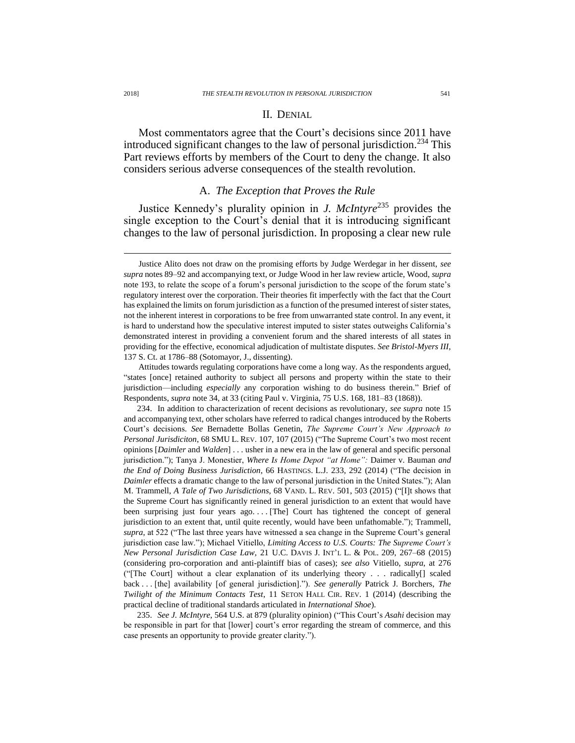#### II. DENIAL

Most commentators agree that the Court's decisions since 2011 have introduced significant changes to the law of personal jurisdiction.<sup>234</sup> This Part reviews efforts by members of the Court to deny the change. It also considers serious adverse consequences of the stealth revolution.

# A. *The Exception that Proves the Rule*

Justice Kennedy's plurality opinion in *J. McIntyre*<sup>235</sup> provides the single exception to the Court's denial that it is introducing significant changes to the law of personal jurisdiction. In proposing a clear new rule

Attitudes towards regulating corporations have come a long way. As the respondents argued, "states [once] retained authority to subject all persons and property within the state to their jurisdiction—including *especially* any corporation wishing to do business therein." Brief of Respondents, *supra* note [34,](#page-8-0) at 33 (citing Paul v. Virginia, 75 U.S. 168, 181–83 (1868)).

234. In addition to characterization of recent decisions as revolutionary, *see supra* note [15](#page-5-0) and accompanying text, other scholars have referred to radical changes introduced by the Roberts Court's decisions. *See* Bernadette Bollas Genetin, *The Supreme Court's New Approach to Personal Jurisdiciton*, 68 SMU L. REV. 107, 107 (2015) ("The Supreme Court's two most recent opinions [*Daimler* and *Walden*] . . . usher in a new era in the law of general and specific personal jurisdiction."); Tanya J. Monestier, *Where Is Home Depot "at Home":* Daimer v. Bauman *and the End of Doing Business Jurisdiction*, 66 HASTINGS. L.J. 233, 292 (2014) ("The decision in *Daimler* effects a dramatic change to the law of personal jurisdiction in the United States."); Alan M. Trammell, *A Tale of Two Jurisdictions*, 68 VAND. L. REV. 501, 503 (2015) ("[I]t shows that the Supreme Court has significantly reined in general jurisdiction to an extent that would have been surprising just four years ago. . . . [The] Court has tightened the concept of general jurisdiction to an extent that, until quite recently, would have been unfathomable."); Trammell, *supra*, at 522 ("The last three years have witnessed a sea change in the Supreme Court's general jurisdiction case law."); Michael Vitiello, *Limiting Access to U.S. Courts: The Supreme Court's New Personal Jurisdiction Case Law*, 21 U.C. DAVIS J. INT'L L. & POL. 209, 267–68 (2015) (considering pro-corporation and anti-plaintiff bias of cases); *see also* Vitiello, *supra*, at 276 ("[The Court] without a clear explanation of its underlying theory . . . radically[] scaled back . . . [the] availability [of general jurisdiction]."). *See generally* Patrick J. Borchers, *The Twilight of the Minimum Contacts Test*, 11 SETON HALL CIR. REV. 1 (2014) (describing the practical decline of traditional standards articulated in *International Shoe*).

235. *See J. McIntyre*, 564 U.S. at 879 (plurality opinion) ("This Court's *Asahi* decision may be responsible in part for that [lower] court's error regarding the stream of commerce, and this case presents an opportunity to provide greater clarity.").

Justice Alito does not draw on the promising efforts by Judge Werdegar in her dissent, *see supra* note[s 89](#page-16-0)[–92](#page-17-0) and accompanying text, or Judge Wood in her law review article, Wood, *supra* note [193,](#page-33-1) to relate the scope of a forum's personal jurisdiction to the scope of the forum state's regulatory interest over the corporation. Their theories fit imperfectly with the fact that the Court has explained the limits on forum jurisdiction as a function of the presumed interest of sister states, not the inherent interest in corporations to be free from unwarranted state control. In any event, it is hard to understand how the speculative interest imputed to sister states outweighs California's demonstrated interest in providing a convenient forum and the shared interests of all states in providing for the effective, economical adjudication of multistate disputes. *See Bristol-Myers III*, 137 S. Ct. at 1786–88 (Sotomayor, J., dissenting).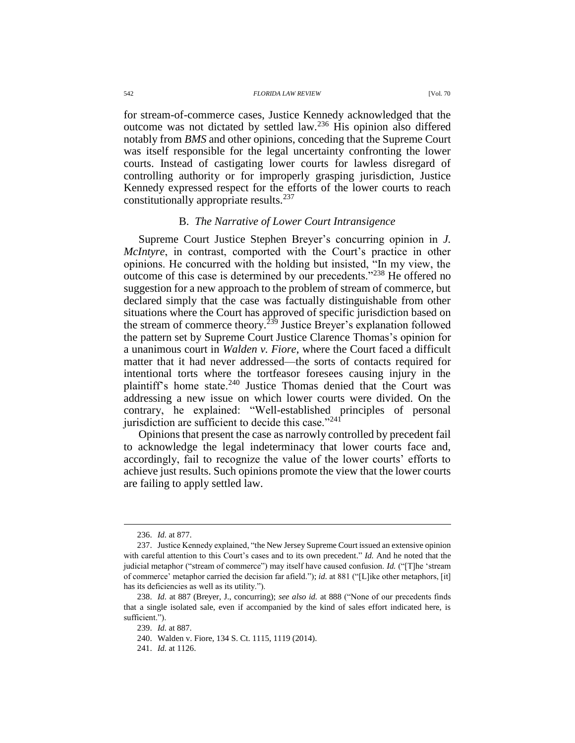542 *FLORIDA LAW REVIEW* [Vol. 70

for stream-of-commerce cases, Justice Kennedy acknowledged that the outcome was not dictated by settled law.<sup>236</sup> His opinion also differed notably from *BMS* and other opinions, conceding that the Supreme Court was itself responsible for the legal uncertainty confronting the lower courts. Instead of castigating lower courts for lawless disregard of controlling authority or for improperly grasping jurisdiction, Justice Kennedy expressed respect for the efforts of the lower courts to reach constitutionally appropriate results.<sup>237</sup>

# B. *The Narrative of Lower Court Intransigence*

Supreme Court Justice Stephen Breyer's concurring opinion in *J. McIntyre*, in contrast, comported with the Court's practice in other opinions. He concurred with the holding but insisted, "In my view, the outcome of this case is determined by our precedents."<sup>238</sup> He offered no suggestion for a new approach to the problem of stream of commerce, but declared simply that the case was factually distinguishable from other situations where the Court has approved of specific jurisdiction based on the stream of commerce theory.<sup> $239$ </sup> Justice Breyer's explanation followed the pattern set by Supreme Court Justice Clarence Thomas's opinion for a unanimous court in *Walden v. Fiore*, where the Court faced a difficult matter that it had never addressed—the sorts of contacts required for intentional torts where the tortfeasor foresees causing injury in the plaintiff's home state.<sup>240</sup> Justice Thomas denied that the Court was addressing a new issue on which lower courts were divided. On the contrary, he explained: "Well-established principles of personal jurisdiction are sufficient to decide this case."<sup>241</sup>

Opinions that present the case as narrowly controlled by precedent fail to acknowledge the legal indeterminacy that lower courts face and, accordingly, fail to recognize the value of the lower courts' efforts to achieve just results. Such opinions promote the view that the lower courts are failing to apply settled law.

<sup>236.</sup> *Id.* at 877.

<sup>237.</sup> Justice Kennedy explained, "the New Jersey Supreme Court issued an extensive opinion with careful attention to this Court's cases and to its own precedent." *Id.* And he noted that the judicial metaphor ("stream of commerce") may itself have caused confusion. *Id.* ("[T]he 'stream of commerce' metaphor carried the decision far afield."); *id.* at 881 ("[L]ike other metaphors, [it] has its deficiencies as well as its utility.").

<sup>238.</sup> *Id.* at 887 (Breyer, J., concurring); *see also id.* at 888 ("None of our precedents finds that a single isolated sale, even if accompanied by the kind of sales effort indicated here, is sufficient.").

<sup>239.</sup> *Id.* at 887.

<sup>240.</sup> Walden v. Fiore, 134 S. Ct. 1115, 1119 (2014).

<sup>241.</sup> *Id.* at 1126.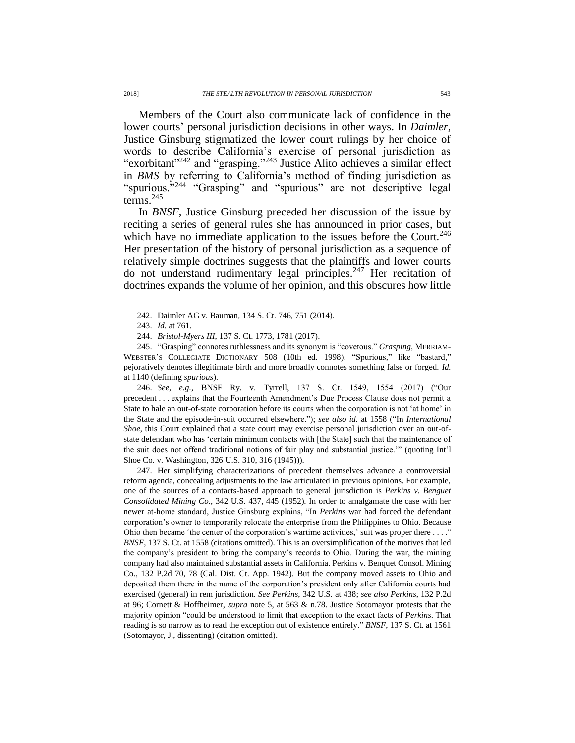Members of the Court also communicate lack of confidence in the lower courts' personal jurisdiction decisions in other ways. In *Daimler*, Justice Ginsburg stigmatized the lower court rulings by her choice of words to describe California's exercise of personal jurisdiction as "exorbitant"<sup>242</sup> and "grasping."<sup>243</sup> Justice Alito achieves a similar effect in *BMS* by referring to California's method of finding jurisdiction as "spurious."<sup>244</sup> "Grasping" and "spurious" are not descriptive legal terms.<sup>245</sup>

In *BNSF*, Justice Ginsburg preceded her discussion of the issue by reciting a series of general rules she has announced in prior cases, but which have no immediate application to the issues before the Court.<sup>246</sup> Her presentation of the history of personal jurisdiction as a sequence of relatively simple doctrines suggests that the plaintiffs and lower courts do not understand rudimentary legal principles.<sup>247</sup> Her recitation of doctrines expands the volume of her opinion, and this obscures how little

 $\overline{a}$ 

245. "Grasping" connotes ruthlessness and its synonym is "covetous." *Grasping*, MERRIAM-WEBSTER'S COLLEGIATE DICTIONARY 508 (10th ed. 1998). "Spurious," like "bastard," pejoratively denotes illegitimate birth and more broadly connotes something false or forged. *Id.*  at 1140 (defining *spurious*).

246. *See, e.g.*, BNSF Ry. v. Tyrrell, 137 S. Ct. 1549, 1554 (2017) ("Our precedent . . . explains that the Fourteenth Amendment's Due Process Clause does not permit a State to hale an out-of-state corporation before its courts when the corporation is not 'at home' in the State and the episode-in-suit occurred elsewhere."); *see also id.* at 1558 ("In *International Shoe*, this Court explained that a state court may exercise personal jurisdiction over an out-ofstate defendant who has 'certain minimum contacts with [the State] such that the maintenance of the suit does not offend traditional notions of fair play and substantial justice.'" (quoting Int'l Shoe Co. v. Washington, 326 U.S. 310, 316 (1945))).

247. Her simplifying characterizations of precedent themselves advance a controversial reform agenda, concealing adjustments to the law articulated in previous opinions. For example, one of the sources of a contacts-based approach to general jurisdiction is *Perkins v. Benguet Consolidated Mining Co.*, 342 U.S. 437, 445 (1952). In order to amalgamate the case with her newer at-home standard, Justice Ginsburg explains, "In *Perkins* war had forced the defendant corporation's owner to temporarily relocate the enterprise from the Philippines to Ohio. Because Ohio then became 'the center of the corporation's wartime activities,' suit was proper there  $\dots$ ." *BNSF*, 137 S. Ct. at 1558 (citations omitted). This is an oversimplification of the motives that led the company's president to bring the company's records to Ohio. During the war, the mining company had also maintained substantial assets in California. Perkins v. Benquet Consol. Mining Co., 132 P.2d 70, 78 (Cal. Dist. Ct. App. 1942). But the company moved assets to Ohio and deposited them there in the name of the corporation's president only after California courts had exercised (general) in rem jurisdiction. *See Perkins*, 342 U.S. at 438; *see also Perkins*, 132 P.2d at 96; Cornett & Hoffheimer, *supra* note [5,](#page-2-1) at 563 & n.78. Justice Sotomayor protests that the majority opinion "could be understood to limit that exception to the exact facts of *Perkins*. That reading is so narrow as to read the exception out of existence entirely." *BNSF*, 137 S. Ct. at 1561 (Sotomayor, J., dissenting) (citation omitted).

<sup>242.</sup> Daimler AG v. Bauman, 134 S. Ct. 746, 751 (2014).

<sup>243.</sup> *Id.* at 761.

<sup>244.</sup> *Bristol-Myers III*, 137 S. Ct. 1773, 1781 (2017).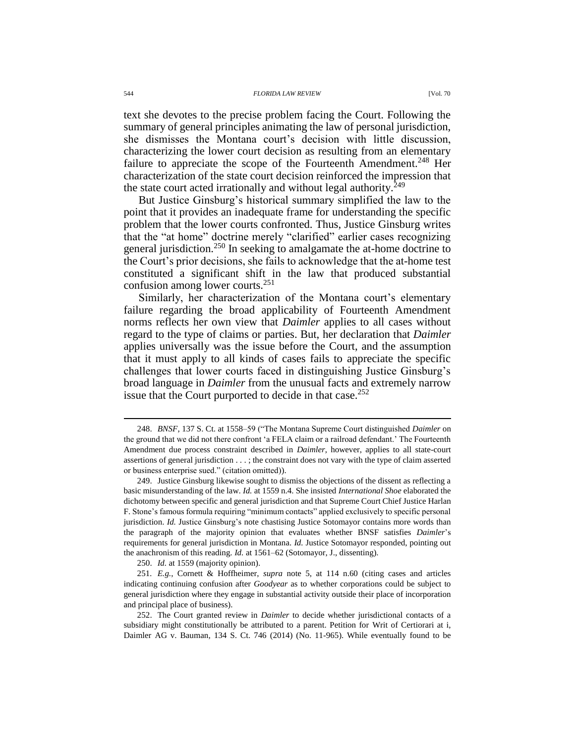text she devotes to the precise problem facing the Court. Following the summary of general principles animating the law of personal jurisdiction, she dismisses the Montana court's decision with little discussion, characterizing the lower court decision as resulting from an elementary failure to appreciate the scope of the Fourteenth Amendment.<sup>248</sup> Her characterization of the state court decision reinforced the impression that the state court acted irrationally and without legal authority.<sup>249</sup>

But Justice Ginsburg's historical summary simplified the law to the point that it provides an inadequate frame for understanding the specific problem that the lower courts confronted. Thus, Justice Ginsburg writes that the "at home" doctrine merely "clarified" earlier cases recognizing general jurisdiction.<sup>250</sup> In seeking to amalgamate the at-home doctrine to the Court's prior decisions, she fails to acknowledge that the at-home test constituted a significant shift in the law that produced substantial confusion among lower courts.<sup>251</sup>

Similarly, her characterization of the Montana court's elementary failure regarding the broad applicability of Fourteenth Amendment norms reflects her own view that *Daimler* applies to all cases without regard to the type of claims or parties. But, her declaration that *Daimler* applies universally was the issue before the Court, and the assumption that it must apply to all kinds of cases fails to appreciate the specific challenges that lower courts faced in distinguishing Justice Ginsburg's broad language in *Daimler* from the unusual facts and extremely narrow issue that the Court purported to decide in that case.<sup>252</sup>

250. *Id.* at 1559 (majority opinion).

251*. E.g.*, Cornett & Hoffheimer, *supra* note [5,](#page-2-1) at 114 n.60 (citing cases and articles indicating continuing confusion after *Goodyear* as to whether corporations could be subject to general jurisdiction where they engage in substantial activity outside their place of incorporation and principal place of business).

252. The Court granted review in *Daimler* to decide whether jurisdictional contacts of a subsidiary might constitutionally be attributed to a parent. Petition for Writ of Certiorari at i, Daimler AG v. Bauman, 134 S. Ct. 746 (2014) (No. 11-965). While eventually found to be

<sup>248.</sup> *BNSF*, 137 S. Ct. at 1558–59 ("The Montana Supreme Court distinguished *Daimler* on the ground that we did not there confront 'a FELA claim or a railroad defendant.' The Fourteenth Amendment due process constraint described in *Daimler*, however, applies to all state-court assertions of general jurisdiction . . . ; the constraint does not vary with the type of claim asserted or business enterprise sued." (citation omitted)).

<sup>249.</sup> Justice Ginsburg likewise sought to dismiss the objections of the dissent as reflecting a basic misunderstanding of the law. *Id.* at 1559 n.4. She insisted *International Shoe* elaborated the dichotomy between specific and general jurisdiction and that Supreme Court Chief Justice Harlan F. Stone's famous formula requiring "minimum contacts" applied exclusively to specific personal jurisdiction. *Id.* Justice Ginsburg's note chastising Justice Sotomayor contains more words than the paragraph of the majority opinion that evaluates whether BNSF satisfies *Daimler*'s requirements for general jurisdiction in Montana. *Id.* Justice Sotomayor responded, pointing out the anachronism of this reading. *Id.* at 1561–62 (Sotomayor, J., dissenting).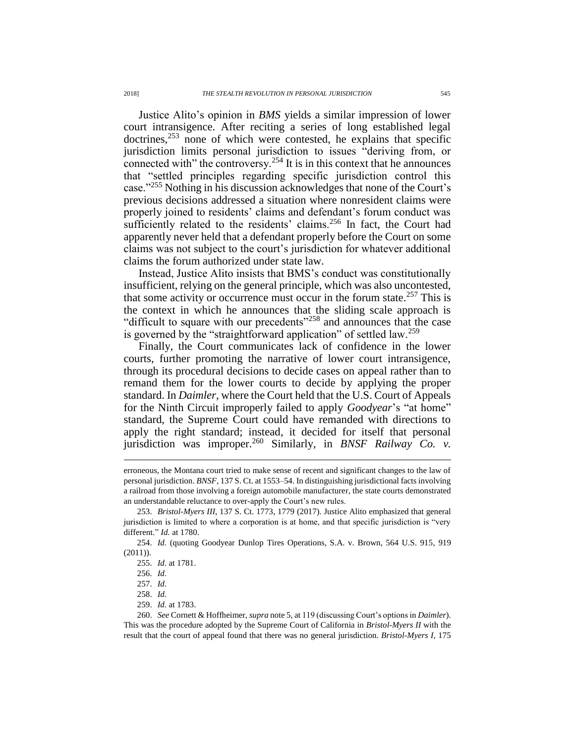Justice Alito's opinion in *BMS* yields a similar impression of lower court intransigence. After reciting a series of long established legal  $d$  doctrines,<sup>253</sup> none of which were contested, he explains that specific jurisdiction limits personal jurisdiction to issues "deriving from, or connected with" the controversy.<sup>254</sup> It is in this context that he announces that "settled principles regarding specific jurisdiction control this case."<sup>255</sup> Nothing in his discussion acknowledges that none of the Court's previous decisions addressed a situation where nonresident claims were properly joined to residents' claims and defendant's forum conduct was sufficiently related to the residents' claims. $256$  In fact, the Court had apparently never held that a defendant properly before the Court on some claims was not subject to the court's jurisdiction for whatever additional claims the forum authorized under state law.

Instead, Justice Alito insists that BMS's conduct was constitutionally insufficient, relying on the general principle, which was also uncontested, that some activity or occurrence must occur in the forum state.<sup>257</sup> This is the context in which he announces that the sliding scale approach is "difficult to square with our precedents"<sup>258</sup> and announces that the case is governed by the "straightforward application" of settled law.<sup>259</sup>

Finally, the Court communicates lack of confidence in the lower courts, further promoting the narrative of lower court intransigence, through its procedural decisions to decide cases on appeal rather than to remand them for the lower courts to decide by applying the proper standard. In *Daimler*, where the Court held that the U.S. Court of Appeals for the Ninth Circuit improperly failed to apply *Goodyear*'s "at home" standard, the Supreme Court could have remanded with directions to apply the right standard; instead, it decided for itself that personal jurisdiction was improper.<sup>260</sup> Similarly, in *BNSF Railway Co. v.* 

 $\overline{a}$ 

- 258. *Id.*
- 259. *Id.* at 1783.

260. *See* Cornett & Hoffheimer, *supra* not[e 5,](#page-2-1) at 119 (discussing Court's options in *Daimler*). This was the procedure adopted by the Supreme Court of California in *Bristol-Myers II* with the result that the court of appeal found that there was no general jurisdiction. *Bristol-Myers I*, 175

erroneous, the Montana court tried to make sense of recent and significant changes to the law of personal jurisdiction. *BNSF*, 137 S. Ct. at 1553–54. In distinguishing jurisdictional facts involving a railroad from those involving a foreign automobile manufacturer, the state courts demonstrated an understandable reluctance to over-apply the Court's new rules.

<sup>253.</sup> *Bristol-Myers III*, 137 S. Ct. 1773, 1779 (2017). Justice Alito emphasized that general jurisdiction is limited to where a corporation is at home, and that specific jurisdiction is "very different." *Id.* at 1780.

<sup>254.</sup> *Id.* (quoting Goodyear Dunlop Tires Operations, S.A. v. Brown, 564 U.S. 915, 919 (2011)).

<sup>255.</sup> *Id.* at 1781.

<sup>256.</sup> *Id.*

<sup>257.</sup> *Id.*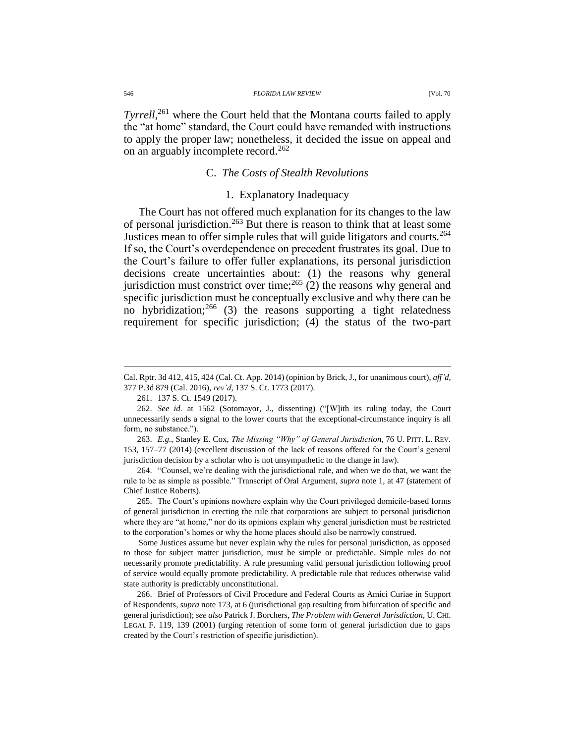*Tyrrell*, <sup>261</sup> where the Court held that the Montana courts failed to apply the "at home" standard, the Court could have remanded with instructions to apply the proper law; nonetheless, it decided the issue on appeal and on an arguably incomplete record.<sup>262</sup>

## C. *The Costs of Stealth Revolutions*

## 1. Explanatory Inadequacy

The Court has not offered much explanation for its changes to the law of personal jurisdiction.<sup>263</sup> But there is reason to think that at least some Justices mean to offer simple rules that will guide litigators and courts.<sup>264</sup> If so, the Court's overdependence on precedent frustrates its goal. Due to the Court's failure to offer fuller explanations, its personal jurisdiction decisions create uncertainties about: (1) the reasons why general jurisdiction must constrict over time;<sup>265</sup> (2) the reasons why general and specific jurisdiction must be conceptually exclusive and why there can be no hybridization;  $266$  (3) the reasons supporting a tight relatedness requirement for specific jurisdiction; (4) the status of the two-part

263. *E.g.*, Stanley E. Cox, *The Missing "Why" of General Jurisdiction*, 76 U. PITT. L. REV. 153, 157–77 (2014) (excellent discussion of the lack of reasons offered for the Court's general jurisdiction decision by a scholar who is not unsympathetic to the change in law).

264. "Counsel, we're dealing with the jurisdictional rule, and when we do that, we want the rule to be as simple as possible." Transcript of Oral Argument, *supra* note 1, at 47 (statement of Chief Justice Roberts).

265. The Court's opinions nowhere explain why the Court privileged domicile-based forms of general jurisdiction in erecting the rule that corporations are subject to personal jurisdiction where they are "at home," nor do its opinions explain why general jurisdiction must be restricted to the corporation's homes or why the home places should also be narrowly construed.

Some Justices assume but never explain why the rules for personal jurisdiction, as opposed to those for subject matter jurisdiction, must be simple or predictable. Simple rules do not necessarily promote predictability. A rule presuming valid personal jurisdiction following proof of service would equally promote predictability. A predictable rule that reduces otherwise valid state authority is predictably unconstitutional.

266. Brief of Professors of Civil Procedure and Federal Courts as Amici Curiae in Support of Respondents, *supra* note [173,](#page-30-0) at 6 (jurisdictional gap resulting from bifurcation of specific and general jurisdiction); *see also* Patrick J. Borchers, *The Problem with General Jurisdiction*, U.CHI. LEGAL F. 119, 139 (2001) (urging retention of some form of general jurisdiction due to gaps created by the Court's restriction of specific jurisdiction).

Cal. Rptr. 3d 412, 415, 424 (Cal. Ct. App. 2014) (opinion by Brick, J., for unanimous court), *aff'd*, 377 P.3d 879 (Cal. 2016), *rev'd*, 137 S. Ct. 1773 (2017).

<sup>261.</sup> 137 S. Ct. 1549 (2017).

<sup>262.</sup> *See id.* at 1562 (Sotomayor, J., dissenting) ("[W]ith its ruling today, the Court unnecessarily sends a signal to the lower courts that the exceptional-circumstance inquiry is all form, no substance.").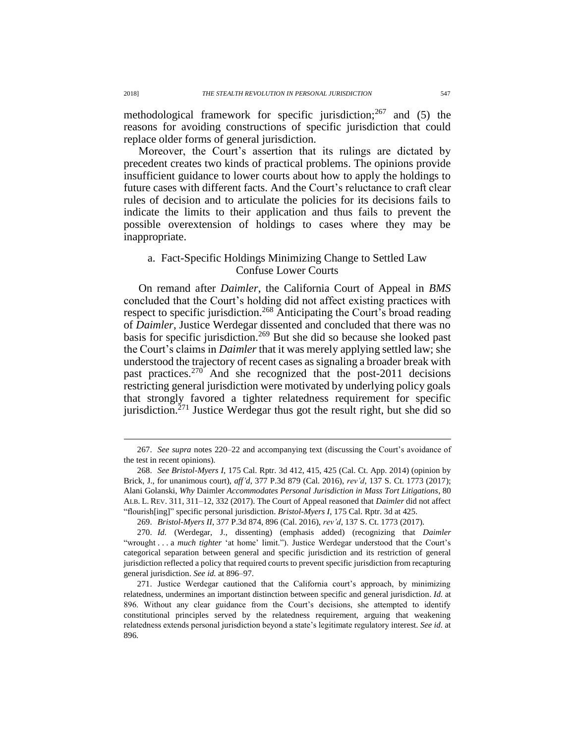methodological framework for specific jurisdiction;<sup>267</sup> and (5) the reasons for avoiding constructions of specific jurisdiction that could replace older forms of general jurisdiction.

Moreover, the Court's assertion that its rulings are dictated by precedent creates two kinds of practical problems. The opinions provide insufficient guidance to lower courts about how to apply the holdings to future cases with different facts. And the Court's reluctance to craft clear rules of decision and to articulate the policies for its decisions fails to indicate the limits to their application and thus fails to prevent the possible overextension of holdings to cases where they may be inappropriate.

# a. Fact-Specific Holdings Minimizing Change to Settled Law Confuse Lower Courts

On remand after *Daimler*, the California Court of Appeal in *BMS* concluded that the Court's holding did not affect existing practices with respect to specific jurisdiction.<sup>268</sup> Anticipating the Court's broad reading of *Daimler*, Justice Werdegar dissented and concluded that there was no basis for specific jurisdiction.<sup>269</sup> But she did so because she looked past the Court's claims in *Daimler* that it was merely applying settled law; she understood the trajectory of recent cases as signaling a broader break with past practices.<sup>270</sup> And she recognized that the post-2011 decisions restricting general jurisdiction were motivated by underlying policy goals that strongly favored a tighter relatedness requirement for specific jurisdiction.<sup> $271$ </sup> Justice Werdegar thus got the result right, but she did so

<sup>267.</sup> *See supra* notes [220–](#page-39-0)22 and accompanying text (discussing the Court's avoidance of the test in recent opinions).

<sup>268.</sup> *See Bristol-Myers I*, 175 Cal. Rptr. 3d 412, 415, 425 (Cal. Ct. App. 2014) (opinion by Brick, J., for unanimous court), *aff'd*, 377 P.3d 879 (Cal. 2016), *rev'd*, 137 S. Ct. 1773 (2017); Alani Golanski, *Why* Daimler *Accommodates Personal Jurisdiction in Mass Tort Litigations*, 80 ALB. L. REV. 311, 311–12, 332 (2017). The Court of Appeal reasoned that *Daimler* did not affect "flourish[ing]" specific personal jurisdiction. *Bristol-Myers I*, 175 Cal. Rptr. 3d at 425.

<sup>269.</sup> *Bristol-Myers II*, 377 P.3d 874, 896 (Cal. 2016), *rev'd*, 137 S. Ct. 1773 (2017).

<sup>270.</sup> *Id.* (Werdegar, J., dissenting) (emphasis added) (recognizing that *Daimler* "wrought . . . a *much tighter* 'at home' limit."). Justice Werdegar understood that the Court's categorical separation between general and specific jurisdiction and its restriction of general jurisdiction reflected a policy that required courts to prevent specific jurisdiction from recapturing general jurisdiction. *See id.* at 896–97.

<sup>271.</sup> Justice Werdegar cautioned that the California court's approach, by minimizing relatedness, undermines an important distinction between specific and general jurisdiction. *Id.* at 896. Without any clear guidance from the Court's decisions, she attempted to identify constitutional principles served by the relatedness requirement, arguing that weakening relatedness extends personal jurisdiction beyond a state's legitimate regulatory interest. *See id.* at 896.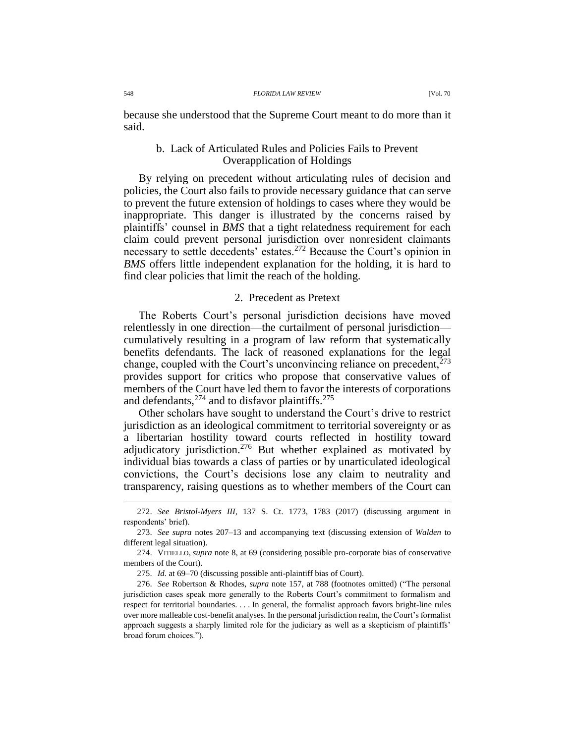because she understood that the Supreme Court meant to do more than it said.

# b. Lack of Articulated Rules and Policies Fails to Prevent Overapplication of Holdings

By relying on precedent without articulating rules of decision and policies, the Court also fails to provide necessary guidance that can serve to prevent the future extension of holdings to cases where they would be inappropriate. This danger is illustrated by the concerns raised by plaintiffs' counsel in *BMS* that a tight relatedness requirement for each claim could prevent personal jurisdiction over nonresident claimants necessary to settle decedents' estates.<sup>272</sup> Because the Court's opinion in *BMS* offers little independent explanation for the holding, it is hard to find clear policies that limit the reach of the holding.

# 2. Precedent as Pretext

The Roberts Court's personal jurisdiction decisions have moved relentlessly in one direction—the curtailment of personal jurisdiction cumulatively resulting in a program of law reform that systematically benefits defendants. The lack of reasoned explanations for the legal change, coupled with the Court's unconvincing reliance on precedent,  $273$ provides support for critics who propose that conservative values of members of the Court have led them to favor the interests of corporations and defendants,  $274$  and to disfavor plaintiffs.  $275$ 

Other scholars have sought to understand the Court's drive to restrict jurisdiction as an ideological commitment to territorial sovereignty or as a libertarian hostility toward courts reflected in hostility toward adjudicatory jurisdiction.<sup>276</sup> But whether explained as motivated by individual bias towards a class of parties or by unarticulated ideological convictions, the Court's decisions lose any claim to neutrality and transparency, raising questions as to whether members of the Court can

<sup>272.</sup> *See Bristol-Myers III*, 137 S. Ct. 1773, 1783 (2017) (discussing argument in respondents' brief).

<sup>273.</sup> *See supra* notes [207–](#page-37-0)13 and accompanying text (discussing extension of *Walden* to different legal situation).

<sup>274.</sup> VITIELLO, *supra* not[e 8,](#page-3-0) at 69 (considering possible pro-corporate bias of conservative members of the Court).

<sup>275.</sup> *Id.* at 69–70 (discussing possible anti-plaintiff bias of Court).

<sup>276.</sup> *See* Robertson & Rhodes, *supra* note [157,](#page-25-2) at 788 (footnotes omitted) ("The personal jurisdiction cases speak more generally to the Roberts Court's commitment to formalism and respect for territorial boundaries. . . . In general, the formalist approach favors bright-line rules over more malleable cost-benefit analyses. In the personal jurisdiction realm, the Court's formalist approach suggests a sharply limited role for the judiciary as well as a skepticism of plaintiffs' broad forum choices.").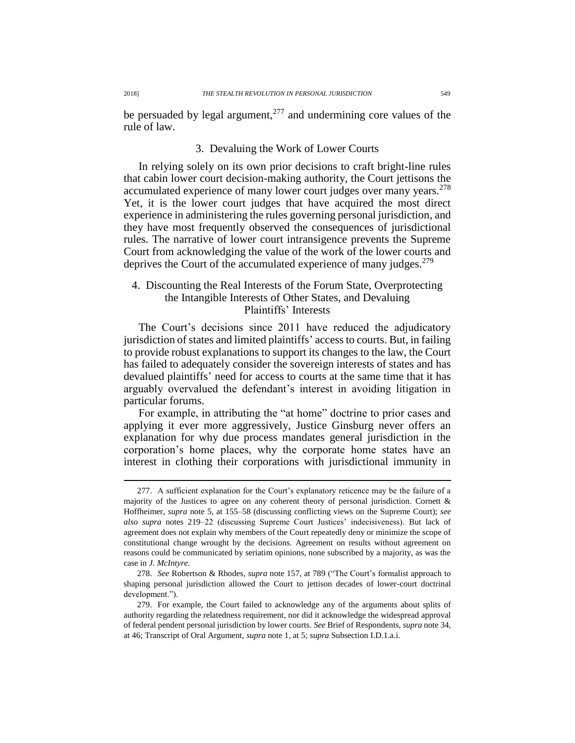be persuaded by legal argument, $277$  and undermining core values of the rule of law.

# 3. Devaluing the Work of Lower Courts

In relying solely on its own prior decisions to craft bright-line rules that cabin lower court decision-making authority, the Court jettisons the accumulated experience of many lower court judges over many years.<sup>278</sup> Yet, it is the lower court judges that have acquired the most direct experience in administering the rules governing personal jurisdiction, and they have most frequently observed the consequences of jurisdictional rules. The narrative of lower court intransigence prevents the Supreme Court from acknowledging the value of the work of the lower courts and deprives the Court of the accumulated experience of many judges.<sup>279</sup>

# 4. Discounting the Real Interests of the Forum State, Overprotecting the Intangible Interests of Other States, and Devaluing Plaintiffs' Interests

The Court's decisions since 2011 have reduced the adjudicatory jurisdiction of states and limited plaintiffs' access to courts. But, in failing to provide robust explanations to support its changes to the law, the Court has failed to adequately consider the sovereign interests of states and has devalued plaintiffs' need for access to courts at the same time that it has arguably overvalued the defendant's interest in avoiding litigation in particular forums.

For example, in attributing the "at home" doctrine to prior cases and applying it ever more aggressively, Justice Ginsburg never offers an explanation for why due process mandates general jurisdiction in the corporation's home places, why the corporate home states have an interest in clothing their corporations with jurisdictional immunity in

<sup>277.</sup> A sufficient explanation for the Court's explanatory reticence may be the failure of a majority of the Justices to agree on any coherent theory of personal jurisdiction. Cornett  $\&$ Hoffheimer, *supra* note [5,](#page-2-1) at 155–58 (discussing conflicting views on the Supreme Court); *see also supra* notes [219–](#page-39-1)22 (discussing Supreme Court Justices' indecisiveness). But lack of agreement does not explain why members of the Court repeatedly deny or minimize the scope of constitutional change wrought by the decisions. Agreement on results without agreement on reasons could be communicated by seriatim opinions, none subscribed by a majority, as was the case in *J. McIntyre*.

<sup>278.</sup> *See* Robertson & Rhodes, *supra* note [157,](#page-25-2) at 789 ("The Court's formalist approach to shaping personal jurisdiction allowed the Court to jettison decades of lower-court doctrinal development.").

<sup>279.</sup> For example, the Court failed to acknowledge any of the arguments about splits of authority regarding the relatedness requirement, nor did it acknowledge the widespread approval of federal pendent personal jurisdiction by lower courts. *See* Brief of Respondents, *supra* note [34,](#page-8-0) at 46; Transcript of Oral Argument, *supra* note 1, at 5; *supra* Subsection I.D.1.a.i.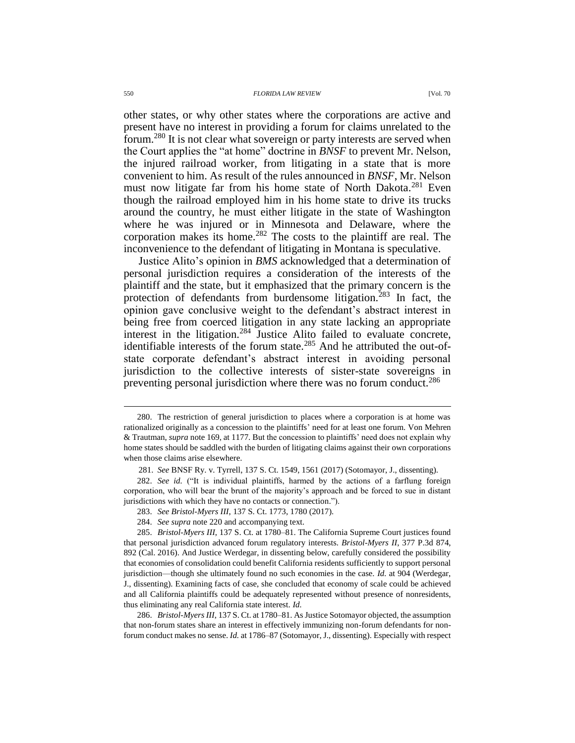#### 550 *FLORIDA LAW REVIEW* [Vol. 70

other states, or why other states where the corporations are active and present have no interest in providing a forum for claims unrelated to the forum.<sup>280</sup> It is not clear what sovereign or party interests are served when the Court applies the "at home" doctrine in *BNSF* to prevent Mr. Nelson, the injured railroad worker, from litigating in a state that is more convenient to him. As result of the rules announced in *BNSF*, Mr. Nelson must now litigate far from his home state of North Dakota.<sup>281</sup> Even though the railroad employed him in his home state to drive its trucks around the country, he must either litigate in the state of Washington where he was injured or in Minnesota and Delaware, where the corporation makes its home.<sup>282</sup> The costs to the plaintiff are real. The inconvenience to the defendant of litigating in Montana is speculative.

Justice Alito's opinion in *BMS* acknowledged that a determination of personal jurisdiction requires a consideration of the interests of the plaintiff and the state, but it emphasized that the primary concern is the protection of defendants from burdensome litigation.<sup>283</sup> In fact, the opinion gave conclusive weight to the defendant's abstract interest in being free from coerced litigation in any state lacking an appropriate interest in the litigation.<sup>284</sup> Justice Alito failed to evaluate concrete, identifiable interests of the forum state.<sup>285</sup> And he attributed the out-ofstate corporate defendant's abstract interest in avoiding personal jurisdiction to the collective interests of sister-state sovereigns in preventing personal jurisdiction where there was no forum conduct.<sup>286</sup>

286. *Bristol-Myers III*, 137 S. Ct. at 1780–81. As Justice Sotomayor objected, the assumption that non-forum states share an interest in effectively immunizing non-forum defendants for nonforum conduct makes no sense. *Id.* at 1786–87 (Sotomayor, J., dissenting). Especially with respect

<sup>280.</sup> The restriction of general jurisdiction to places where a corporation is at home was rationalized originally as a concession to the plaintiffs' need for at least one forum. Von Mehren & Trautman, *supra* not[e 169,](#page-29-0) at 1177. But the concession to plaintiffs' need does not explain why home states should be saddled with the burden of litigating claims against their own corporations when those claims arise elsewhere.

<sup>281.</sup> *See* BNSF Ry. v. Tyrrell, 137 S. Ct. 1549, 1561 (2017) (Sotomayor, J., dissenting).

<sup>282.</sup> *See id.* ("It is individual plaintiffs, harmed by the actions of a farflung foreign corporation, who will bear the brunt of the majority's approach and be forced to sue in distant jurisdictions with which they have no contacts or connection.").

<sup>283.</sup> *See Bristol-Myers III*, 137 S. Ct. 1773, 1780 (2017).

<sup>284.</sup> *See supra* note [220](#page-39-0) and accompanying text.

<sup>285.</sup> *Bristol-Myers III*, 137 S. Ct. at 1780–81. The California Supreme Court justices found that personal jurisdiction advanced forum regulatory interests. *Bristol-Myers II*, 377 P.3d 874, 892 (Cal. 2016). And Justice Werdegar, in dissenting below, carefully considered the possibility that economies of consolidation could benefit California residents sufficiently to support personal jurisdiction—though she ultimately found no such economies in the case. *Id.* at 904 (Werdegar, J., dissenting). Examining facts of case, she concluded that economy of scale could be achieved and all California plaintiffs could be adequately represented without presence of nonresidents, thus eliminating any real California state interest. *Id.*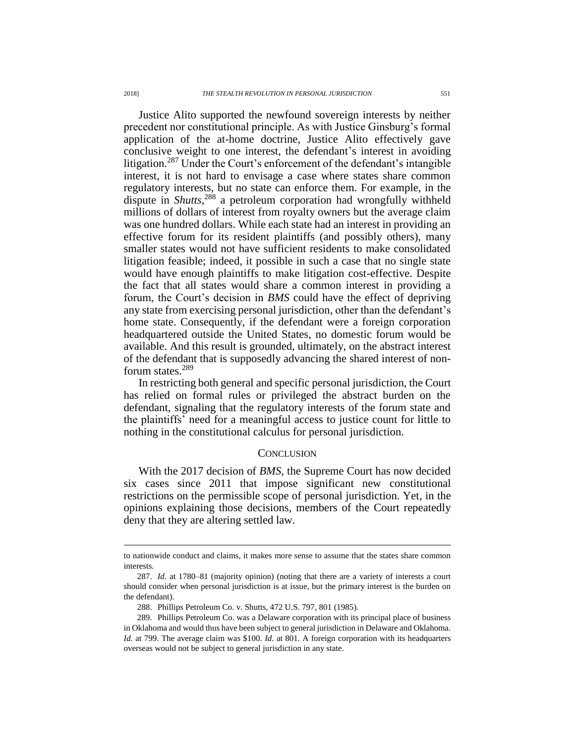Justice Alito supported the newfound sovereign interests by neither precedent nor constitutional principle. As with Justice Ginsburg's formal application of the at-home doctrine, Justice Alito effectively gave conclusive weight to one interest, the defendant's interest in avoiding litigation.<sup>287</sup> Under the Court's enforcement of the defendant's intangible interest, it is not hard to envisage a case where states share common regulatory interests, but no state can enforce them. For example, in the dispute in *Shutts*, <sup>288</sup> a petroleum corporation had wrongfully withheld millions of dollars of interest from royalty owners but the average claim was one hundred dollars. While each state had an interest in providing an effective forum for its resident plaintiffs (and possibly others), many smaller states would not have sufficient residents to make consolidated litigation feasible; indeed, it possible in such a case that no single state would have enough plaintiffs to make litigation cost-effective. Despite the fact that all states would share a common interest in providing a forum, the Court's decision in *BMS* could have the effect of depriving any state from exercising personal jurisdiction, other than the defendant's home state. Consequently, if the defendant were a foreign corporation headquartered outside the United States, no domestic forum would be available. And this result is grounded, ultimately, on the abstract interest of the defendant that is supposedly advancing the shared interest of nonforum states.<sup>289</sup>

In restricting both general and specific personal jurisdiction, the Court has relied on formal rules or privileged the abstract burden on the defendant, signaling that the regulatory interests of the forum state and the plaintiffs' need for a meaningful access to justice count for little to nothing in the constitutional calculus for personal jurisdiction.

#### **CONCLUSION**

With the 2017 decision of *BMS*, the Supreme Court has now decided six cases since 2011 that impose significant new constitutional restrictions on the permissible scope of personal jurisdiction. Yet, in the opinions explaining those decisions, members of the Court repeatedly deny that they are altering settled law.

to nationwide conduct and claims, it makes more sense to assume that the states share common interests.

<sup>287.</sup> *Id.* at 1780–81 (majority opinion) (noting that there are a variety of interests a court should consider when personal jurisdiction is at issue, but the primary interest is the burden on the defendant).

<sup>288.</sup> Phillips Petroleum Co. v. Shutts, 472 U.S. 797, 801 (1985).

<sup>289.</sup> Phillips Petroleum Co. was a Delaware corporation with its principal place of business in Oklahoma and would thus have been subject to general jurisdiction in Delaware and Oklahoma. *Id.* at 799. The average claim was \$100. *Id.* at 801. A foreign corporation with its headquarters overseas would not be subject to general jurisdiction in any state.